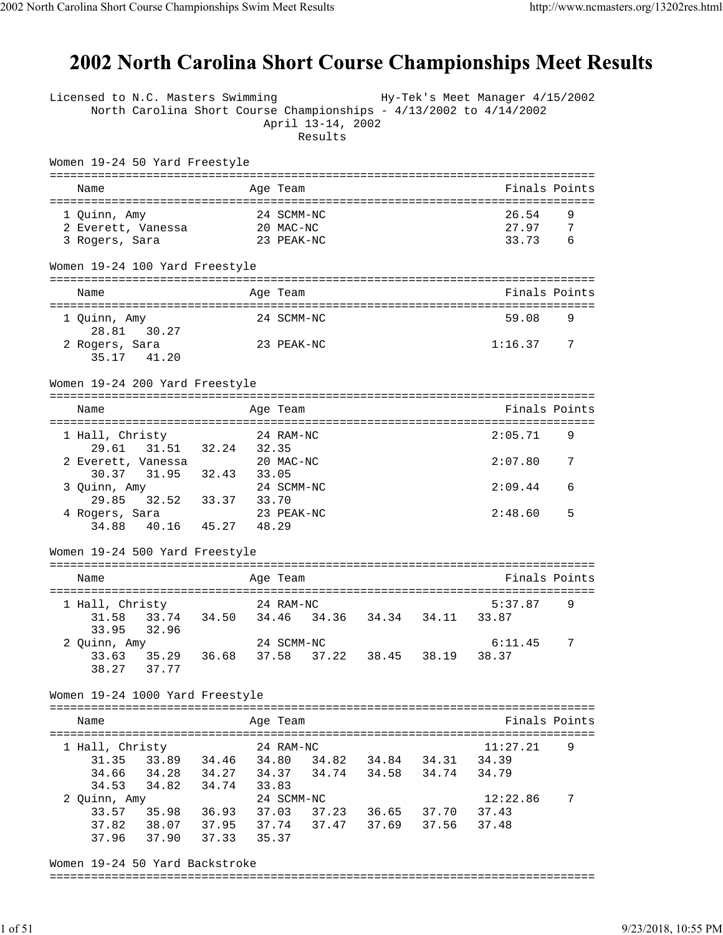## 2002 North Carolina Short Course Championships Meet Results

| Licensed to N.C. Masters Swimming<br>North Carolina Short Course Championships - 4/13/2002 to 4/14/2002 | April 13-14, 2002<br>Results        |                   | Hy-Tek's Meet Manager 4/15/2002 |
|---------------------------------------------------------------------------------------------------------|-------------------------------------|-------------------|---------------------------------|
| Women 19-24 50 Yard Freestyle                                                                           |                                     |                   |                                 |
| Name                                                                                                    | Age Team                            |                   | Finals Points                   |
| 1 Quinn, Amy                                                                                            | 24 SCMM-NC                          |                   | 26.54<br>9                      |
| 2 Everett, Vanessa 20 MAC-NC                                                                            |                                     |                   | 27.97<br>7                      |
| 3 Rogers, Sara                                                                                          | 23 PEAK-NC                          |                   | 33.73<br>6                      |
| Women 19-24 100 Yard Freestyle                                                                          |                                     |                   |                                 |
| Name                                                                                                    | Age Team                            |                   | Finals Points                   |
| 1 Quinn, Amy                                                                                            | 24 SCMM-NC                          |                   | 59.08<br>9                      |
| 28.81 30.27<br>2 Rogers, Sara                                                                           | 23 PEAK-NC                          |                   | 1:16.37<br>7                    |
| 35.17 41.20                                                                                             |                                     |                   |                                 |
| Women 19-24 200 Yard Freestyle                                                                          |                                     |                   |                                 |
| Name                                                                                                    | Age Team                            |                   | Finals Points                   |
| 1 Hall, Christy                                                                                         | 24 RAM-NC                           |                   | 2:05.71<br>9                    |
| 31.51 32.24 32.35<br>29.61                                                                              |                                     |                   |                                 |
| 2 Everett, Vanessa<br>31.95 32.43<br>30.37                                                              | 20 MAC-NC                           |                   | 2:07.80<br>7                    |
| 3 Quinn, Amy                                                                                            | 33.05<br>24 SCMM-NC                 |                   | 2:09.44<br>6                    |
| 11nn, Amy<br>29.85 32.52 33.37 33.70                                                                    |                                     |                   |                                 |
| 4 Rogers, Sara<br>34.88 40.16 45.27 48.29                                                               | 23 PEAK-NC                          |                   | 2:48.60<br>5                    |
| Women 19-24 500 Yard Freestyle                                                                          |                                     |                   |                                 |
|                                                                                                         |                                     |                   |                                 |
| Name                                                                                                    | Age Team                            |                   | Finals Points                   |
| 1 Hall, Christy                                                                                         | 24 RAM-NC                           |                   | 5:37.87<br>9                    |
| 31.58                                                                                                   | 33.74 34.50 34.46 34.36 34.34       | 34.11             | 33.87                           |
| 33.95<br>32.96<br>2 Quinn, Amy                                                                          | 24 SCMM-NC                          |                   | 6:11.45<br>7                    |
| 35.29 36.68<br>33.63                                                                                    | 37.58                               | 37.22 38.45 38.19 | 38.37                           |
| 37.77<br>38.27                                                                                          |                                     |                   |                                 |
| Women 19-24 1000 Yard Freestyle                                                                         |                                     |                   |                                 |
| Name                                                                                                    | Age Team                            |                   | Finals Points                   |
|                                                                                                         |                                     |                   |                                 |
| 1 Hall, Christy<br>33.89 34.46 34.80                                                                    | 24 RAM-NC                           | 34.84 34.31       | 11:27.21<br>9<br>34.39          |
| 31.35<br>34.66<br>34.28 34.27 34.37                                                                     | 34.82                               | 34.74 34.58 34.74 | 34.79                           |
| 34.53<br>34.82 34.74                                                                                    | 33.83                               |                   |                                 |
| 2 Quinn, Amy                                                                                            | 24 SCMM-NC                          |                   | 12:22.86<br>7                   |
| 33.57                                                                                                   | 35.98 36.93 37.03 37.23 36.65 37.70 |                   | 37.43                           |
| 37.82  38.07  37.95  37.74  37.47  37.69  37.56<br>37.96 37.90 37.33 35.37                              |                                     |                   | 37.48                           |
| Women 19-24 50 Yard Backstroke                                                                          |                                     |                   |                                 |
|                                                                                                         |                                     |                   |                                 |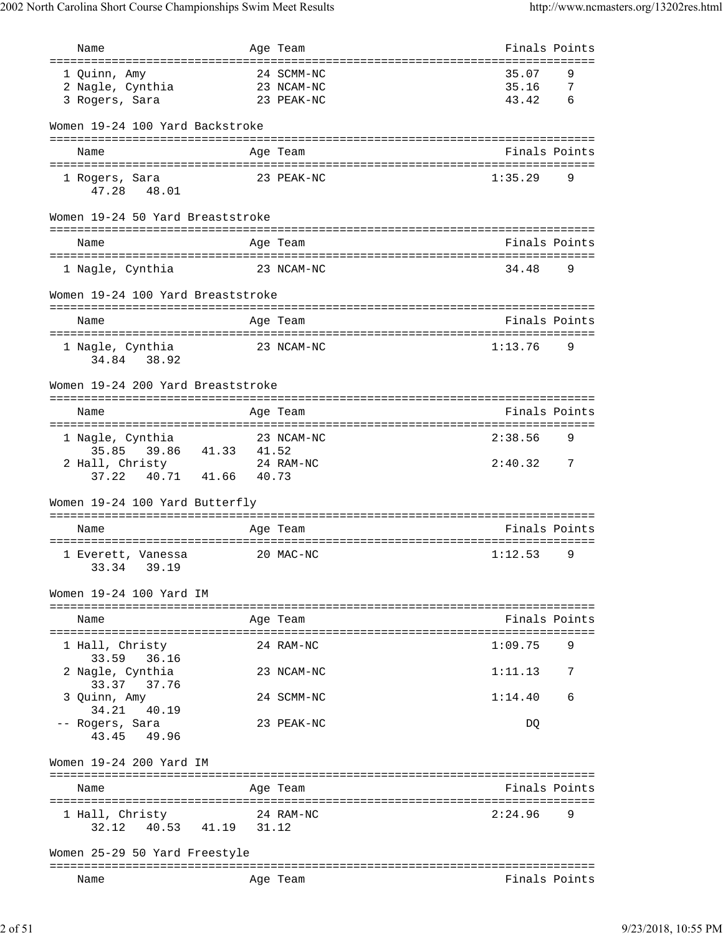| Name                                             |       | Age Team            | Finals Points |                |
|--------------------------------------------------|-------|---------------------|---------------|----------------|
| ==================================               |       | =================== |               |                |
| 1 Quinn, Amy                                     |       | 24 SCMM-NC          | 35.07         | 9              |
| 2 Nagle, Cynthia                                 |       | 23 NCAM-NC          | 35.16         | -7             |
| 3 Rogers, Sara                                   |       | 23 PEAK-NC          | 43.42         | - 6            |
| Women 19-24 100 Yard Backstroke                  |       |                     |               |                |
| Name                                             |       | Age Team            | Finals Points |                |
|                                                  |       |                     |               |                |
| 1 Rogers, Sara<br>47.28 48.01                    |       | 23 PEAK-NC          | 1:35.29       | 9              |
| Women 19-24 50 Yard Breaststroke                 |       |                     |               |                |
| Name                                             |       | Age Team            | Finals Points |                |
| 1 Nagle, Cynthia                                 |       | 23 NCAM-NC          | 34.48         | 9              |
| Women 19-24 100 Yard Breaststroke                |       |                     |               |                |
| Name                                             |       | Age Team            | Finals Points |                |
| 1 Nagle, Cynthia<br>34.84 38.92                  |       | 23 NCAM-NC          | 1:13.76       | 9              |
| Women 19-24 200 Yard Breaststroke                |       |                     |               |                |
|                                                  |       |                     |               |                |
| Name                                             |       | Age Team            | Finals Points |                |
| 1 Nagle, Cynthia                                 |       | 23 NCAM-NC          | 2:38.56       | 9              |
| 35.85 39.86 41.33                                | 41.52 |                     |               |                |
| 2 Hall, Christy 24 RA<br>37.22 40.71 41.66 40.73 |       | 24 RAM-NC           | 2:40.32       | $\overline{7}$ |
| Women 19-24 100 Yard Butterfly                   |       |                     |               |                |
| Name                                             |       | Age Team            | Finals Points |                |
|                                                  |       |                     |               |                |
| 1 Everett, Vanessa<br>33.34 39.19                |       | 20 MAC-NC           | 1:12.53       | 9              |
| Women 19-24 100 Yard IM                          |       |                     |               |                |
| Name                                             |       | Age Team            | Finals Points |                |
| 1 Hall, Christy                                  |       | 24 RAM-NC           | 1:09.75       | 9              |
| 33.59<br>36.16<br>2 Nagle, Cynthia               |       | 23 NCAM-NC          | 1:11.13       | 7              |
| 33.37<br>37.76<br>3 Quinn, Amy<br>34.21 40.19    |       | 24 SCMM-NC          | 1:14.40       | 6              |
| -- Rogers, Sara<br>43.45 49.96                   |       | 23 PEAK-NC          | DQ            |                |
| Women 19-24 200 Yard IM                          |       |                     |               |                |
| Name                                             |       | Age Team            | Finals Points |                |
|                                                  |       |                     |               |                |
| 1 Hall, Christy<br>40.53  41.19  31.12<br>32.12  |       | 24 RAM-NC           | 2:24.96       | 9              |
| Women 25-29 50 Yard Freestyle                    |       |                     |               |                |
| Name                                             |       | Age Team            | Finals Points |                |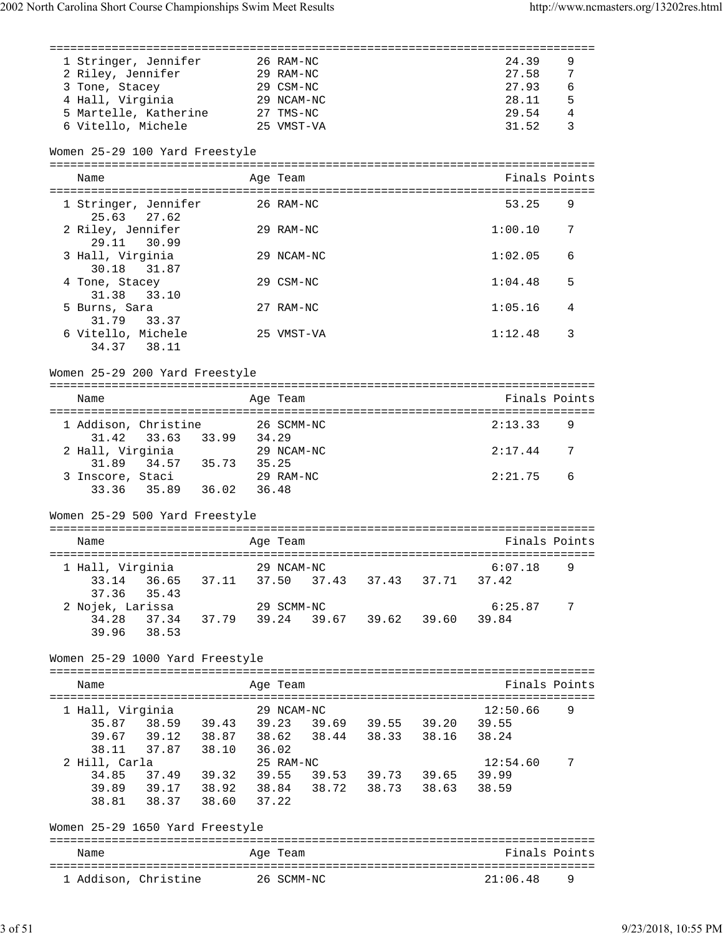| 1 Stringer, Jennifer                                              |       | 26 RAM-NC                                    | 24.39            | 9 |
|-------------------------------------------------------------------|-------|----------------------------------------------|------------------|---|
| 2 Riley, Jennifer<br>29 RAM-NC                                    |       |                                              | 27.58            | 7 |
| 3 Tone, Stacey                                                    |       | 29 CSM-NC                                    | 27.93            | 6 |
| 4 Hall, Virginia                                                  |       | 29 NCAM-NC                                   | 28.11            | 5 |
| 5 Martelle, Katherine                                             |       | 27 TMS-NC                                    | 29.54            | 4 |
| 6 Vitello, Michele                                                |       | 25 VMST-VA                                   | 31.52            | 3 |
|                                                                   |       |                                              |                  |   |
| Women 25-29 100 Yard Freestyle                                    |       |                                              |                  |   |
| Name                                                              |       | Age Team                                     | Finals Points    |   |
| 1 Stringer, Jennifer<br>25.63 27.62                               |       | 26 RAM-NC                                    | 53.25            | 9 |
| 2 Riley, Jennifer<br>29.11<br>30.99                               |       | 29 RAM-NC                                    | 1:00.10          | 7 |
| 3 Hall, Virginia<br>30.18 31.87                                   |       | 29 NCAM-NC                                   | 1:02.05          | 6 |
| 4 Tone, Stacey<br>31.38<br>33.10                                  |       | 29 CSM-NC                                    | 1:04.48          | 5 |
| 5 Burns, Sara<br>31.79<br>33.37                                   |       | 27 RAM-NC                                    | 1:05.16          | 4 |
| 6 Vitello, Michele<br>34.37<br>38.11                              |       | 25 VMST-VA                                   | 1:12.48          | 3 |
| Women 25-29 200 Yard Freestyle                                    |       |                                              |                  |   |
| Name                                                              |       | Age Team                                     | Finals Points    |   |
|                                                                   |       |                                              |                  |   |
| 1 Addison, Christine 26 SCMM-NC<br>31.42 33.63 33.99 34.29        |       |                                              | 2:13.33          | 9 |
| 2 Hall, Virginia<br>31.89 34.57 35.73 35.25                       |       | 29 NCAM-NC                                   | 2:17.44          | 7 |
| 3 Inscore, Staci<br>33.36 35.89 36.02 36.48                       |       | 29 RAM-NC                                    | 2:21.75          | 6 |
| Women 25-29 500 Yard Freestyle                                    |       |                                              |                  |   |
| Name                                                              |       | Age Team                                     | Finals Points    |   |
|                                                                   |       |                                              |                  |   |
| 1 Hall, Virginia<br>33.14 36.65<br>37.36<br>35.43                 |       | 29 NCAM-NC<br>37.11 37.50 37.43 37.43 37.71  | 6:07.18<br>37.42 | 9 |
| 2 Nojek, Larissa                                                  |       | 29 SCMM-NC                                   | 6:25.87          | 7 |
| 37.34 37.79 39.24<br>34.28<br>39.96 38.53                         |       | 39.67 39.62 39.60                            | 39.84            |   |
| Women 25-29 1000 Yard Freestyle                                   |       |                                              |                  |   |
|                                                                   |       |                                              |                  |   |
| Name                                                              |       | Age Team                                     | Finals Points    |   |
| 1 Hall, Virginia                                                  |       | 29 NCAM-NC                                   | 12:50.66         | 9 |
|                                                                   |       |                                              |                  |   |
| 35.87 38.59 39.43 39.23<br>39.67                                  |       | 39.69 39.55 39.20 39.55<br>38.44 38.33 38.16 | 38.24            |   |
| 38.11                                                             |       |                                              |                  |   |
|                                                                   |       | 25 RAM-NC                                    | 12:54.60         | 7 |
| 2 Hill, Carla<br>34.85                                            |       | 37.49 39.32 39.55 39.53 39.73 39.65 39.99    |                  |   |
|                                                                   |       |                                              | 38.59            |   |
| 39.89 39.17 38.92 38.84 38.72 38.73 38.63<br>38.81<br>38.37 38.60 | 37.22 |                                              |                  |   |
|                                                                   |       |                                              |                  |   |
| Women 25-29 1650 Yard Freestyle                                   |       |                                              |                  |   |
| Name                                                              |       | Age Team                                     | Finals Points    |   |
|                                                                   |       |                                              |                  |   |
| 1 Addison, Christine                                              |       | 26 SCMM-NC                                   | 21:06.48         | 9 |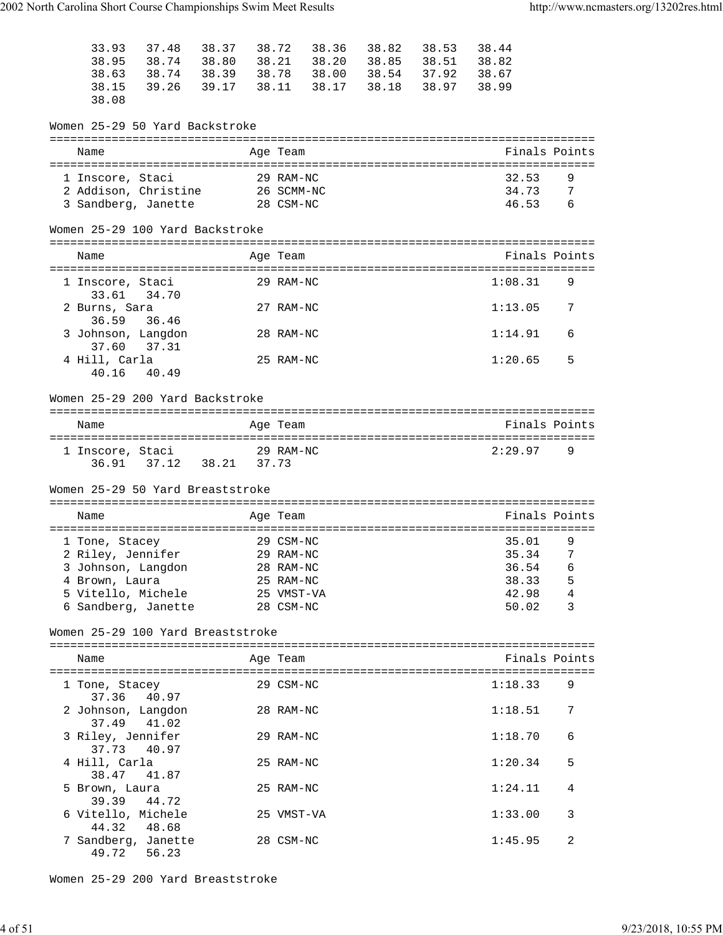| 33.93<br>38.95<br>38.63<br>38.15<br>38.08                       | 38.74 38.80          | 37.48 38.37 38.72<br>38.74 38.39 38.78 38.00 38.54 37.92 38.67<br>39.26 39.17 38.11 38.17 38.18 38.97 38.99 |                                      | 38.36 38.82 38.53<br>38.21 38.20 38.85 38.51 38.82 | 38.44                   |                                        |
|-----------------------------------------------------------------|----------------------|-------------------------------------------------------------------------------------------------------------|--------------------------------------|----------------------------------------------------|-------------------------|----------------------------------------|
|                                                                 |                      | Women 25-29 50 Yard Backstroke                                                                              |                                      |                                                    |                         |                                        |
| Name                                                            |                      |                                                                                                             | Age Team                             |                                                    | Finals Points           |                                        |
| 1 Inscore, Staci<br>2 Addison, Christine<br>3 Sandberg, Janette |                      |                                                                                                             | 29 RAM-NC<br>26 SCMM-NC<br>28 CSM-NC |                                                    | 32.53<br>34.73<br>46.53 | 9<br>$\overline{7}$<br>$6\overline{6}$ |
|                                                                 |                      | Women 25-29 100 Yard Backstroke                                                                             |                                      |                                                    |                         |                                        |
| Name                                                            |                      |                                                                                                             | Age Team                             |                                                    | Finals Points           |                                        |
| 1 Inscore, Staci                                                |                      |                                                                                                             | 29 RAM-NC                            |                                                    | 1:08.31                 | 9                                      |
| 2 Burns, Sara                                                   | 33.61 34.70          |                                                                                                             | 27 RAM-NC                            |                                                    | 1:13.05                 | 7                                      |
| 36.59<br>3 Johnson, Langdon                                     | 36.46                |                                                                                                             | 28 RAM-NC                            |                                                    | 1:14.91                 | 6                                      |
| 37.60<br>4 Hill, Carla                                          | 37.31<br>40.16 40.49 |                                                                                                             | 25 RAM-NC                            |                                                    | 1:20.65                 | 5                                      |
|                                                                 |                      | Women 25-29 200 Yard Backstroke                                                                             |                                      |                                                    |                         |                                        |
| Name                                                            |                      |                                                                                                             | Age Team                             |                                                    | Finals Points           |                                        |
| 1 Inscore, Staci                                                |                      | 36.91 37.12 38.21 37.73                                                                                     | 29 RAM-NC                            |                                                    | 2:29.97                 | 9                                      |
|                                                                 |                      | Women 25-29 50 Yard Breaststroke                                                                            |                                      |                                                    |                         |                                        |
| Name                                                            |                      |                                                                                                             | Age Team                             |                                                    | Finals Points           |                                        |
| 1 Tone, Stacey                                                  |                      |                                                                                                             | 29 CSM-NC                            |                                                    | 35.01                   | 9                                      |
|                                                                 |                      | 2 Riley, Jennifer                                                                                           | 29 RAM-NC                            |                                                    | 35.34                   | 7                                      |
| 3 Johnson, Langdon                                              |                      |                                                                                                             | 28 RAM-NC                            |                                                    | 36.54                   | 6                                      |
| 4 Brown, Laura                                                  |                      |                                                                                                             | 25 RAM-NC                            |                                                    | 38.33                   | 5<br>$\overline{4}$                    |
| 5 Vitello, Michele<br>6 Sandberg, Janette                       |                      |                                                                                                             | 25 VMST-VA<br>28 CSM-NC              |                                                    | 42.98<br>50.02          | 3                                      |
|                                                                 |                      | Women 25-29 100 Yard Breaststroke                                                                           |                                      |                                                    |                         |                                        |
| Name                                                            |                      |                                                                                                             | Age Team                             |                                                    | Finals Points           |                                        |
| 1 Tone, Stacey<br>37.36                                         | 40.97                |                                                                                                             | 29 CSM-NC                            |                                                    | 1:18.33                 | 9                                      |
| 2 Johnson, Langdon<br>37.49                                     | 41.02                |                                                                                                             | 28 RAM-NC                            |                                                    | 1:18.51                 | 7                                      |
| 3 Riley, Jennifer                                               |                      |                                                                                                             | 29 RAM-NC                            |                                                    | 1:18.70                 | 6                                      |
|                                                                 |                      |                                                                                                             |                                      |                                                    |                         |                                        |
| 4 Hill, Carla                                                   | 37.73 40.97          |                                                                                                             | 25 RAM-NC                            |                                                    | 1:20.34                 | 5                                      |
| 38.47<br>5 Brown, Laura                                         | 41.87                |                                                                                                             | 25 RAM-NC                            |                                                    | 1:24.11                 | 4                                      |
| 39.39<br>6 Vitello, Michele<br>44.32                            | 44.72<br>48.68       |                                                                                                             | 25 VMST-VA                           |                                                    | 1:33.00                 | 3                                      |

Women 25-29 200 Yard Breaststroke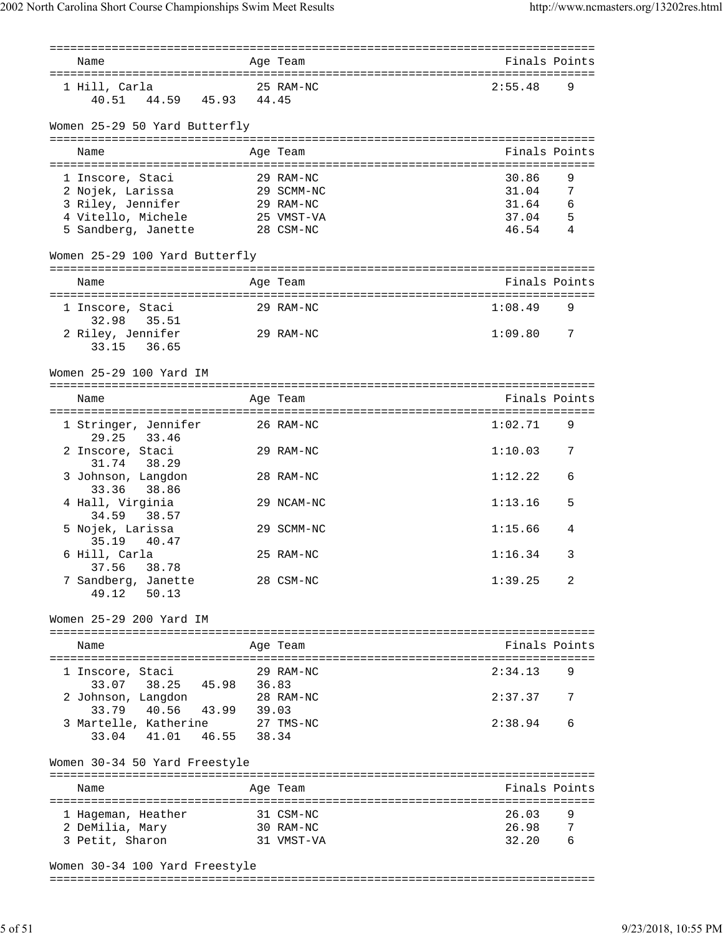| Name                                    |             | Age Team                | Finals Points  |        |
|-----------------------------------------|-------------|-------------------------|----------------|--------|
| 1 Hill, Carla                           |             | 25 RAM-NC               | 2:55.48        | 9      |
| 40.51 44.59 45.93 44.45                 |             |                         |                |        |
| Women 25-29 50 Yard Butterfly           |             |                         |                |        |
| Name                                    |             | Age Team                | Finals Points  |        |
|                                         |             |                         |                |        |
| 1 Inscore, Staci                        |             | 29 RAM-NC               | 30.86          | 9      |
| 2 Nojek, Larissa                        |             | 29 SCMM-NC              | 31.04          | 7      |
| 3 Riley, Jennifer<br>4 Vitello, Michele |             | 29 RAM-NC               | 31.64          | 6      |
| 5 Sandberg, Janette                     |             | 25 VMST-VA<br>28 CSM-NC | 37.04<br>46.54 | 5<br>4 |
|                                         |             |                         |                |        |
| Women 25-29 100 Yard Butterfly          |             |                         |                |        |
| Name                                    |             | Age Team                | Finals Points  |        |
| 1 Inscore, Staci                        |             | 29 RAM-NC               | 1:08.49        | 9      |
| 32.98<br>35.51                          |             |                         |                |        |
| 2 Riley, Jennifer<br>36.65<br>33.15     |             | 29 RAM-NC               | 1:09.80        | 7      |
| Women 25-29 100 Yard IM                 |             |                         |                |        |
|                                         |             |                         | Finals Points  |        |
| Name                                    |             | Age Team                |                |        |
| 1 Stringer, Jennifer<br>29.25 33.46     |             | 26 RAM-NC               | 1:02.71        | 9      |
| 2 Inscore, Staci                        |             | 29 RAM-NC               | 1:10.03        | 7      |
| 31.74<br>38.29<br>3 Johnson, Langdon    |             | 28 RAM-NC               | 1:12.22        | 6      |
| 38.86<br>33.36                          |             |                         |                |        |
| 4 Hall, Virginia<br>34.59<br>38.57      |             | 29 NCAM-NC              | 1:13.16        | 5      |
| 5 Nojek, Larissa<br>35.19<br>40.47      |             | 29 SCMM-NC              | 1:15.66        | 4      |
| 6 Hill, Carla                           |             | 25 RAM-NC               | 1:16.34        | 3      |
| 37.56<br>38.78<br>7 Sandberg, Janette   |             | 28 CSM-NC               | 1:39.25        | 2      |
| 49.12<br>50.13                          |             |                         |                |        |
| Women 25-29 200 Yard IM                 |             |                         |                |        |
|                                         |             |                         |                |        |
| Name                                    |             | Age Team                | Finals Points  |        |
| 1 Inscore, Staci                        |             | 29 RAM-NC               | 2:34.13        | 9      |
| 33.07 38.25 45.98 36.83                 |             |                         |                |        |
| 2 Johnson, Langdon                      |             | 28 RAM-NC               | 2:37.37        | 7      |
| 40.56<br>33.79                          | 43.99 39.03 |                         |                |        |
| 3 Martelle, Katherine                   |             | $27$ TMS-NC             | 2:38.94        | 6      |
| 46.55<br>33.04 41.01                    | 38.34       |                         |                |        |
| Women 30-34 50 Yard Freestyle           |             |                         |                |        |
| Name                                    |             | Age Team                | Finals Points  |        |
|                                         |             |                         |                |        |
| 1 Hageman, Heather                      |             | 31 CSM-NC               | 26.03          | 9      |
| 2 DeMilia, Mary                         |             | 30 RAM-NC<br>31 VMST-VA | 26.98<br>32.20 | 7<br>6 |
| 3 Petit, Sharon                         |             |                         |                |        |
| Women 30-34 100 Yard Freestyle          |             |                         |                |        |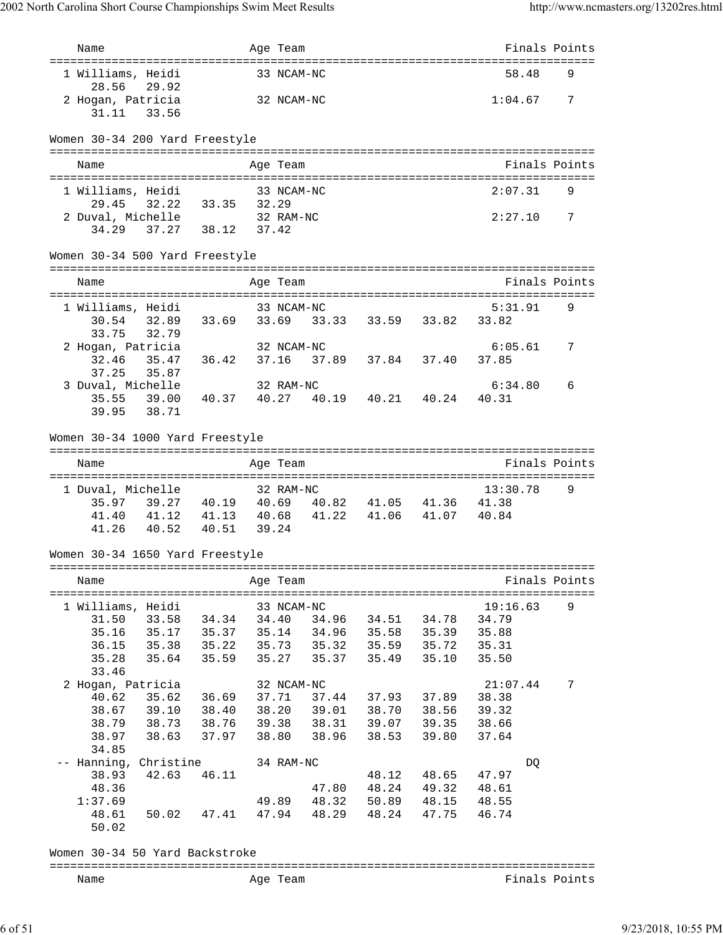| Name                                                              |       | Age Team            |       |                                                    |       |                   | Finals Points |
|-------------------------------------------------------------------|-------|---------------------|-------|----------------------------------------------------|-------|-------------------|---------------|
| 1 Williams, Heidi<br>28.56<br>29.92                               |       | 33 NCAM-NC          |       |                                                    |       | 58.48             | 9             |
| 2 Hogan, Patricia<br>31.11<br>33.56                               |       | 32 NCAM-NC          |       |                                                    |       | 1:04.67           | 7             |
| Women 30-34 200 Yard Freestyle                                    |       |                     |       |                                                    |       |                   |               |
| Name                                                              |       | Age Team            |       |                                                    |       |                   | Finals Points |
| 1 Williams, Heidi                                                 |       | 33 NCAM-NC          |       |                                                    |       | 2:07.31           | 9             |
| 32.22 33.35 32.29<br>29.45                                        |       |                     |       |                                                    |       |                   |               |
| 2 Duval, Michelle                                                 |       | 32 RAM-NC           |       |                                                    |       | 2:27.10           | 7             |
| 37.27 38.12 37.42<br>34.29                                        |       |                     |       |                                                    |       |                   |               |
| Women 30-34 500 Yard Freestyle                                    |       |                     |       |                                                    |       |                   |               |
|                                                                   |       |                     |       |                                                    |       |                   |               |
| Name                                                              |       | Age Team            |       |                                                    |       |                   | Finals Points |
| 1 Williams, Heidi                                                 |       | 33 NCAM-NC          |       |                                                    |       | 5:31.91           | 9             |
| 30.54 32.89 33.69 33.69 33.33 33.59 33.82 33.82                   |       |                     |       |                                                    |       |                   |               |
| 32.79<br>33.75                                                    |       |                     |       |                                                    |       |                   |               |
| 2 Hogan, Patricia<br>35.47 36.42 37.16 37.89 37.84 37.40<br>32.46 |       | 32 NCAM-NC          |       |                                                    |       | 6:05.61<br>37.85  | 7             |
| 37.25<br>35.87                                                    |       |                     |       |                                                    |       |                   |               |
| 3 Duval, Michelle                                                 |       | 32 RAM-NC           |       |                                                    |       | 6:34.80           | 6             |
| 39.00<br>40.37 40.27<br>35.55                                     |       |                     |       | 40.19  40.21  40.24                                |       | 40.31             |               |
| 38.71<br>39.95                                                    |       |                     |       |                                                    |       |                   |               |
| Women 30-34 1000 Yard Freestyle                                   |       |                     |       |                                                    |       |                   |               |
|                                                                   |       |                     |       |                                                    |       |                   |               |
| Name                                                              |       | Age Team            |       |                                                    |       |                   | Finals Points |
| 1 Duval, Michelle                                                 |       | 32 RAM-NC           |       |                                                    |       | 13:30.78          | 9             |
| 39.27 40.19 40.69 40.82 41.05 41.36 41.38<br>35.97                |       |                     |       |                                                    |       |                   |               |
| 41.12  41.13  40.68<br>41.40                                      |       |                     |       | 41.22 41.06 41.07 40.84                            |       |                   |               |
| 41.26<br>40.52 40.51                                              | 39.24 |                     |       |                                                    |       |                   |               |
| Women 30-34 1650 Yard Freestyle                                   |       |                     |       |                                                    |       |                   |               |
| Name                                                              |       | Age Team            |       |                                                    |       |                   | Finals Points |
|                                                                   |       |                     |       |                                                    |       |                   |               |
| 1 Williams, Heidi<br>31.50<br>33.58 34.34                         |       | 33 NCAM-NC<br>34.40 |       | 34.96 34.51                                        | 34.78 | 19:16.63<br>34.79 | 9             |
| 35.16<br>35.17 35.37                                              |       | 35.14               |       | 34.96 35.58                                        | 35.39 | 35.88             |               |
| 35.38 35.22<br>36.15                                              |       | 35.73               |       | 35.32 35.59 35.72                                  |       | 35.31             |               |
| 35.64<br>35.28<br>35.59                                           |       | 35.27               | 35.37 | 35.49                                              | 35.10 | 35.50             |               |
| 33.46<br>2 Hogan, Patricia                                        |       |                     |       |                                                    |       | 21:07.44          |               |
| 40.62<br>35.62<br>36.69                                           |       | 32 NCAM-NC<br>37.71 | 37.44 | 37.93 37.89                                        |       | 38.38             | 7             |
| 38.67<br>39.10 38.40                                              |       |                     |       |                                                    |       | 39.32             |               |
| 38.73 38.76<br>38.79                                              |       |                     |       | 38.20 39.01 38.70 38.56<br>39.38 38.31 39.07 39.35 |       | 38.66             |               |
| 38.63 37.97<br>38.97                                              |       | 38.80               | 38.96 | 38.53                                              | 39.80 | 37.64             |               |
| 34.85<br>-- Hanning, Christine                                    |       |                     |       |                                                    |       |                   |               |
| 42.63<br>38.93<br>46.11                                           |       | 34 RAM-NC           |       | 48.12                                              | 48.65 | DQ<br>47.97       |               |
| 48.36                                                             |       |                     | 47.80 | 48.24 49.32                                        |       | 48.61             |               |
| 1:37.69                                                           |       | 49.89               |       | 48.32 50.89 48.15                                  |       | 48.55             |               |
| 48.61<br>50.02<br>50.02                                           |       |                     |       | 47.41 47.94 48.29 48.24 47.75                      |       | 46.74             |               |
| Women 30-34 50 Yard Backstroke                                    |       |                     |       |                                                    |       |                   |               |
| Name                                                              |       | Age Team            |       |                                                    |       |                   | Finals Points |
|                                                                   |       |                     |       |                                                    |       |                   |               |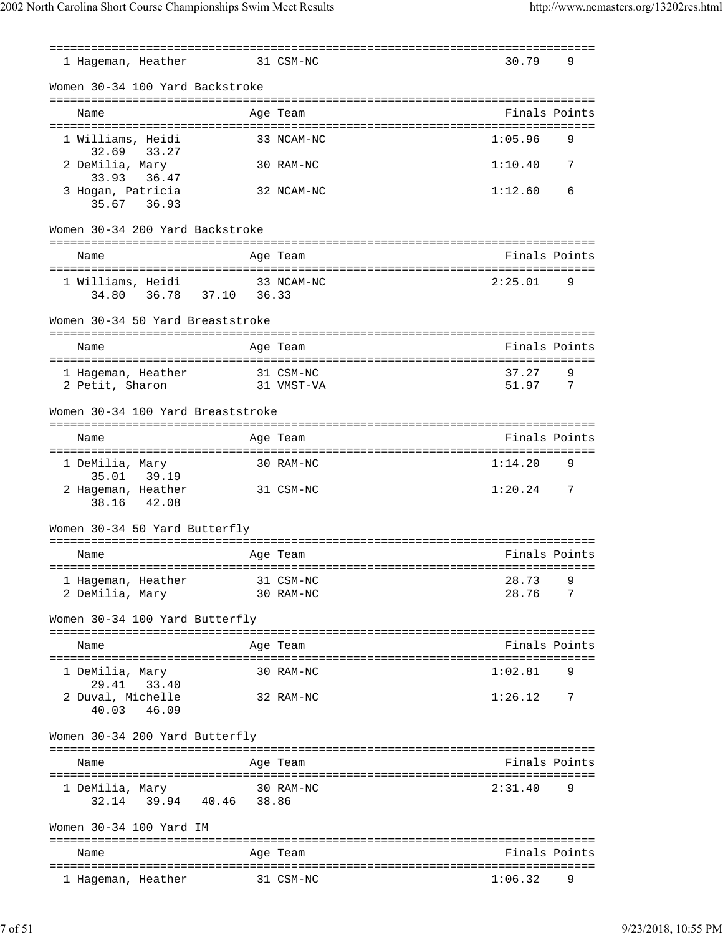=============================================================================== 1 Hageman, Heather 31 CSM-NC 30.79 9 Women 30-34 100 Yard Backstroke =============================================================================== Name **Age Team** Age Team **Finals Points** =============================================================================== 1 Williams, Heidi 33 NCAM-NC 32.69 33.27 2 DeMilia, Mary 30 RAM-NC 1:10.40 7 33.93 36.47 3 Hogan, Patricia 32 NCAM-NC 1:12.60 6 35.67 36.93 Women 30-34 200 Yard Backstroke =============================================================================== Name Age Team Age Team Finals Points =============================================================================== 33 NCAM-NC 2:25.01 34.80 36.78 37.10 36.33 Women 30-34 50 Yard Breaststroke =============================================================================== Name Age Team Age Team Finals Points =============================================================================== 1 Hageman, Heather 31 CSM-NC 37.27 9 2 Petit, Sharon 31 VMST-VA 51.97 7 Women 30-34 100 Yard Breaststroke =============================================================================== Name Age Team Finals Points =============================================================================== 1 DeMilia, Mary 30 RAM-NC 1:14.20 9 35.01 39.19 2 Hageman, Heather 31 CSM-NC 1:20.24 7 38.16 42.08 Women 30-34 50 Yard Butterfly =============================================================================== Name **Age Team** Age Team **Finals Points** =============================================================================== 1 Hageman, Heather 31 CSM-NC 28.73 2 DeMilia, Mary 30 RAM-NC 28.76 7 Women 30-34 100 Yard Butterfly =============================================================================== Name **Age Team Age Team** Reserve Rinals Points =============================================================================== 1 DeMilia, Mary 30 RAM-NC 1:02.81 29.41 33.40 2 Duval, Michelle 32 RAM-NC 1:26.12 7 40.03 46.09 Women 30-34 200 Yard Butterfly =============================================================================== Name Age Team Finals Points =============================================================================== 1 DeMilia, Mary 30 RAM-NC 2:31.40 9 32.14 39.94 40.46 38.86 Women 30-34 100 Yard IM =============================================================================== Name **Age Team** Age Team Finals Points =============================================================================== 1 Hageman, Heather 31 CSM-NC 1:06.32 9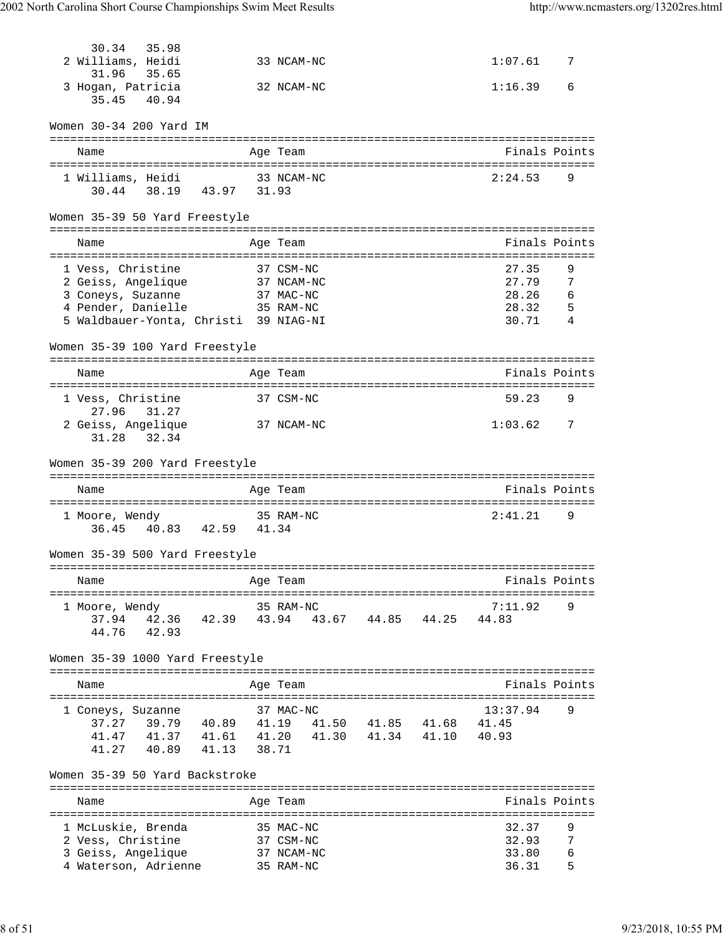| 30.34<br>35.98                                     |                |                    |                      |       |                                  |                |
|----------------------------------------------------|----------------|--------------------|----------------------|-------|----------------------------------|----------------|
| 2 Williams, Heidi<br>31.96<br>35.65                |                | 33 NCAM-NC         |                      |       | 1:07.61                          | 7              |
| 3 Hogan, Patricia<br>35.45<br>40.94                |                | 32 NCAM-NC         |                      |       | 1:16.39                          | 6              |
| Women 30-34 200 Yard IM                            |                |                    |                      |       |                                  |                |
| Name                                               |                | Age Team           |                      |       |                                  | Finals Points  |
| 1 Williams, Heidi                                  |                | 33 NCAM-NC         |                      |       | 2:24.53                          | 9              |
| 30.44 38.19 43.97 31.93                            |                |                    |                      |       |                                  |                |
| Women 35-39 50 Yard Freestyle                      |                |                    |                      |       |                                  |                |
| Name                                               |                | Age Team           |                      |       |                                  | Finals Points  |
| 1 Vess, Christine                                  |                | 37 CSM-NC          |                      |       | 27.35                            | 9              |
| 2 Geiss, Angelique                                 |                | 37 NCAM-NC         |                      |       | 27.79                            | 7              |
| 3 Coneys, Suzanne                                  |                | 37 MAC-NC          |                      |       | 28.26                            | 6              |
| 4 Pender, Danielle                                 |                | 35 RAM-NC          |                      |       | 28.32                            | -5             |
| 5 Waldbauer-Yonta, Christi 39 NIAG-NI              |                |                    |                      |       | 30.71                            | $\overline{4}$ |
| Women 35-39 100 Yard Freestyle                     |                |                    |                      |       |                                  |                |
| Name                                               |                | Age Team           |                      |       |                                  | Finals Points  |
| 1 Vess, Christine                                  |                | 37 CSM-NC          |                      |       | 59.23                            | 9              |
| 27.96<br>31.27<br>2 Geiss, Angelique               |                | 37 NCAM-NC         |                      |       | 1:03.62                          | 7              |
| 31.28 32.34                                        |                |                    |                      |       |                                  |                |
| Women 35-39 200 Yard Freestyle                     |                |                    |                      |       |                                  |                |
| Name                                               |                | Age Team           |                      |       |                                  | Finals Points  |
| 1 Moore, Wendy                                     |                | 35 RAM-NC          |                      |       | 2:41.21                          | 9              |
| 40.83 42.59 41.34<br>36.45                         |                |                    |                      |       |                                  |                |
| Women 35-39 500 Yard Freestyle                     |                |                    |                      |       |                                  |                |
| Name                                               |                | Age Team           |                      |       |                                  | Finals Points  |
|                                                    |                |                    |                      |       | ==============                   |                |
| 1 Moore, Wendy<br>37.94<br>42.36<br>42.39          |                | 35 RAM-NC<br>43.94 | 43.67 44.85          | 44.25 | 7:11.92<br>44.83                 | 9              |
| 42.93<br>44.76                                     |                |                    |                      |       |                                  |                |
| Women 35-39 1000 Yard Freestyle                    |                |                    |                      |       |                                  |                |
| Name                                               |                | Age Team           |                      |       |                                  | Finals Points  |
|                                                    |                |                    |                      |       |                                  |                |
| 1 Coneys, Suzanne                                  |                | 37 MAC-NC          |                      |       | 13:37.94                         | 9              |
| 39.79<br>40.89<br>37.27<br>41.47<br>41.37<br>41.61 | 41.19<br>41.20 | 41.50<br>41.30     | 41.85 41.68<br>41.34 | 41.10 | 41.45<br>40.93                   |                |
| 41.27<br>40.89<br>41.13                            | 38.71          |                    |                      |       |                                  |                |
| Women 35-39 50 Yard Backstroke                     |                |                    |                      |       |                                  |                |
|                                                    |                |                    |                      |       | ================================ |                |
| Name                                               |                | Age Team           |                      |       |                                  | Finals Points  |
| 1 McLuskie, Brenda                                 |                | 35 MAC-NC          |                      |       | 32.37                            | 9              |
| 2 Vess, Christine                                  |                | 37 CSM-NC          |                      |       | 32.93                            | 7              |
| 3 Geiss, Angelique                                 |                | 37 NCAM-NC         |                      |       | 33.80                            | 6              |
| 4 Waterson, Adrienne                               |                | 35 RAM-NC          |                      |       | 36.31                            | 5              |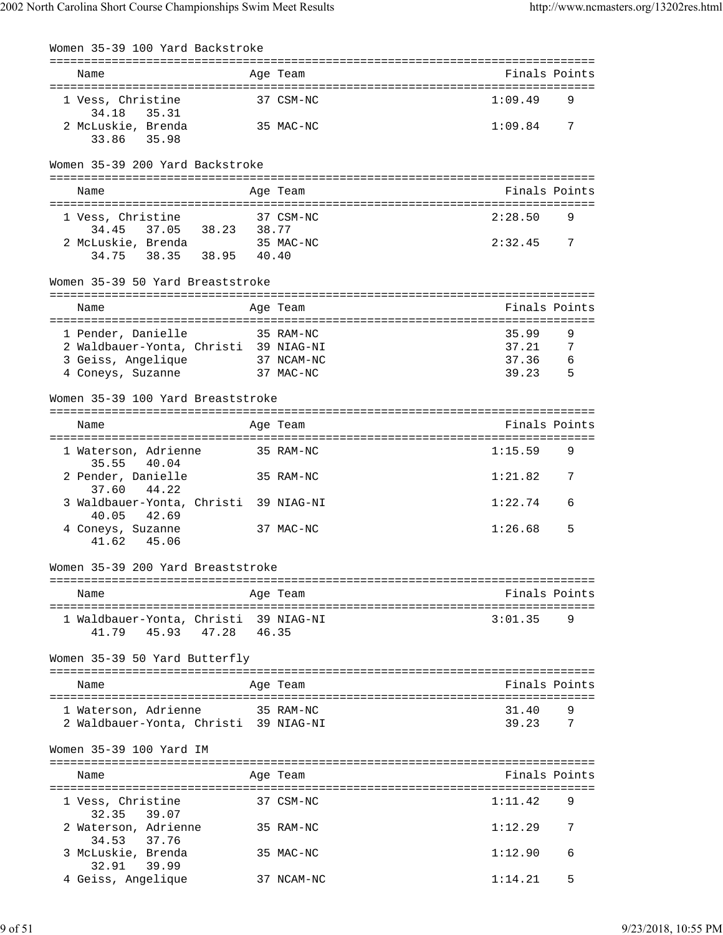| Women 35-39 100 Yard Backstroke                                           |                   |            |                |                |
|---------------------------------------------------------------------------|-------------------|------------|----------------|----------------|
| Name                                                                      |                   | Age Team   |                | Finals Points  |
| 1 Vess, Christine                                                         |                   | 37 CSM-NC  | 1:09.49        | 9              |
| 34.18 35.31<br>2 McLuskie, Brenda<br>33.86 35.98                          |                   | 35 MAC-NC  | 1:09.84        | 7              |
| Women 35-39 200 Yard Backstroke                                           |                   |            |                |                |
| Name                                                                      |                   | Age Team   |                | Finals Points  |
| 1 Vess, Christine                                                         |                   | 37 CSM-NC  | 2:28.50        | 9              |
| 34.45 37.05 38.23 38.77<br>2 McLuskie, Brenda<br>34.75 38.35 38.95 40.40  |                   | 35 MAC-NC  | 2:32.45        | $\overline{7}$ |
| Women 35-39 50 Yard Breaststroke                                          |                   |            |                |                |
| Name                                                                      |                   | Age Team   |                | Finals Points  |
| 1 Pender, Danielle                                                        | 35 RAM-NC         |            | 35.99          | 9              |
| 2 Waldbauer-Yonta, Christi 39 NIAG-NI                                     |                   |            | 37.21          | - 7            |
| 3 Geiss, Angelique 37 NCAM-NC                                             |                   |            | 37.36          | - 6            |
| 4 Coneys, Suzanne                                                         | 37 MAC-NC         |            | 39.23          | $-5$           |
| Women 35-39 100 Yard Breaststroke                                         |                   |            |                |                |
| Name                                                                      |                   | Age Team   |                | Finals Points  |
| 1 Waterson, Adrienne                                                      |                   | 35 RAM-NC  | 1:15.59        | 9              |
| 35.55 40.04<br>2 Pender, Danielle                                         | 35 RAM-NC         |            | 1:21.82        | 7              |
| 37.60<br>44.22<br>3 Waldbauer-Yonta, Christi 39 NIAG-NI<br>42.69<br>40.05 |                   |            | 1:22.74        | 6              |
| 4 Coneys, Suzanne<br>41.62  45.06                                         |                   | 37 MAC-NC  | 1:26.68        | 5              |
| Women 35-39 200 Yard Breaststroke                                         |                   |            |                |                |
| Name                                                                      |                   | Age Team   |                | Finals Points  |
|                                                                           |                   |            |                |                |
| 1 Waldbauer-Yonta, Christi 39 NIAG-NI<br>41.79                            | 45.93 47.28 46.35 |            | 3:01.35        | 9              |
| Women 35-39 50 Yard Butterfly                                             |                   |            |                |                |
| Name                                                                      |                   | Age Team   |                | Finals Points  |
|                                                                           |                   |            |                |                |
| 1 Waterson, Adrienne<br>2 Waldbauer-Yonta, Christi 39 NIAG-NI             | 35 RAM-NC         |            | 31.40<br>39.23 | 9<br>7         |
| Women 35-39 100 Yard IM                                                   |                   |            |                |                |
| Name                                                                      |                   | Age Team   |                | Finals Points  |
| 1 Vess, Christine<br>32.35 39.07                                          |                   | 37 CSM-NC  | 1:11.42        | 9              |
| 2 Waterson, Adrienne<br>37.76<br>34.53                                    |                   | 35 RAM-NC  | 1:12.29        | 7              |
| 3 McLuskie, Brenda<br>32.91 39.99                                         |                   | 35 MAC-NC  | 1:12.90        | 6              |
| 4 Geiss, Angelique                                                        |                   | 37 NCAM-NC | 1:14.21        | 5              |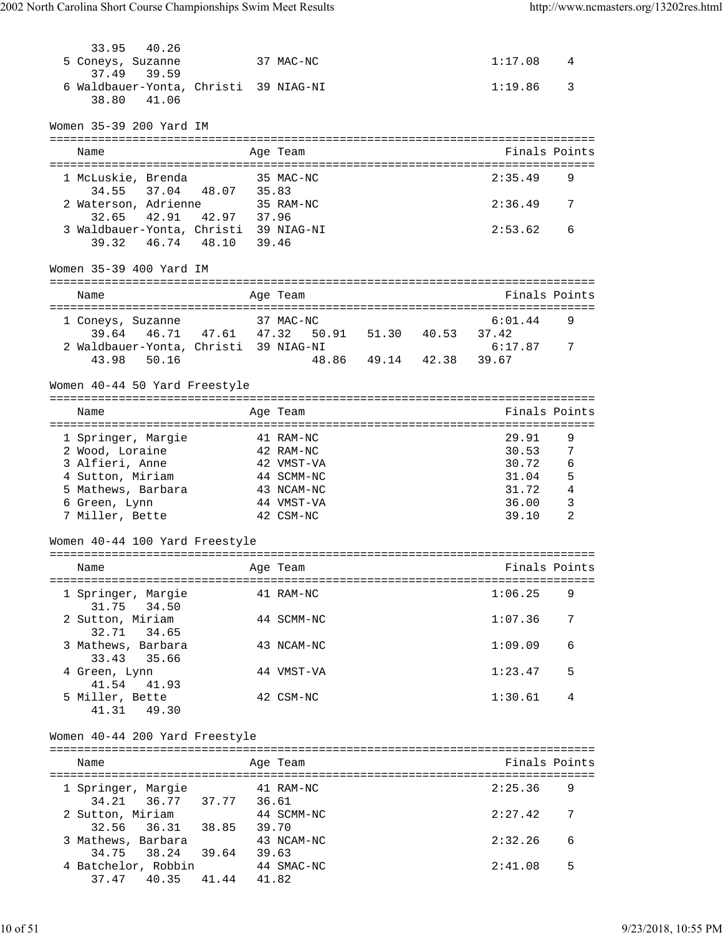| 33.95<br>40.26                                                            |       |                         |                         |                               |                |
|---------------------------------------------------------------------------|-------|-------------------------|-------------------------|-------------------------------|----------------|
| 5 Coneys, Suzanne                                                         |       | 37 MAC-NC               |                         | 1:17.08                       | 4              |
| 37.49<br>39.59<br>6 Waldbauer-Yonta, Christi 39 NIAG-NI<br>41.06<br>38.80 |       |                         |                         | 1:19.86                       | 3              |
| Women 35-39 200 Yard IM                                                   |       |                         |                         |                               |                |
| Name                                                                      |       | Age Team                |                         | Finals Points                 |                |
|                                                                           |       |                         |                         |                               |                |
| 1 McLuskie, Brenda                                                        |       | 35 MAC-NC               |                         | 2:35.49                       | 9              |
| 34.55 37.04 48.07 35.83<br>2 Waterson, Adrienne 35 RAM-NC                 |       |                         |                         | 2:36.49                       | 7              |
| 42.91 42.97 37.96<br>32.65                                                |       |                         |                         |                               |                |
| 3 Waldbauer-Yonta, Christi 39 NIAG-NI                                     |       |                         |                         | 2:53.62                       | 6              |
| 39.32 46.74 48.10                                                         | 39.46 |                         |                         |                               |                |
| Women 35-39 400 Yard IM                                                   |       |                         |                         |                               |                |
| Name                                                                      |       | Age Team                |                         | Finals Points                 |                |
|                                                                           |       |                         |                         |                               |                |
| 1 Coneys, Suzanne                                                         |       | 37 MAC-NC               |                         | 6:01.44                       | 9              |
| 39.64 46.71 47.61 47.32                                                   |       | 50.91 51.30 40.53 37.42 |                         |                               |                |
| 2 Waldbauer-Yonta, Christi 39 NIAG-NI<br>43.98 50.16                      |       |                         | 48.86 49.14 42.38 39.67 | 6:17.87                       | $\overline{7}$ |
|                                                                           |       |                         |                         |                               |                |
| Women 40-44 50 Yard Freestyle                                             |       |                         |                         |                               |                |
|                                                                           |       |                         |                         | ============================= |                |
| Name                                                                      |       | Age Team                |                         | Finals Points                 |                |
| 1 Springer, Margie                                                        |       | 41 RAM-NC               |                         | 29.91                         | 9              |
| 2 Wood, Loraine                                                           |       | 42 RAM-NC               |                         | 30.53                         | $\overline{7}$ |
| 3 Alfieri, Anne                                                           |       | 42 VMST-VA              |                         | 30.72                         | 6              |
| 4 Sutton, Miriam                                                          |       | 44 SCMM-NC              |                         | $31.04$ 5                     |                |
| 5 Mathews, Barbara                                                        |       | 43 NCAM-NC              |                         | 31.72                         | $\overline{4}$ |
| 6 Green, Lynn                                                             |       | 44 VMST-VA              |                         | 36.00                         | 3              |
| 7 Miller, Bette                                                           |       | 42 CSM-NC               |                         | 39.10                         | 2              |
| Women 40-44 100 Yard Freestyle                                            |       |                         |                         |                               |                |
| Name                                                                      |       | Age Team                |                         | Finals Points                 |                |
|                                                                           |       |                         |                         |                               |                |
| 1 Springer, Margie                                                        |       | 41 RAM-NC               |                         | 1:06.25                       | 9              |
| 31.75 34.50<br>2 Sutton, Miriam                                           |       | 44 SCMM-NC              |                         | 1:07.36                       | 7              |
| 32.71 34.65                                                               |       |                         |                         |                               |                |
| 3 Mathews, Barbara                                                        |       | 43 NCAM-NC              |                         | 1:09.09                       | 6              |
| 33.43 35.66                                                               |       |                         |                         |                               |                |
| 4 Green, Lynn                                                             |       | 44 VMST-VA              |                         | 1:23.47                       | 5              |
| 41.54 41.93                                                               |       |                         |                         |                               |                |
| 5 Miller, Bette<br>41.31 49.30                                            |       | 42 CSM-NC               |                         | 1:30.61                       | 4              |
|                                                                           |       |                         |                         |                               |                |
| Women 40-44 200 Yard Freestyle                                            |       |                         |                         |                               |                |
|                                                                           |       |                         |                         |                               |                |
| Name                                                                      |       | Age Team                |                         | Finals Points                 |                |
| 1 Springer, Margie 641 RAM-NC                                             |       |                         |                         | 2:25.36                       | 9              |
|                                                                           |       |                         |                         |                               |                |
| 2 Sutton, Miriam 44 SCMM-NC<br>32.56 36.31 38.85 39.70                    |       |                         |                         | 2:27.42                       | 7              |
|                                                                           |       |                         |                         |                               |                |
| 3 Mathews, Barbara                                                        |       | 43 NCAM-NC              |                         | 2:32.26                       | 6              |
| 34.75 38.24 39.64 39.63                                                   |       |                         |                         | 2:41.08                       | 5              |
| 4 Batchelor, Robbin<br>37.47 40.35 41.44 41.82                            |       | 44 SMAC-NC              |                         |                               |                |
|                                                                           |       |                         |                         |                               |                |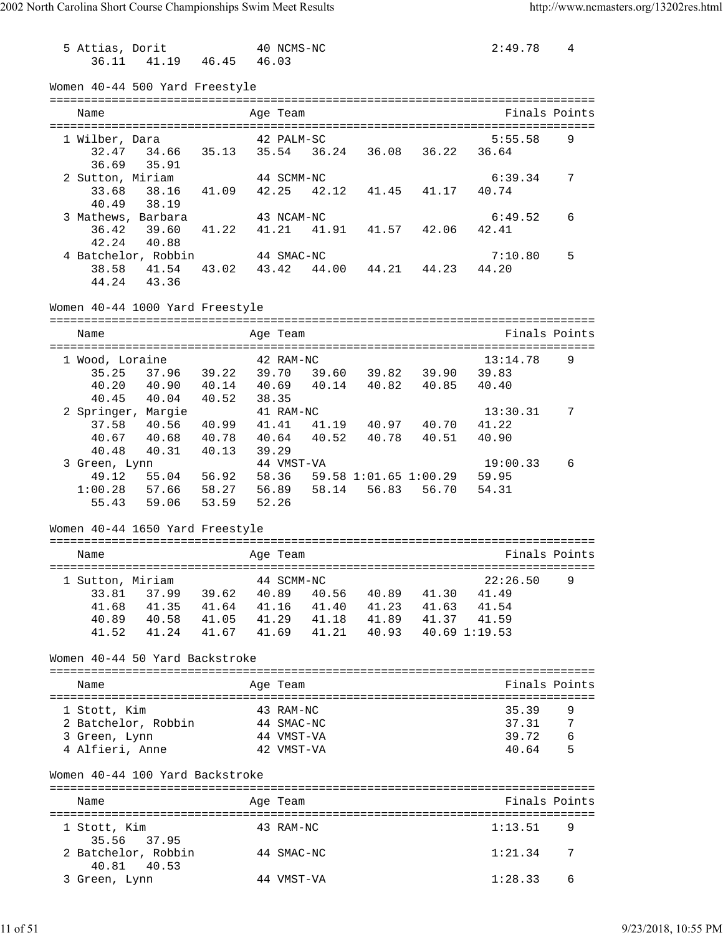5 Attias, Dorit 40 NCMS-NC 2:49.78 4 36.11 41.19 46.45 46.03 Women 40-44 500 Yard Freestyle =============================================================================== Name **Age Team** Age Team **Finals Points** =============================================================================== 1 Wilber, Dara 5:55.58 92 PALM-SC 32.47 34.66 35.13 35.54 36.24 36.08 36.22 36.64 36.69 35.91 2 Sutton, Miriam 44 SCMM-NC 6:39.34 7 33.68 38.16 41.09 42.25 42.12 41.45 41.17 40.74 40.49 38.19<br>3 Mathews, Barbara 43 NCAM-NC 3 Mathews, Barbara 43 NCAM-NC 6:49.52 6 36.42 39.60 41.22 41.21 41.91 41.57 42.06 42.41 42.24 40.88 4 Batchelor, Robbin 44 SMAC-NC 7:10.80 5 38.58 41.54 43.02 43.42 44.00 44.21 44.23 44.20 44.24 43.36 Women 40-44 1000 Yard Freestyle =============================================================================== Name Age Team Age Team Finals Points =============================================================================== 1 Wood, Loraine 42 RAM-NC 13:14.78 35.25 37.96 39.22 39.70 39.60 39.82 39.90 39.83 40.20 40.90 40.14 40.69 40.14 40.82 40.85 40.40 40.45 40.04 40.52 38.35 2 Springer, Margie 41 RAM-NC 13:30.31 7 37.58 40.56 40.99 41.41 41.19 40.97 40.70 41.22 40.67 40.68 40.78 40.64 40.52 40.78 40.51 40.90 40.48 40.31 40.13 39.29 3 Green, Lynn 44 VMST-VA 19:00.33 6 49.12 55.04 56.92 58.36 59.58 1:01.65 1:00.29 59.95 1:00.28 57.66 58.27 56.89 58.14 56.83 56.70 54.31 55.43 59.06 53.59 52.26 Women 40-44 1650 Yard Freestyle =============================================================================== Name Age Team Age Team Finals Points =============================================================================== 1 Sutton, Miriam 44 SCMM-NC 22:26.50 9 33.81 37.99 39.62 40.89 40.56 40.89 41.30 41.49 41.68 41.35 41.64 41.16 41.40 41.23 41.63 41.54 40.89 40.58 41.05 41.29 41.18 41.89 41.37 41.59 41.52 41.24 41.67 41.69 41.21 40.93 40.69 1:19.53 Women 40-44 50 Yard Backstroke =============================================================================== Name Age Team Finals Points =============================================================================== 1 Stott, Kim 43 RAM-NC 35.39 2 Batchelor, Robbin 44 SMAC-NC 37.31 7 3 Green, Lynn 44 VMST-VA 39.72 6 4 Alfieri, Anne 42 VMST-VA 40.64 5 Women 40-44 100 Yard Backstroke =============================================================================== Name **Age Team Age Team** Research Rinals Points =============================================================================== 1 Stott, Kim 43 RAM-NC 35.56 37.95 2 Batchelor, Robbin 44 SMAC-NC 1:21.34 7 40.81 40.53 3 Green, Lynn 44 VMST-VA 1:28.33 6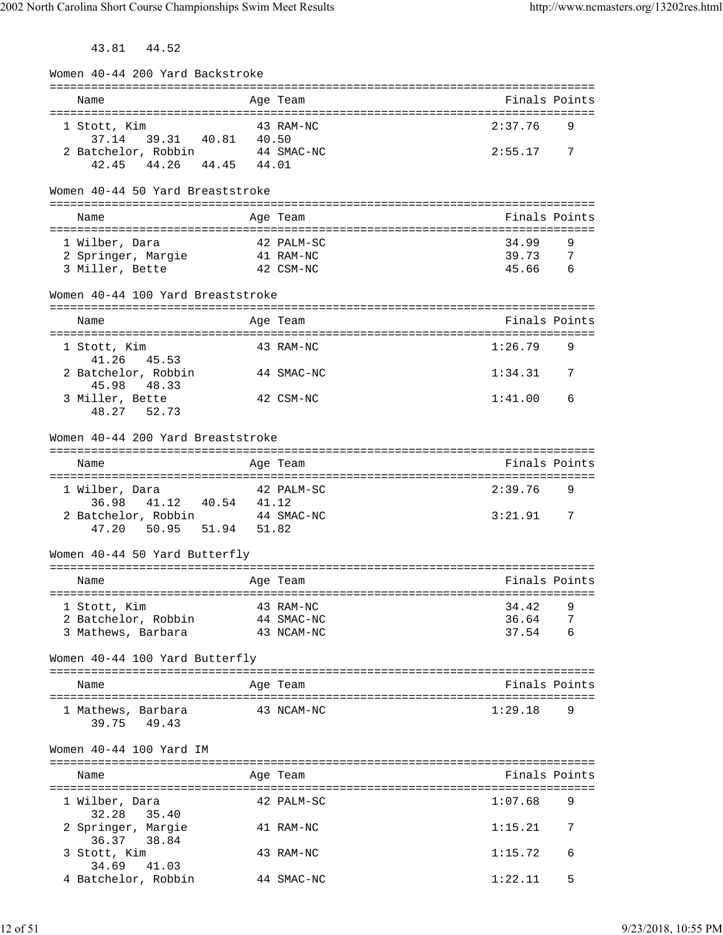43.81 44.52

| Women 40-44 200 Yard Backstroke         |            |               |               |
|-----------------------------------------|------------|---------------|---------------|
| Name                                    | Age Team   | Finals Points |               |
|                                         |            |               |               |
| 1 Stott, Kim<br>37.14 39.31 40.81 40.50 | 43 RAM-NC  | 2:37.76       | 9             |
| 2 Batchelor, Robbin 44 SMAC-NC          |            | 2:55.17       | 7             |
| 42.45 44.26 44.45 44.01                 |            |               |               |
| Women 40-44 50 Yard Breaststroke        |            |               |               |
|                                         |            |               |               |
| Name                                    | Age Team   | Finals Points |               |
| 1 Wilber, Dara                          | 42 PALM-SC | 34.99         | 9             |
| 2 Springer, Margie                      | 41 RAM-NC  | 39.73 7       |               |
| 3 Miller, Bette                         | 42 CSM-NC  | 45.66         | 6             |
| Women 40-44 100 Yard Breaststroke       |            |               |               |
|                                         |            |               |               |
| Name                                    | Age Team   | Finals Points |               |
| 1 Stott, Kim<br>41.26 45.53             | 43 RAM-NC  | 1:26.79       | 9             |
| 2 Batchelor, Robbin<br>45.98<br>48.33   | 44 SMAC-NC | 1:34.31       | 7             |
| 3 Miller, Bette                         | 42 CSM-NC  | 1:41.00       | 6             |
| 48.27 52.73                             |            |               |               |
| Women 40-44 200 Yard Breaststroke       |            |               |               |
| Name                                    | Age Team   | Finals Points |               |
|                                         |            |               |               |
| 1 Wilber, Dara<br>41.12  40.54  41.12   | 42 PALM-SC | 2:39.76       | 9             |
| 36.98<br>2 Batchelor, Robbin 44 SMAC-NC |            | 3:21.91 7     |               |
| 47.20 50.95 51.94 51.82                 |            |               |               |
|                                         |            |               |               |
| Women 40-44 50 Yard Butterfly           |            |               |               |
| Name                                    | Age Team   | Finals Points |               |
| 1 Stott, Kim                            | 43 RAM-NC  | 34.42         | 9             |
| 2 Batchelor, Robbin                     | 44 SMAC-NC | 36.64         | 7             |
| 3 Mathews, Barbara                      | 43 NCAM-NC | 37.54         | 6             |
| Women 40-44 100 Yard Butterfly          |            |               |               |
| Name                                    | Age Team   |               | Finals Points |
| 1 Mathews, Barbara                      | 43 NCAM-NC | 1:29.18       | 9             |
| 49.43<br>39.75                          |            |               |               |
| Women 40-44 100 Yard IM                 |            |               |               |
| Name                                    | Age Team   | Finals Points |               |
| 1 Wilber, Dara                          | 42 PALM-SC | 1:07.68       | 9             |
| 32.28<br>35.40<br>2 Springer, Margie    | 41 RAM-NC  | 1:15.21       | 7             |
| 36.37 38.84                             |            |               |               |
| 3 Stott, Kim                            | 43 RAM-NC  | 1:15.72       | 6             |
| 34.69<br>41.03<br>4 Batchelor, Robbin   | 44 SMAC-NC | 1:22.11       | 5             |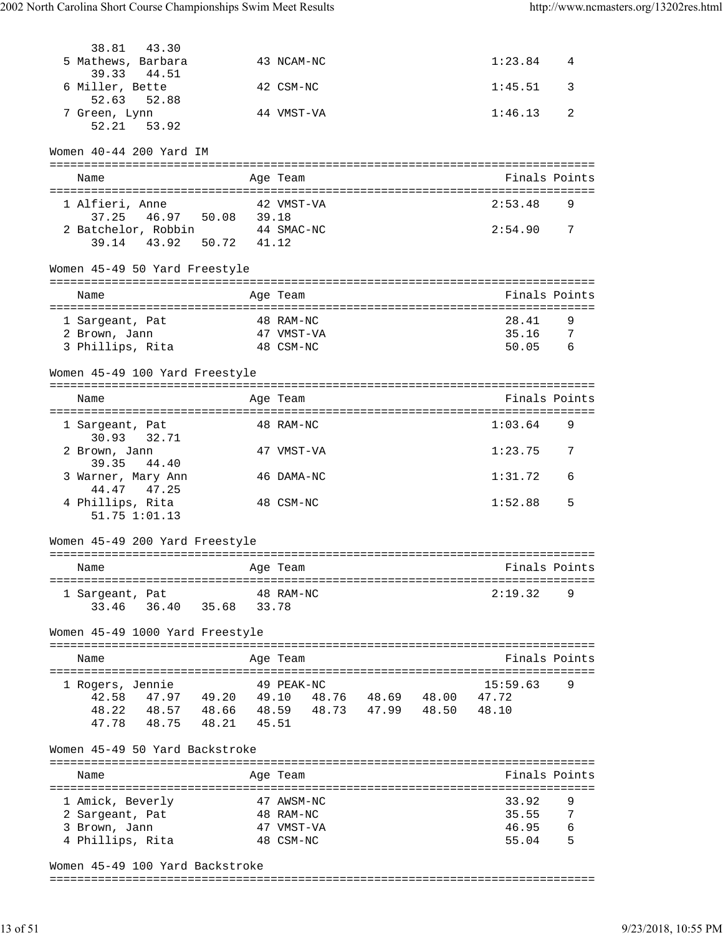| 38.81<br>43.30                             |       |                         |                   |  |                   |        |
|--------------------------------------------|-------|-------------------------|-------------------|--|-------------------|--------|
| 5 Mathews, Barbara<br>39.33<br>44.51       |       | 43 NCAM-NC              |                   |  | 1:23.84           | 4      |
| 6 Miller, Bette<br>52.63<br>52.88          |       | 42 CSM-NC               |                   |  | 1:45.51           | 3      |
| 7 Green, Lynn                              |       | 44 VMST-VA              |                   |  | 1:46.13           | 2      |
| 52.21 53.92                                |       |                         |                   |  |                   |        |
|                                            |       |                         |                   |  |                   |        |
| Women 40-44 200 Yard IM                    |       |                         |                   |  |                   |        |
| Name                                       |       | Age Team                |                   |  | Finals Points     |        |
|                                            |       |                         |                   |  |                   |        |
| 1 Alfieri, Anne<br>37.25 46.97 50.08 39.18 |       | 42 VMST-VA              |                   |  | 2:53.48           | 9      |
| 2 Batchelor, Robbin 44 SMAC-NC             |       |                         |                   |  | 2:54.90           | 7      |
| 39.14 43.92 50.72 41.12                    |       |                         |                   |  |                   |        |
| Women 45-49 50 Yard Freestyle              |       |                         |                   |  |                   |        |
| Name                                       |       | Age Team                |                   |  | Finals Points     |        |
|                                            |       |                         |                   |  |                   |        |
| 1 Sargeant, Pat                            |       | 48 RAM-NC               |                   |  | 28.41             | 9      |
| 2 Brown, Jann                              |       | 47 VMST-VA              |                   |  | 35.16             | 7      |
| 3 Phillips, Rita                           |       | 48 CSM-NC               |                   |  | 50.05             | 6      |
| Women 45-49 100 Yard Freestyle             |       |                         |                   |  |                   |        |
| Name                                       |       | Age Team                |                   |  | Finals Points     |        |
|                                            |       |                         |                   |  |                   |        |
| 1 Sargeant, Pat<br>30.93 32.71             |       | 48 RAM-NC               |                   |  | 1:03.64           | 9      |
| 2 Brown, Jann                              |       | 47 VMST-VA              |                   |  | 1:23.75           | 7      |
| 39.35<br>44.40                             |       |                         |                   |  |                   |        |
| 3 Warner, Mary Ann                         |       | 46 DAMA-NC              |                   |  | 1:31.72           | 6      |
| 44.47 47.25<br>4 Phillips, Rita            |       | 48 CSM-NC               |                   |  | 1:52.88           | 5      |
| $51.75$ $1:01.13$                          |       |                         |                   |  |                   |        |
| Women 45-49 200 Yard Freestyle             |       |                         |                   |  |                   |        |
|                                            |       | ==========              |                   |  |                   |        |
| Name                                       |       | Age Team                |                   |  | Finals Points     |        |
| 1 Sargeant, Pat                            |       | 48 RAM-NC               |                   |  | 2:19.32           | 9      |
| 36.40 35.68<br>33.46                       |       | 33.78                   |                   |  |                   |        |
|                                            |       |                         |                   |  |                   |        |
| Women 45-49 1000 Yard Freestyle            |       |                         |                   |  |                   |        |
| Name                                       |       | Age Team                |                   |  | Finals Points     |        |
|                                            |       |                         |                   |  |                   |        |
| 1 Rogers, Jennie<br>42.58<br>47.97 49.20   | 49.10 | 49 PEAK-NC              | 48.76 48.69 48.00 |  | 15:59.63<br>47.72 | 9      |
| 48.22<br>48.57 48.66                       |       | 48.59 48.73 47.99 48.50 |                   |  | 48.10             |        |
| 47.78<br>48.75 48.21                       | 45.51 |                         |                   |  |                   |        |
|                                            |       |                         |                   |  |                   |        |
| Women 45-49 50 Yard Backstroke             |       |                         |                   |  |                   |        |
| Name                                       |       | Age Team                |                   |  | Finals Points     |        |
|                                            |       |                         |                   |  |                   |        |
| 1 Amick, Beverly                           |       | 47 AWSM-NC              |                   |  | 33.92             | 9      |
| 2 Sargeant, Pat                            |       | 48 RAM-NC<br>47 VMST-VA |                   |  | 35.55<br>46.95    | 7<br>6 |
| 3 Brown, Jann<br>4 Phillips, Rita          |       | 48 CSM-NC               |                   |  | 55.04             | 5      |
|                                            |       |                         |                   |  |                   |        |

Women 45-49 100 Yard Backstroke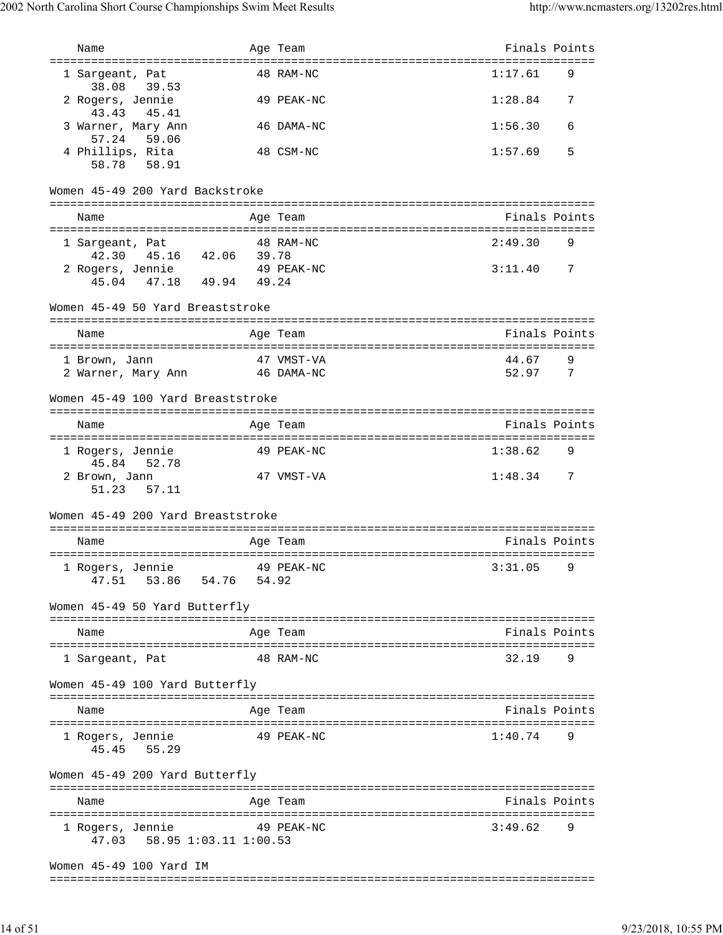| Name                                                                  | Age Team    | Finals Points |               |
|-----------------------------------------------------------------------|-------------|---------------|---------------|
| ===================================<br>1 Sargeant, Pat<br>38.08 39.53 | 48 RAM-NC   | 1:17.61       | 9             |
| 2 Rogers, Jennie<br>43.43 45.41                                       | 49 PEAK-NC  | 1:28.84       | 7             |
| 3 Warner, Mary Ann<br>57.24 59.06                                     | 46 DAMA-NC  | 1:56.30       | 6             |
| 4 Phillips, Rita<br>58.78 58.91                                       | 48 CSM-NC   | 1:57.69       | 5             |
| Women 45-49 200 Yard Backstroke                                       |             |               |               |
| Name                                                                  | Age Team    | Finals Points |               |
| 1 Sargeant, Pat                                                       | 48 RAM-NC   | 2:49.30       | 9             |
| 42.30  45.16  42.06  39.78                                            |             |               |               |
| 2 Rogers, Jennie 49 PEAK-NC<br>45.04 47.18 49.94 49.24                |             | 3:11.40       | 7             |
| Women 45-49 50 Yard Breaststroke                                      |             |               |               |
| Name                                                                  | Age Team    |               | Finals Points |
|                                                                       |             |               |               |
| 1 Brown, Jann                                                         | 47 VMST-VA  | 44.67         | 9             |
| 2 Warner, Mary Ann 46 DAMA-NC                                         |             | 52.97 7       |               |
| Women 45-49 100 Yard Breaststroke                                     |             |               |               |
| Name                                                                  | Age Team    | Finals Points |               |
| 1 Rogers, Jennie<br>45.84 52.78                                       | 49 PEAK-NC  | 1:38.62       | 9             |
| 2 Brown, Jann<br>51.23 57.11                                          | 47 VMST-VA  | $1:48.34$ 7   |               |
| Women 45-49 200 Yard Breaststroke                                     |             |               |               |
| Name                                                                  | Age Team    |               | Finals Points |
| 1 Rogers, Jennie 19 PEAK-NC                                           | $3:31.05$ 9 |               |               |
| 47.51 53.86 54.76 54.92                                               |             |               |               |
| Women 45-49 50 Yard Butterfly                                         |             |               |               |
| Name                                                                  | Age Team    |               | Finals Points |
| 1 Sargeant, Pat                                                       | 48 RAM-NC   | 32.19         | 9             |
| Women 45-49 100 Yard Butterfly                                        |             |               |               |
| Name                                                                  | Age Team    |               | Finals Points |
| 1 Rogers, Jennie<br>45.45 55.29                                       | 49 PEAK-NC  | 1:40.74       | 9             |
| Women 45-49 200 Yard Butterfly                                        |             |               |               |
| Name                                                                  | Age Team    |               | Finals Points |
| 1 Rogers, Jennie<br>49 PEAK-NC<br>47.03 58.95 1:03.11 1:00.53         |             | 3:49.62       | 9             |
| Women 45-49 100 Yard IM                                               |             |               |               |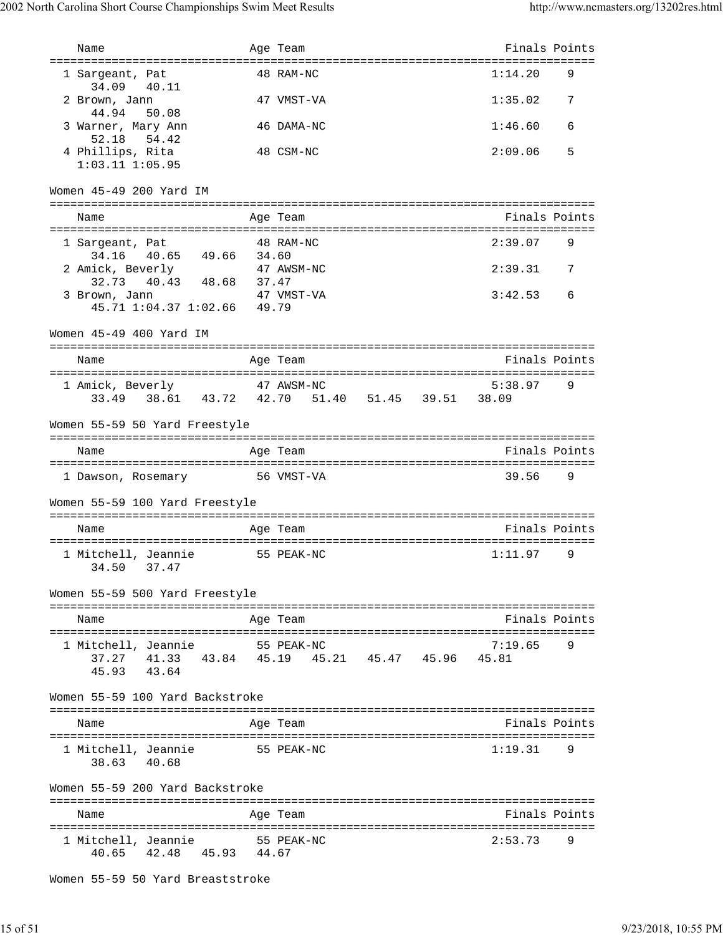| Name                                                             |       | Age Team                                  | Finals Points    |   |
|------------------------------------------------------------------|-------|-------------------------------------------|------------------|---|
| =====================================                            |       |                                           |                  |   |
| 1 Sargeant, Pat<br>34.09<br>40.11                                |       | 48 RAM-NC                                 | 1:14.20          | 9 |
| 2 Brown, Jann<br>44.94<br>50.08                                  |       | 47 VMST-VA                                | 1:35.02          | 7 |
| 3 Warner, Mary Ann<br>52.18 54.42                                |       | 46 DAMA-NC                                | 1:46.60          | 6 |
| 4 Phillips, Rita<br>$1:03.11$ $1:05.95$                          |       | 48 CSM-NC                                 | 2:09.06          | 5 |
| Women 45-49 200 Yard IM                                          |       |                                           |                  |   |
| Name                                                             |       | Age Team                                  | Finals Points    |   |
| 1 Sargeant, Pat                                                  |       | 48 RAM-NC                                 | 2:39.07          | 9 |
| 40.65<br>49.66<br>34.16<br>2 Amick, Beverly<br>32.73 40.43 48.68 | 34.60 | 47 AWSM-NC                                | 2:39.31          | 7 |
| 3 Brown, Jann<br>45.71 1:04.37 1:02.66 49.79                     | 37.47 | 47 VMST-VA                                | 3:42.53          | 6 |
| Women 45-49 400 Yard IM                                          |       |                                           |                  |   |
| Name                                                             |       | Age Team                                  | Finals Points    |   |
|                                                                  |       |                                           |                  |   |
| 1 Amick, Beverly<br>38.61 43.72 42.70<br>33.49                   |       | 47 AWSM-NC<br>51.40 51.45 39.51           | 5:38.97<br>38.09 | 9 |
| Women 55-59 50 Yard Freestyle                                    |       |                                           |                  |   |
| Name                                                             |       | Age Team                                  | Finals Points    |   |
| 1 Dawson, Rosemary                                               |       | 56 VMST-VA                                | 39.56            | 9 |
|                                                                  |       |                                           |                  |   |
| Women 55-59 100 Yard Freestyle                                   |       |                                           |                  |   |
| Name                                                             |       | Age Team                                  | Finals Points    |   |
| 1 Mitchell, Jeannie<br>34.50<br>37.47                            |       | 55 PEAK-NC                                | 1:11.97          | 9 |
| Women 55-59 500 Yard Freestyle                                   |       |                                           |                  |   |
| Name                                                             |       | Age Team                                  | Finals Points    |   |
| 1 Mitchell, Jeannie 55 PEAK-NC<br>45.93 43.64                    |       | 37.27 41.33 43.84 45.19 45.21 45.47 45.96 | 7:19.65<br>45.81 | 9 |
| Women 55-59 100 Yard Backstroke                                  |       |                                           |                  |   |
| Name                                                             |       | Age Team                                  | Finals Points    |   |
| 1 Mitchell, Jeannie<br>38.63 40.68                               |       | 55 PEAK-NC                                | 1:19.31          | 9 |
| Women 55-59 200 Yard Backstroke                                  |       |                                           |                  |   |
| Name                                                             |       | Age Team                                  | Finals Points    |   |
| 1 Mitchell, Jeannie<br>40.65 42.48 45.93 44.67                   |       | 55 PEAK-NC                                | 2:53.73          | 9 |

```
Women 55-59 50 Yard Breaststroke
```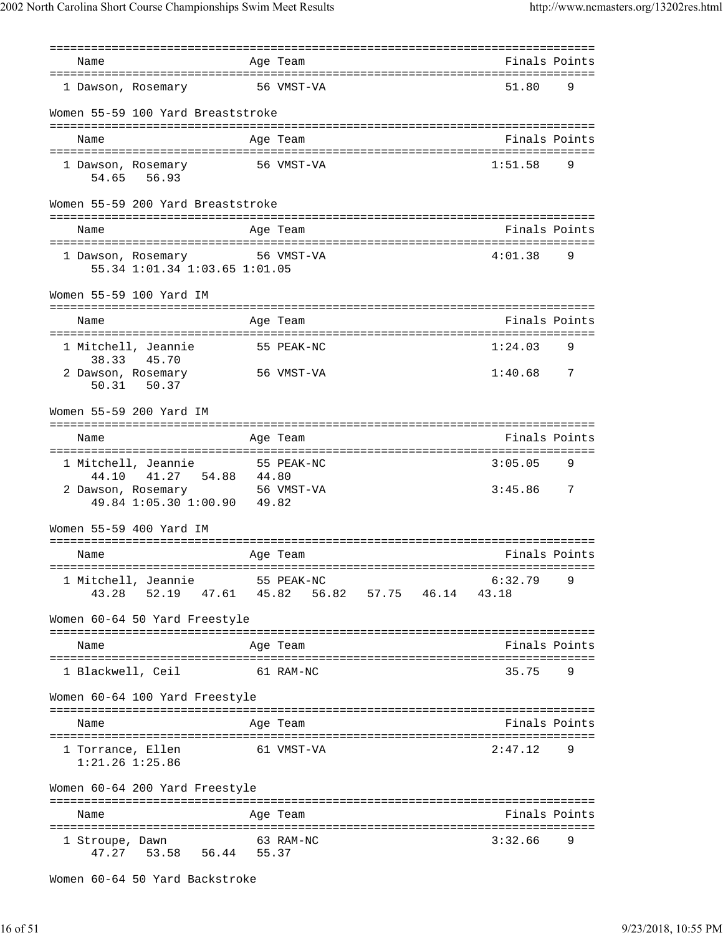| Name                                                           | Age Team                                        | Finals Points    |   |
|----------------------------------------------------------------|-------------------------------------------------|------------------|---|
| 1 Dawson, Rosemary                                             | 56 VMST-VA                                      | 51.80            | 9 |
| Women 55-59 100 Yard Breaststroke                              |                                                 |                  |   |
| Name                                                           | Age Team                                        | Finals Points    |   |
| 1 Dawson, Rosemary<br>54.65 56.93                              | 56 VMST-VA                                      | 1:51.58          | 9 |
| Women 55-59 200 Yard Breaststroke                              |                                                 |                  |   |
| Name                                                           | Age Team                                        | Finals Points    |   |
| 1 Dawson, Rosemary 56 VMST-VA<br>55.34 1:01.34 1:03.65 1:01.05 |                                                 | 4:01.38          | 9 |
| Women 55-59 100 Yard IM                                        |                                                 |                  |   |
| Name                                                           | Age Team                                        | Finals Points    |   |
| 1 Mitchell, Jeannie<br>38.33<br>45.70                          | 55 PEAK-NC                                      | 1:24.03          | 9 |
| 2 Dawson, Rosemary<br>50.37<br>50.31                           | 56 VMST-VA                                      | 1:40.68          | 7 |
| Women 55-59 200 Yard IM                                        |                                                 |                  |   |
| Name                                                           | Age Team                                        | Finals Points    |   |
| 1 Mitchell, Jeannie<br>41.27 54.88 44.80<br>44.10              | 55 PEAK-NC                                      | 3:05.05          | 9 |
| 2 Dawson, Rosemary 56 VMST-VA<br>49.84 1:05.30 1:00.90 49.82   |                                                 | 3:45.86          | 7 |
| Women 55-59 400 Yard IM                                        |                                                 |                  |   |
| Name                                                           | Age Team                                        | Finals Points    |   |
| 1 Mitchell, Jeannie<br>52.19<br>43.28                          | 55 PEAK-NC<br>47.61  45.82  56.82  57.75  46.14 | 6:32.79<br>43.18 | 9 |
| Women 60-64 50 Yard Freestyle                                  |                                                 |                  |   |
| Name                                                           | Age Team                                        | Finals Points    |   |
| 1 Blackwell, Ceil                                              | 61 RAM-NC                                       | 35.75            | 9 |
| Women 60-64 100 Yard Freestyle                                 |                                                 |                  |   |
| Name                                                           | Age Team                                        | Finals Points    |   |
| 1 Torrance, Ellen<br>$1:21.26$ $1:25.86$                       | 61 VMST-VA                                      | 2:47.12          | 9 |
| Women 60-64 200 Yard Freestyle                                 |                                                 |                  |   |
| Name                                                           | Age Team                                        | Finals Points    |   |
| 1 Stroupe, Dawn<br>47.27 53.58 56.44 55.37                     | 63 RAM-NC                                       | 3:32.66          | 9 |

```
Women 60-64 50 Yard Backstroke
```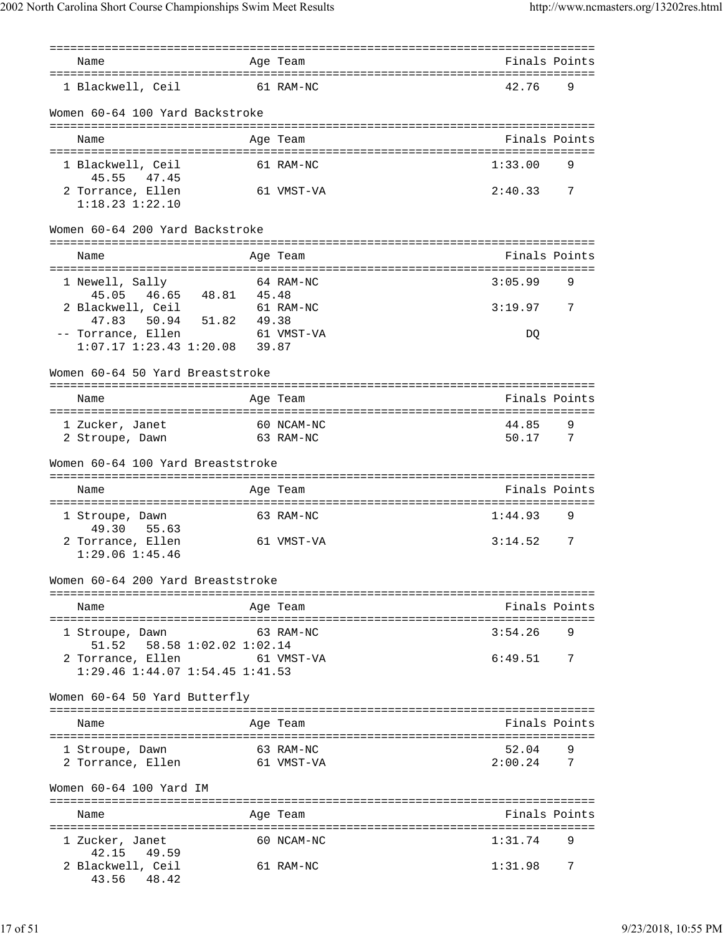| Name                                                                  |       | Age Team                                                        | Finals Points    |                |
|-----------------------------------------------------------------------|-------|-----------------------------------------------------------------|------------------|----------------|
| 1 Blackwell, Ceil                                                     |       | 61 RAM-NC                                                       | 42.76            | 9              |
| Women 60-64 100 Yard Backstroke                                       |       |                                                                 |                  |                |
| Name                                                                  |       | Age Team                                                        | Finals Points    |                |
| 1 Blackwell, Ceil<br>45.55<br>47.45                                   |       | 61 RAM-NC                                                       | 1:33.00          | 9              |
| 2 Torrance, Ellen<br>$1:18.23$ $1:22.10$                              |       | 61 VMST-VA                                                      | 2:40.33          | 7              |
| Women 60-64 200 Yard Backstroke                                       |       |                                                                 |                  |                |
| Name                                                                  |       | Age Team<br>================================                    | Finals Points    |                |
| 1 Newell, Sally<br>45.05  46.65  48.81  45.48                         |       | 64 RAM-NC                                                       | 3:05.99          | 9              |
| 2 Blackwell, Ceil<br>50.94 51.82<br>47.83                             | 49.38 | 61 RAM-NC                                                       | 3:19.97          | 7              |
| -- Torrance, Ellen<br>$1:07.17$ $1:23.43$ $1:20.08$ 39.87             |       | 61 VMST-VA                                                      | DO               |                |
| Women 60-64 50 Yard Breaststroke                                      |       |                                                                 |                  |                |
| Name                                                                  |       | Age Team                                                        | Finals Points    |                |
| 1 Zucker, Janet<br>2 Stroupe, Dawn                                    |       | ====================================<br>60 NCAM-NC<br>63 RAM-NC | 44.85<br>50.17   | 9<br>- 7       |
| Women 60-64 100 Yard Breaststroke                                     |       |                                                                 |                  |                |
| Name                                                                  |       | Age Team                                                        | Finals Points    |                |
| 1 Stroupe, Dawn<br>49.30 55.63                                        |       | 63 RAM-NC                                                       | 1:44.93          | 9              |
| 2 Torrance, Ellen<br>$1:29.06$ $1:45.46$                              |       | 61 VMST-VA                                                      | 3:14.52          | 7              |
| Women 60-64 200 Yard Breaststroke<br>================================ |       |                                                                 |                  |                |
| Name                                                                  |       | Age Team                                                        | Finals Points    |                |
| 1 Stroupe, Dawn<br>51.52   58.58   1:02.02   1:02.14                  |       | 63 RAM-NC                                                       | 3:54.26          | 9              |
| 2 Torrance, Ellen 61 VMST-VA                                          |       |                                                                 |                  |                |
| 1:29.46 1:44.07 1:54.45 1:41.53                                       |       |                                                                 | 6:49.51          | 7              |
| Women 60-64 50 Yard Butterfly                                         |       |                                                                 |                  |                |
| Name                                                                  |       | Age Team                                                        | Finals Points    |                |
| 1 Stroupe, Dawn<br>2 Torrance, Ellen                                  |       | 63 RAM-NC<br>61 VMST-VA                                         | 52.04<br>2:00.24 | $\overline{7}$ |
| Women 60-64 100 Yard IM                                               |       |                                                                 |                  |                |
| Name                                                                  |       | Age Team                                                        | Finals Points    |                |
| 1 Zucker, Janet<br>42.15 49.59                                        |       | 60 NCAM-NC                                                      | 1:31.74          | 9              |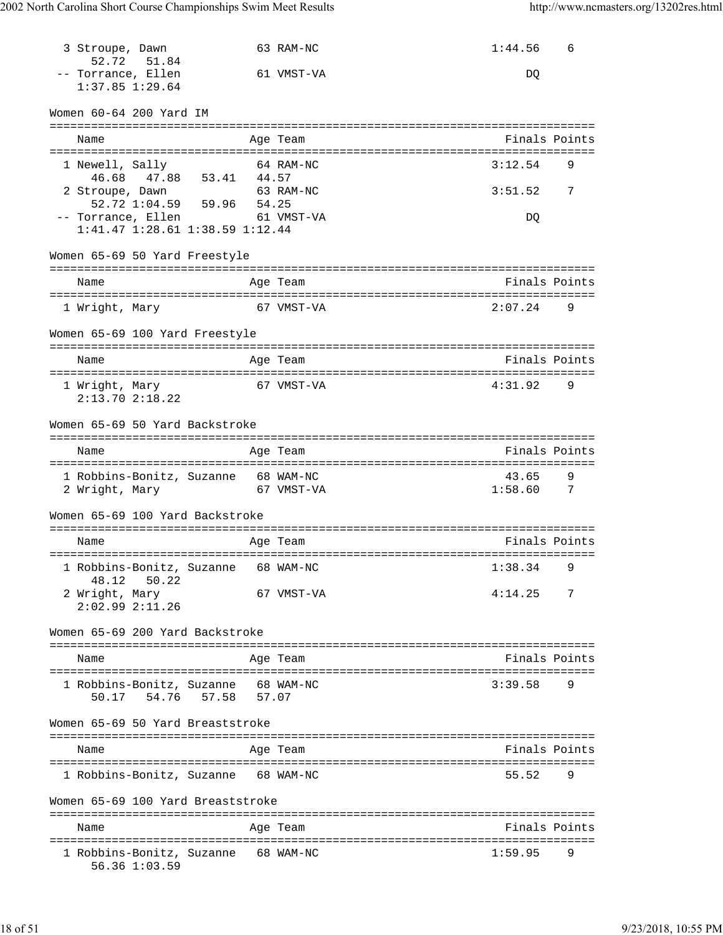| 3 Stroupe, Dawn<br>52.72                  | 51.84                                                                                             | 63 RAM-NC                              | 1:44.56          | 6             |
|-------------------------------------------|---------------------------------------------------------------------------------------------------|----------------------------------------|------------------|---------------|
| -- Torrance, Ellen<br>$1:37.85$ $1:29.64$ |                                                                                                   | 61 VMST-VA                             | DQ               |               |
| Women 60-64 200 Yard IM                   |                                                                                                   |                                        |                  |               |
| Name                                      |                                                                                                   | Age Team                               | Finals Points    |               |
| 1 Newell, Sally                           | $46.68$ $47.88$ $53.41$ $44.57$                                                                   | 64 RAM-NC                              | 3:12.54          | 9             |
| 2 Stroupe, Dawn                           |                                                                                                   | 63 RAM-NC                              | 3:51.52          | 7             |
|                                           | 52.72 1:04.59   59.96   54.25<br>-- Torrance, Ellen 61 VMST-VA<br>1:41.47 1:28.61 1:38.59 1:12.44 |                                        | DQ               |               |
| Women 65-69 50 Yard Freestyle             |                                                                                                   |                                        |                  |               |
| Name                                      |                                                                                                   | Age Team                               | Finals Points    |               |
| 1 Wright, Mary                            |                                                                                                   | 67 VMST-VA                             | 2:07.24          | 9             |
|                                           | Women 65-69 100 Yard Freestyle                                                                    |                                        |                  |               |
| Name                                      |                                                                                                   | Age Team                               | Finals Points    |               |
| 1 Wright, Mary<br>$2:13.70$ $2:18.22$     |                                                                                                   | 67 VMST-VA                             | 4:31.92          | 9             |
|                                           | Women 65-69 50 Yard Backstroke                                                                    |                                        |                  |               |
| Name                                      |                                                                                                   | Age Team                               | Finals Points    |               |
|                                           | 1 Robbins-Bonitz, Suzanne 68 WAM-NC<br>2 Wright, Mary 67 VMST-VA                                  | ====================================== | 43.65<br>1:58.60 | 9<br>7        |
|                                           | Women 65-69 100 Yard Backstroke                                                                   |                                        |                  |               |
| Name                                      |                                                                                                   | Age Team                               | Finals Points    |               |
|                                           |                                                                                                   | 1 Robbins-Bonitz, Suzanne 68 WAM-NC    | $1:38.34$ 9      |               |
| 48.12<br>2 Wright, Mary<br>2:02.992:11.26 | 50.22                                                                                             | 67 VMST-VA                             | 4:14.25          | 7             |
|                                           | Women 65-69 200 Yard Backstroke                                                                   |                                        |                  |               |
| Name                                      |                                                                                                   | Age Team                               | Finals Points    |               |
| 50.17                                     | 1 Robbins-Bonitz, Suzanne 68 WAM-NC<br>57.07<br>54.76 57.58                                       |                                        | 3:39.58          | 9             |
|                                           | Women 65-69 50 Yard Breaststroke                                                                  |                                        |                  |               |
| Name                                      |                                                                                                   | Age Team                               |                  | Finals Points |
|                                           | 1 Robbins-Bonitz, Suzanne 68 WAM-NC                                                               |                                        | 55.52            | 9             |
|                                           | Women 65-69 100 Yard Breaststroke                                                                 |                                        |                  |               |
| Name                                      |                                                                                                   | Age Team                               | Finals Points    |               |
| 56.36 1:03.59                             | 1 Robbins-Bonitz, Suzanne 68 WAM-NC                                                               |                                        | 1:59.95          | 9             |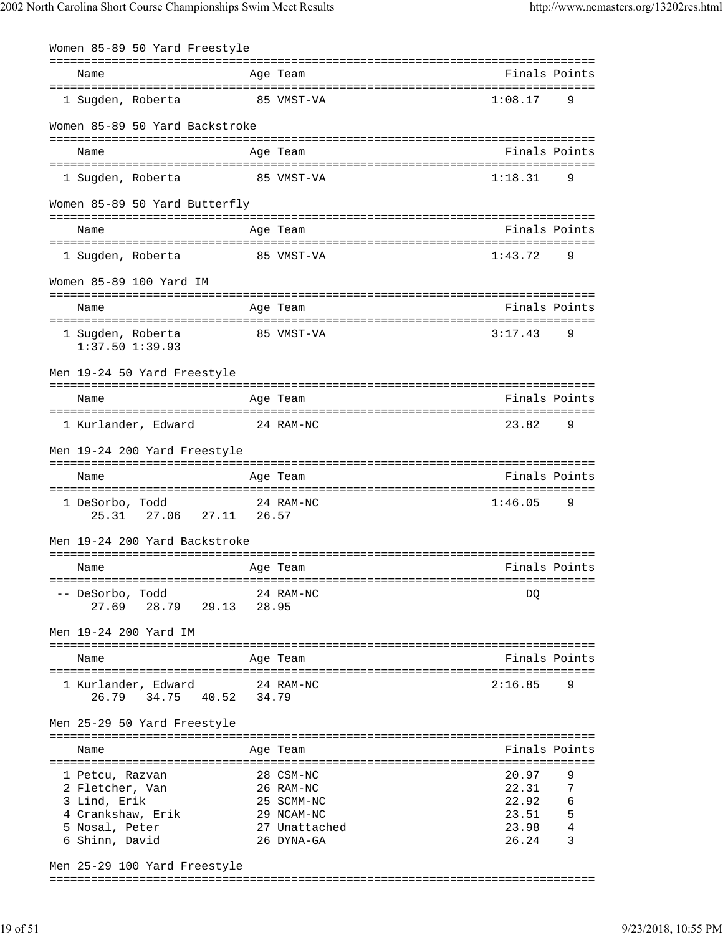| Women 85-89 50 Yard Freestyle                                                                               |       |                                                                                   |                                                    |                                     |
|-------------------------------------------------------------------------------------------------------------|-------|-----------------------------------------------------------------------------------|----------------------------------------------------|-------------------------------------|
| Name                                                                                                        |       | ============<br>Age Team                                                          |                                                    | Finals Points                       |
| 1 Sugden, Roberta                                                                                           |       | 85 VMST-VA                                                                        | 1:08.17                                            | 9                                   |
| Women 85-89 50 Yard Backstroke                                                                              |       |                                                                                   |                                                    |                                     |
| Name                                                                                                        |       | Age Team                                                                          |                                                    | Finals Points                       |
| 1 Sugden, Roberta                                                                                           |       | 85 VMST-VA                                                                        | 1:18.31                                            | 9                                   |
| Women 85-89 50 Yard Butterfly                                                                               |       |                                                                                   |                                                    |                                     |
| Name                                                                                                        |       | ==========<br>Age Team                                                            |                                                    | Finals Points                       |
| 1 Sugden, Roberta                                                                                           |       | 85 VMST-VA                                                                        | 1:43.72                                            | 9                                   |
| Women 85-89 100 Yard IM                                                                                     |       |                                                                                   |                                                    |                                     |
| Name                                                                                                        |       | Age Team                                                                          |                                                    | Finals Points                       |
| 1 Sugden, Roberta<br>$1:37.50$ $1:39.93$                                                                    |       | 85 VMST-VA                                                                        | 3:17.43                                            | 9                                   |
| Men 19-24 50 Yard Freestyle                                                                                 |       |                                                                                   |                                                    |                                     |
| Name                                                                                                        |       | =================================<br>Age Team                                     |                                                    | Finals Points                       |
| 1 Kurlander, Edward                                                                                         |       | 24 RAM-NC                                                                         | 23.82                                              | 9                                   |
| Men 19-24 200 Yard Freestyle                                                                                |       |                                                                                   |                                                    |                                     |
| Name                                                                                                        |       | Age Team                                                                          |                                                    | Finals Points                       |
| 1 DeSorbo, Todd<br>27.11<br>27.06<br>25.31                                                                  | 26.57 | 24 RAM-NC                                                                         | 1:46.05                                            | 9                                   |
| Men 19-24 200 Yard Backstroke                                                                               |       |                                                                                   |                                                    |                                     |
| Name                                                                                                        |       | Age Team                                                                          |                                                    | Finals Points                       |
| -- DeSorbo, Todd<br>28.79 29.13<br>27.69                                                                    |       | 24 RAM-NC<br>28.95                                                                | DO                                                 |                                     |
| Men 19-24 200 Yard IM                                                                                       |       |                                                                                   |                                                    |                                     |
| Name                                                                                                        |       | Age Team                                                                          |                                                    | Finals Points                       |
| 1 Kurlander, Edward<br>26.79<br>34.75<br>40.52 34.79                                                        |       | 24 RAM-NC                                                                         | 2:16.85                                            | 9                                   |
| Men 25-29 50 Yard Freestyle                                                                                 |       |                                                                                   |                                                    |                                     |
| Name                                                                                                        |       | Age Team                                                                          |                                                    | Finals Points                       |
| 1 Petcu, Razvan<br>2 Fletcher, Van<br>3 Lind, Erik<br>4 Crankshaw, Erik<br>5 Nosal, Peter<br>6 Shinn, David |       | 28 CSM-NC<br>26 RAM-NC<br>25 SCMM-NC<br>29 NCAM-NC<br>27 Unattached<br>26 DYNA-GA | 20.97<br>22.31<br>22.92<br>23.51<br>23.98<br>26.24 | 9<br>7<br>$\epsilon$<br>5<br>4<br>3 |
| Men 25-29 100 Yard Freestyle                                                                                |       |                                                                                   |                                                    |                                     |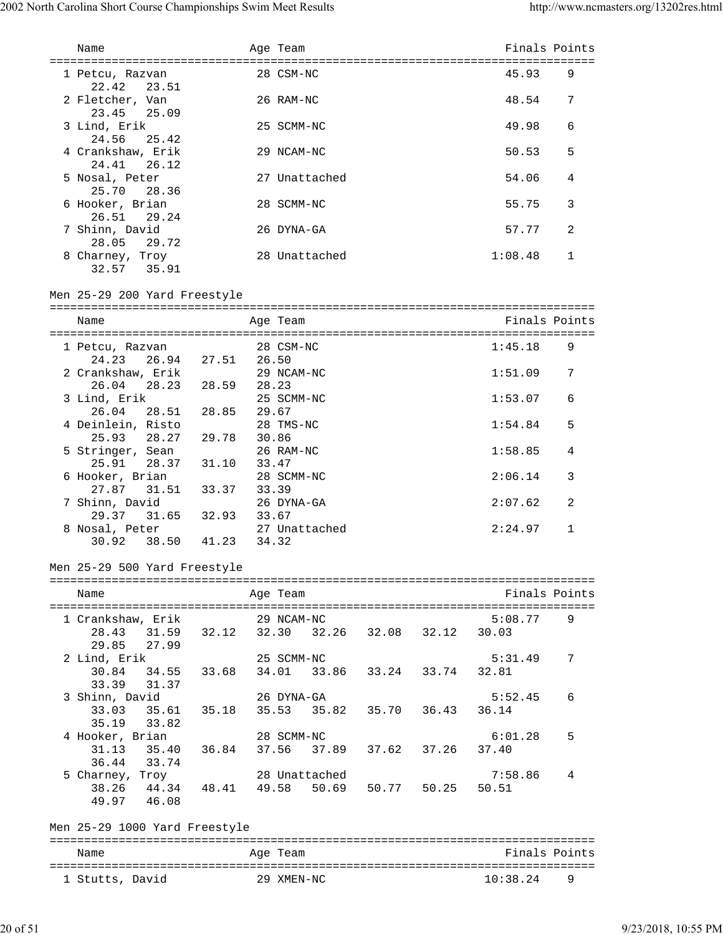| Name                                                                            |                      | Age Team                              |  | Finals Points    |   |
|---------------------------------------------------------------------------------|----------------------|---------------------------------------|--|------------------|---|
|                                                                                 |                      |                                       |  |                  |   |
| 1 Petcu, Razvan<br>22.42<br>23.51                                               |                      | 28 CSM-NC                             |  | 45.93            | 9 |
| 2 Fletcher, Van<br>23.45 25.09                                                  |                      | 26 RAM-NC                             |  | 48.54            | 7 |
| 3 Lind, Erik<br>24.56<br>25.42                                                  |                      | 25 SCMM-NC                            |  | 49.98            | 6 |
| 4 Crankshaw, Erik<br>24.41<br>26.12                                             |                      | 29 NCAM-NC                            |  | 50.53            | 5 |
| 5 Nosal, Peter<br>25.70<br>28.36                                                |                      | 27 Unattached                         |  | 54.06            | 4 |
| 6 Hooker, Brian<br>26.51<br>29.24                                               |                      | 28 SCMM-NC                            |  | 55.75            | 3 |
| 7 Shinn, David<br>28.05<br>29.72                                                |                      | 26 DYNA-GA                            |  | 57.77            | 2 |
| 8 Charney, Troy<br>32.57 35.91                                                  |                      | 28 Unattached                         |  | 1:08.48          | 1 |
| Men 25-29 200 Yard Freestyle                                                    |                      |                                       |  |                  |   |
| Name                                                                            |                      | Age Team                              |  | Finals Points    |   |
| 1 Petcu, Razvan                                                                 |                      | 28 CSM-NC                             |  | 1:45.18          | 9 |
| 24.23  26.94  27.51  26.50<br>2 Crankshaw, Erik                                 |                      | 29 NCAM-NC                            |  | 1:51.09          | 7 |
| 26.04<br>3 Lind, Erik                                                           | 28.23 28.59<br>28.23 | 25 SCMM-NC                            |  | 1:53.07          | 6 |
| 26.04 28.51 28.85 29.67<br>4 Deinlein, Risto                                    |                      |                                       |  |                  |   |
| 25.93 28.27 29.78                                                               | 30.86                | 28 TMS-NC                             |  | 1:54.84          | 5 |
| 5 Stringer, Sean<br>25.91 28.37 31.10                                           |                      | 26 RAM-NC<br>33.47                    |  | 1:58.85          | 4 |
| 6 Hooker, Brian<br>27.87 31.51 33.37                                            | 33.39                | 28 SCMM-NC                            |  | 2:06.14          | 3 |
| 7 Shinn, David<br>29.37 31.65 32.93                                             | 33.67                | 26 DYNA-GA                            |  | 2:07.62          | 2 |
| 8 Nosal, Peter<br>30.92                                                         | 38.50 41.23          | 27 Unattached<br>34.32                |  | 2:24.97          | 1 |
| Men 25-29 500 Yard Freestyle                                                    |                      |                                       |  |                  |   |
| Name                                                                            |                      | Age Team                              |  | Finals Points    |   |
|                                                                                 |                      |                                       |  |                  |   |
| 1 Crankshaw, Erik 29 NCAM-NC<br>28.43 31.59 32.12 32.30 32.26 32.08 32.12 30.03 |                      |                                       |  | 5:08.77          | 9 |
| 29.85 27.99<br>2 Lind, Erik                                                     |                      | 25 SCMM-NC                            |  | 5:31.49          | 7 |
| 30.84 34.55 33.68<br>33.39 31.37                                                |                      | 34.01 33.86 33.24 33.74 32.81         |  |                  |   |
| 3 Shinn, David<br>33.03                                                         | 35.61 35.18          | 26 DYNA-GA<br>35.53 35.82 35.70 36.43 |  | 5:52.45<br>36.14 | 6 |
| 35.19 33.82                                                                     |                      |                                       |  |                  |   |
| 4 Hooker, Brian<br>31.13 35.40 36.84                                            |                      | 28 SCMM-NC<br>37.56 37.89 37.62 37.26 |  | 6:01.28<br>37.40 | 5 |
| 36.44 33.74                                                                     |                      |                                       |  |                  |   |
| 5 Charney, Troy<br>38.26 44.34 48.41 49.58 50.69 50.77 50.25<br>49.97 46.08     |                      | 28 Unattached                         |  | 7:58.86<br>50.51 | 4 |
| Men 25-29 1000 Yard Freestyle                                                   |                      |                                       |  |                  |   |
| Name                                                                            |                      | Age Team                              |  | Finals Points    |   |
|                                                                                 |                      |                                       |  |                  |   |
| 1 Stutts, David                                                                 |                      | 29 XMEN-NC                            |  | 10:38.24         | 9 |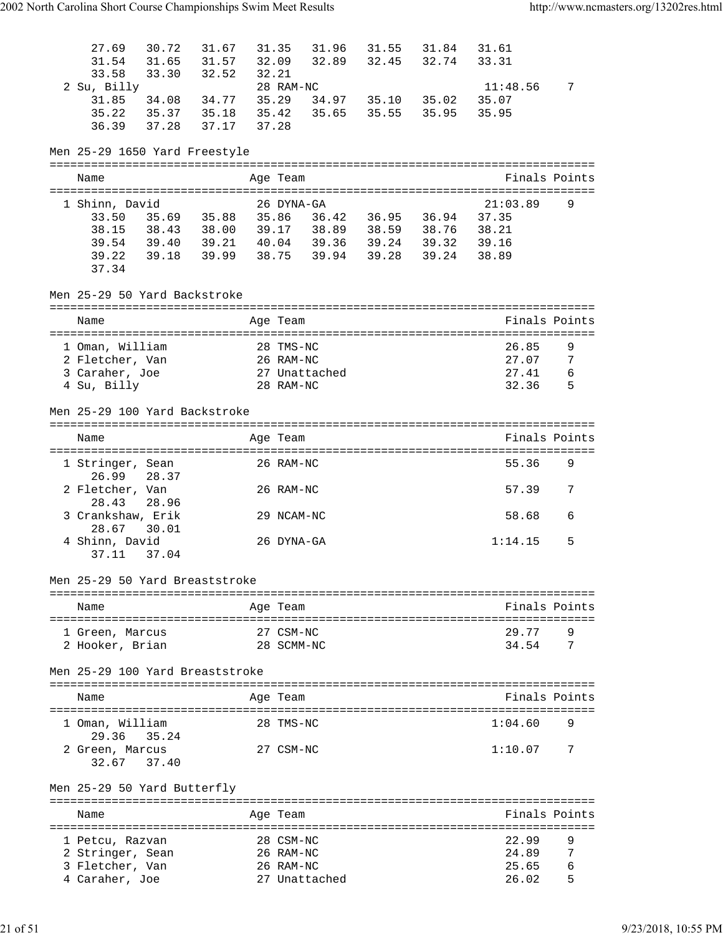| 27.69<br>31.54<br>33.58                | 33.30 32.52    | 30.72 31.67<br>31.65 31.57                                                             | 31.35<br>32.09<br>32.21     |                                  | 31.96 31.55 31.84 31.61<br>32.89 32.45 32.74 33.31 |                                |                     |
|----------------------------------------|----------------|----------------------------------------------------------------------------------------|-----------------------------|----------------------------------|----------------------------------------------------|--------------------------------|---------------------|
| 2 Su, Billy<br>31.85<br>35.22<br>36.39 | 34.08<br>37.28 | 34.77<br>35.37 35.18 35.42 35.65<br>37.17                                              | 28 RAM-NC<br>35.29<br>37.28 | 34.97 35.10 35.02<br>35.55 35.95 |                                                    | $11:48.56$ 7<br>35.07<br>35.95 |                     |
| Men 25-29 1650 Yard Freestyle          |                |                                                                                        |                             |                                  |                                                    |                                |                     |
| Name                                   |                |                                                                                        | Age Team                    |                                  |                                                    |                                | Finals Points       |
|                                        |                |                                                                                        |                             |                                  |                                                    |                                |                     |
| 1 Shinn, David                         |                | 33.50 35.69 35.88 35.86 36.42 36.95 36.94 37.35                                        | 26 DYNA-GA                  |                                  |                                                    | 21:03.89                       | 9                   |
| 38.15                                  |                | 38.43 38.00 39.17 38.89 38.59 38.76 38.21                                              |                             |                                  |                                                    |                                |                     |
| 39.54<br>39.22                         |                | 39.40 39.21 40.04 39.36 39.24 39.32 39.16<br>39.18 39.99 38.75 39.94 39.28 39.24 38.89 |                             |                                  |                                                    |                                |                     |
| 37.34                                  |                |                                                                                        |                             |                                  |                                                    |                                |                     |
| Men 25-29 50 Yard Backstroke           |                |                                                                                        |                             |                                  |                                                    |                                |                     |
| Name                                   |                |                                                                                        | Age Team                    |                                  |                                                    |                                | Finals Points       |
| 1 Oman, William                        |                |                                                                                        | 28 TMS-NC                   |                                  |                                                    | 26.85                          | 9                   |
| 2 Fletcher, Van<br>3 Caraher, Joe      |                |                                                                                        | 26 RAM-NC<br>27 Unattached  |                                  |                                                    | 27.07<br>27.41                 | $\overline{7}$<br>6 |
| 4 Su, Billy                            |                |                                                                                        | 28 RAM-NC                   |                                  |                                                    | 32.36                          | 5                   |
| Men 25-29 100 Yard Backstroke          |                |                                                                                        |                             |                                  |                                                    |                                |                     |
| Name                                   |                |                                                                                        | Age Team                    |                                  |                                                    |                                | Finals Points       |
|                                        |                |                                                                                        |                             |                                  |                                                    |                                |                     |
| 1 Stringer, Sean<br>26.99              | 28.37          |                                                                                        | 26 RAM-NC                   |                                  |                                                    | 55.36                          | 9                   |
| 2 Fletcher, Van<br>28.43               | 28.96          |                                                                                        | 26 RAM-NC                   |                                  |                                                    | 57.39                          | 7                   |
| 3 Crankshaw, Erik                      |                |                                                                                        | 29 NCAM-NC                  |                                  |                                                    | 58.68                          | 6                   |
| 28.67 30.01<br>4 Shinn, David          |                |                                                                                        | 26 DYNA-GA                  |                                  |                                                    | 1:14.15                        | 5                   |
| 37.11                                  | 37.04          |                                                                                        |                             |                                  |                                                    |                                |                     |
| Men 25-29 50 Yard Breaststroke         |                |                                                                                        |                             |                                  |                                                    |                                |                     |
| Name                                   |                |                                                                                        | Age Team                    |                                  |                                                    |                                | Finals Points       |
|                                        |                |                                                                                        | 27 CSM-NC                   |                                  |                                                    | 29.77                          | 9                   |
| 1 Green, Marcus<br>2 Hooker, Brian     |                |                                                                                        | 28 SCMM-NC                  |                                  |                                                    | 34.54                          | 7                   |
| Men 25-29 100 Yard Breaststroke        |                |                                                                                        |                             |                                  |                                                    |                                |                     |
|                                        |                |                                                                                        |                             |                                  |                                                    |                                |                     |
| Name                                   |                |                                                                                        | Age Team                    |                                  |                                                    |                                | Finals Points       |
| 1 Oman, William                        |                |                                                                                        | 28 TMS-NC                   |                                  | ==================================                 | 1:04.60                        | 9                   |
| 29.36                                  | 35.24          |                                                                                        |                             |                                  |                                                    |                                |                     |
| 2 Green, Marcus<br>32.67 37.40         |                |                                                                                        | 27 CSM-NC                   |                                  |                                                    | 1:10.07                        | 7                   |
| Men 25-29 50 Yard Butterfly            |                |                                                                                        |                             |                                  |                                                    |                                |                     |
|                                        |                |                                                                                        |                             |                                  |                                                    |                                | Finals Points       |
| Name                                   |                |                                                                                        | Age Team                    |                                  |                                                    |                                |                     |
| 1 Petcu, Razvan                        |                |                                                                                        | 28 CSM-NC                   |                                  |                                                    | 22.99                          | 9                   |
| 2 Stringer, Sean<br>3 Fletcher, Van    |                |                                                                                        | 26 RAM-NC<br>26 RAM-NC      |                                  |                                                    | 24.89<br>25.65                 | 7<br>6              |
| 4 Caraher, Joe                         |                |                                                                                        | 27 Unattached               |                                  |                                                    | 26.02                          | 5                   |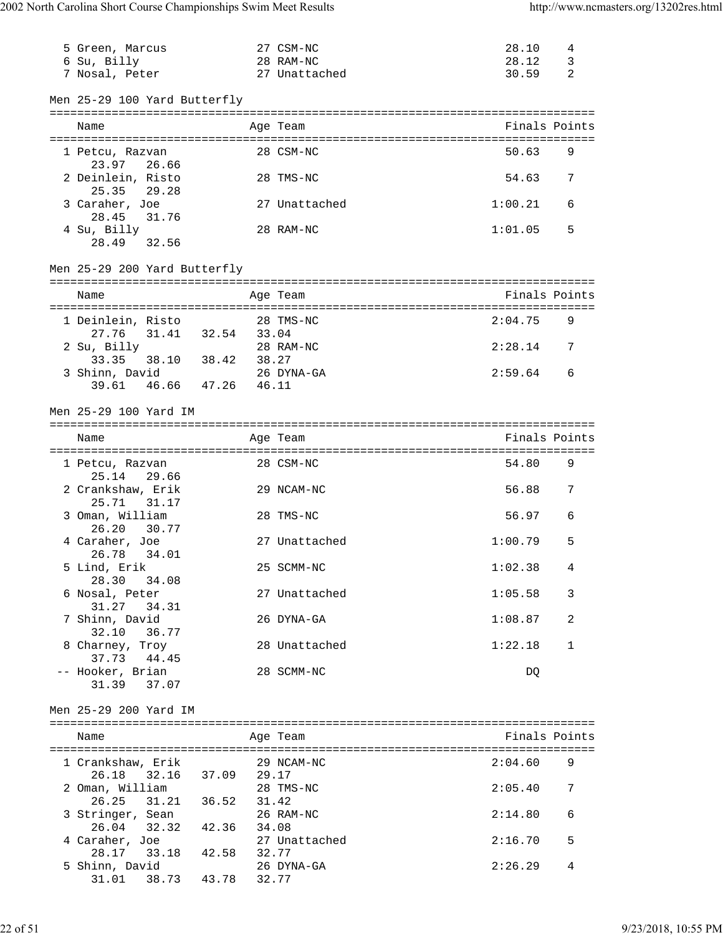| 5 Green, Marcus              |                   | 27 CSM-NC     | 28.10<br>4             |
|------------------------------|-------------------|---------------|------------------------|
| 6 Su, Billy                  |                   | 28 RAM-NC     | $\mathbf{3}$<br>28.12  |
| 7 Nosal, Peter               |                   | 27 Unattached | 2<br>30.59             |
|                              |                   |               |                        |
| Men 25-29 100 Yard Butterfly |                   |               |                        |
|                              |                   |               |                        |
| Name                         |                   | Age Team      | Finals Points          |
|                              |                   |               |                        |
| 1 Petcu, Razvan              |                   | 28 CSM-NC     | 50.63<br>9             |
| 23.97 26.66                  |                   |               |                        |
| 2 Deinlein, Risto            |                   | 28 TMS-NC     | 54.63<br>7             |
| 25.35<br>29.28               |                   |               |                        |
| 3 Caraher, Joe               |                   | 27 Unattached | 1:00.21<br>6           |
| 28.45<br>31.76               |                   |               |                        |
| 4 Su, Billy                  |                   | 28 RAM-NC     | 5<br>1:01.05           |
| 28.49<br>32.56               |                   |               |                        |
|                              |                   |               |                        |
| Men 25-29 200 Yard Butterfly |                   |               |                        |
|                              |                   |               |                        |
| Name                         |                   | Age Team      | Finals Points          |
|                              |                   |               |                        |
| 1 Deinlein, Risto            |                   | 28 TMS-NC     | 2:04.75<br>9           |
| 27.76                        | 31.41 32.54 33.04 |               |                        |
| 2 Su, Billy                  |                   | 28 RAM-NC     | 2:28.14<br>7           |
| 33.35                        | 38.10 38.42 38.27 |               |                        |
| 3 Shinn, David               |                   | 26 DYNA-GA    | 2:59.64<br>6           |
| 46.66 47.26<br>39.61         | 46.11             |               |                        |
|                              |                   |               |                        |
| Men 25-29 100 Yard IM        |                   |               |                        |
|                              |                   |               |                        |
| Name                         |                   | Age Team      | Finals Points          |
|                              |                   |               |                        |
| 1 Petcu, Razvan              |                   | 28 CSM-NC     | 54.80<br>9             |
| 25.14<br>29.66               |                   |               |                        |
| 2 Crankshaw, Erik            |                   | 29 NCAM-NC    | 56.88<br>7             |
| 25.71<br>31.17               |                   |               |                        |
| 3 Oman, William              |                   | 28 TMS-NC     | 56.97<br>6             |
| 26.20                        |                   |               |                        |
|                              |                   |               |                        |
| 30.77                        |                   |               |                        |
| 4 Caraher, Joe               |                   | 27 Unattached | 5<br>1:00.79           |
| 26.78<br>34.01               |                   |               |                        |
| 5 Lind, Erik                 |                   | 25 SCMM-NC    | 1:02.38<br>4           |
| 28.30 34.08                  |                   |               |                        |
| 6 Nosal, Peter               |                   | 27 Unattached | 1:05.58<br>3           |
| 31.27 34.31                  |                   |               |                        |
| 7 Shinn, David               |                   | 26 DYNA-GA    | 1:08.87<br>2           |
| 32.10 36.77                  |                   |               |                        |
| 8 Charney, Troy              |                   | 28 Unattached | $\mathbf 1$<br>1:22.18 |
| 37.73 44.45                  |                   |               |                        |
| -- Hooker, Brian             |                   | 28 SCMM-NC    | DQ                     |
| 31.39 37.07                  |                   |               |                        |
|                              |                   |               |                        |
| Men 25-29 200 Yard IM        |                   |               |                        |
|                              |                   |               |                        |
| Name                         |                   | Age Team      | Finals Points          |
|                              |                   |               |                        |
| 1 Crankshaw, Erik            |                   | 29 NCAM-NC    | 2:04.60<br>9           |
| 26.18 32.16 37.09 29.17      |                   |               |                        |
| 2 Oman, William              |                   | 28 TMS-NC     | 2:05.40<br>7           |
| 26.25 31.21 36.52 31.42      |                   |               |                        |
| 3 Stringer, Sean             | 26 RAM-NC         |               | 2:14.80<br>6           |
| 26.04 32.32 42.36 34.08      |                   |               |                        |
| 4 Caraher, Joe               |                   | 27 Unattached | 5<br>2:16.70           |
| 28.17 33.18 42.58 32.77      |                   |               |                        |
| 5 Shinn, David               |                   | 26 DYNA-GA    | 2:26.29<br>4           |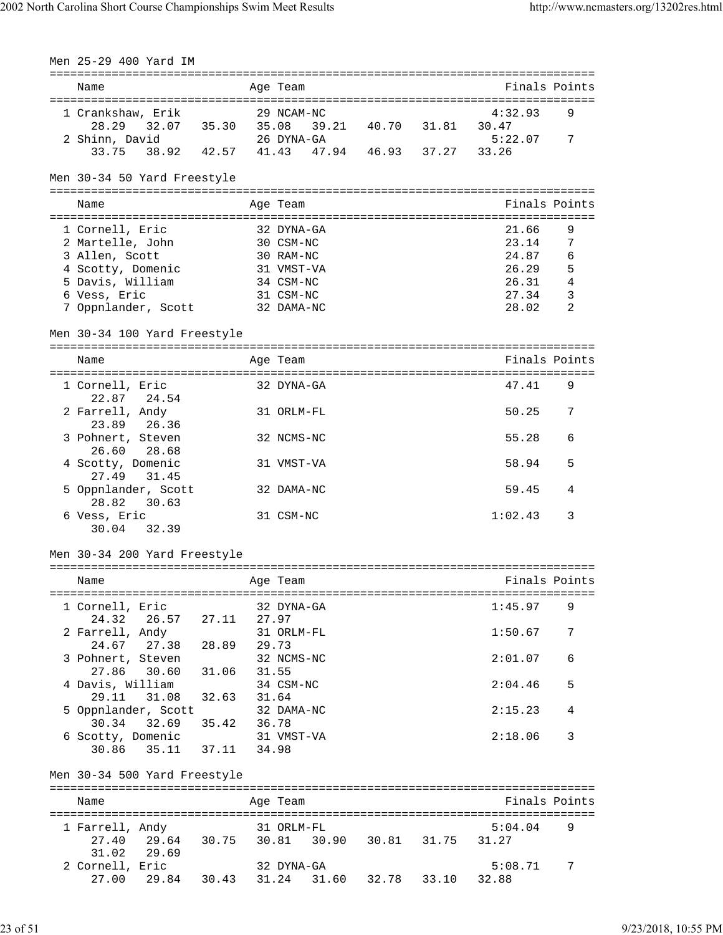| Men 25-29 400 Yard IM                                                               |                 |                         |                   |                |                         |
|-------------------------------------------------------------------------------------|-----------------|-------------------------|-------------------|----------------|-------------------------|
|                                                                                     |                 |                         |                   |                |                         |
| Name                                                                                |                 | Age Team                |                   | Finals Points  |                         |
| 1 Crankshaw, Erik                                                                   |                 | 29 NCAM-NC              |                   | 4:32.93        | 9                       |
| 32.07 35.30 35.08 39.21 40.70 31.81 30.47<br>28.29                                  |                 |                         |                   |                |                         |
| 2 Shinn, David<br>9 avid 26 DYNA-GA<br>38.92 42.57 41.43 47.94 46.93 37.27          |                 |                         |                   | 5:22.07        | 7                       |
| 33.75                                                                               |                 |                         |                   | 33.26          |                         |
| Men 30-34 50 Yard Freestyle                                                         |                 |                         |                   |                |                         |
|                                                                                     |                 |                         |                   |                |                         |
| Name                                                                                |                 | Age Team                |                   | Finals Points  |                         |
|                                                                                     |                 |                         |                   |                |                         |
| 1 Cornell, Eric                                                                     |                 | 32 DYNA-GA              |                   | 21.66          | 9                       |
| 2 Martelle, John                                                                    |                 | 30 CSM-NC               |                   | 23.14          | 7                       |
| 3 Allen, Scott                                                                      |                 | 30 RAM-NC<br>31 VMST-VA |                   | 24.87<br>26.29 | 6<br>5                  |
| 4 Scotty, Domenic<br>5 Davis, William                                               |                 | 34 CSM-NC               |                   | 26.31          | $\overline{4}$          |
| 6 Vess, Eric                                                                        |                 | 31 CSM-NC               |                   | 27.34          | $\overline{\mathbf{3}}$ |
| 7 Oppnlander, Scott 32 DAMA-NC                                                      |                 |                         |                   | 28.02          | -2                      |
|                                                                                     |                 |                         |                   |                |                         |
| Men 30-34 100 Yard Freestyle                                                        |                 |                         |                   |                |                         |
| Name                                                                                |                 | Age Team                |                   | Finals Points  |                         |
|                                                                                     |                 |                         |                   |                |                         |
| 1 Cornell, Eric<br>22.87 24.54                                                      |                 | 32 DYNA-GA              |                   | 47.41          | 9                       |
| 2 Farrell, Andy<br>23.89<br>26.36                                                   |                 | 31 ORLM-FL              |                   | 50.25          | 7                       |
| 3 Pohnert, Steven<br>26.60<br>28.68                                                 |                 | 32 NCMS-NC              |                   | 55.28          | 6                       |
| 4 Scotty, Domenic                                                                   |                 | 31 VMST-VA              |                   | 58.94          | 5                       |
| 27.49<br>31.45                                                                      |                 |                         |                   |                |                         |
| 5 Oppnlander, Scott<br>28.82<br>30.63                                               |                 | 32 DAMA-NC              |                   | 59.45          | 4                       |
| 6 Vess, Eric<br>30.04<br>32.39                                                      |                 | 31 CSM-NC               |                   | 1:02.43        | 3                       |
|                                                                                     |                 |                         |                   |                |                         |
| Men 30-34 200 Yard Freestyle                                                        |                 |                         |                   |                |                         |
| Name                                                                                |                 | Age Team                |                   | Finals Points  |                         |
|                                                                                     |                 |                         |                   |                |                         |
| 1 Cornell, Eric                                                                     |                 | 32 DYNA-GA              |                   | 1:45.97        | - 9                     |
| 26.57 27.11<br>24.32                                                                | 27.97           |                         |                   |                |                         |
| 2 Farrell, Andy                                                                     |                 | 31 ORLM-FL              |                   | 1:50.67        | 7                       |
| 24.67 27.38 28.89 29.73                                                             |                 |                         |                   |                |                         |
| 3 Pohnert, Steven                                                                   |                 | 32 NCMS-NC              |                   | 2:01.07        | 6                       |
| 27.86 30.60 31.06 31.55                                                             |                 |                         |                   |                |                         |
| 4 Davis, William                                                                    | $32.63$ $31.64$ | 34 CSM-NC               |                   | 2:04.46        | 5                       |
| 29.11 31.08<br>5 Oppnlander, Scott                                                  |                 | 32 DAMA-NC              |                   | 2:15.23        | 4                       |
| 32.69 35.42 36.78<br>30.34                                                          |                 |                         |                   |                |                         |
| 6 Scotty, Domenic                                                                   | 31 VMST-VA      |                         |                   | 2:18.06        | 3                       |
| 30.86 35.11 37.11 34.98                                                             |                 |                         |                   |                |                         |
| Men 30-34 500 Yard Freestyle                                                        |                 |                         |                   |                |                         |
|                                                                                     |                 |                         |                   |                |                         |
| Name                                                                                |                 | Age Team                |                   | Finals Points  |                         |
|                                                                                     |                 |                         |                   |                |                         |
| 1 Farrell, Andy<br>Andy 31 ORLM-FL 5:0<br>29.64 30.75 30.81 30.90 30.81 31.75 31.27 |                 |                         |                   | 5:04.04        | 9                       |
| 27.40<br>31.02<br>29.69                                                             |                 |                         |                   |                |                         |
| 2 Cornell, Eric                                                                     |                 | 32 DYNA-GA              |                   | 5:08.71        | 7                       |
| 29.84 30.43 31.24<br>27.00                                                          |                 |                         | 31.60 32.78 33.10 | 32.88          |                         |
|                                                                                     |                 |                         |                   |                |                         |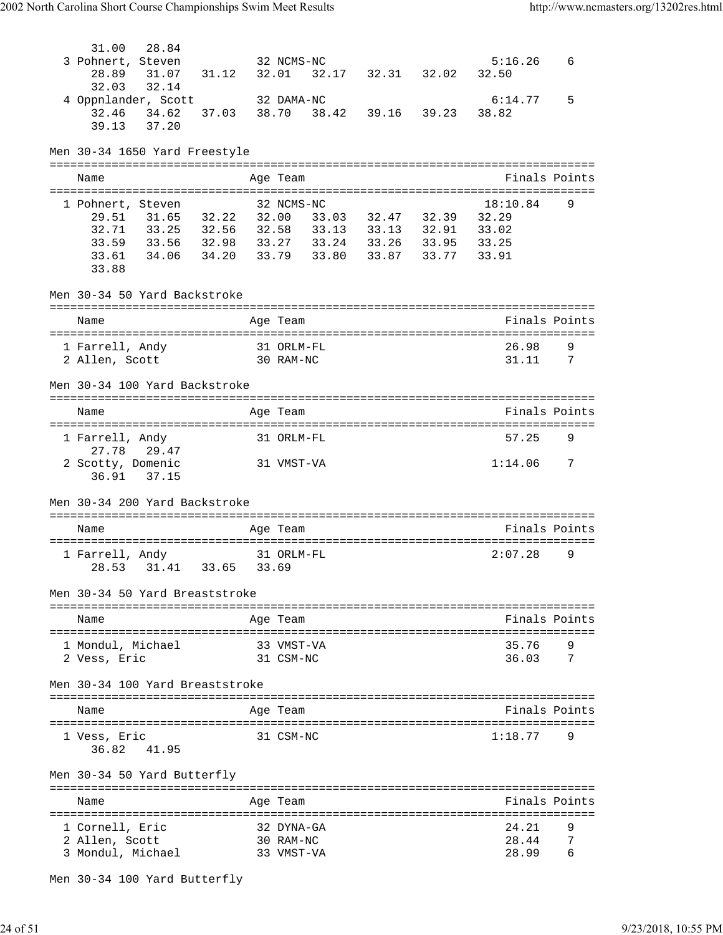| 3 Pohnert, Steven<br>32 NCMS-NC<br>31.07 31.12<br>32.01<br>32.17 32.31 32.02<br>28.89<br>32.03<br>32.14 | 5:16.26<br>32.50 | 6                   |
|---------------------------------------------------------------------------------------------------------|------------------|---------------------|
|                                                                                                         |                  |                     |
|                                                                                                         |                  |                     |
|                                                                                                         |                  |                     |
| 4 Oppnlander, Scott 32 DAMA-NC<br>39.16 39.23<br>32.46<br>37.03 38.70 38.42                             | 6:14.77<br>38.82 | 5                   |
| 34.62<br>39.13<br>37.20                                                                                 |                  |                     |
|                                                                                                         |                  |                     |
| Men 30-34 1650 Yard Freestyle                                                                           |                  |                     |
|                                                                                                         |                  |                     |
| Age Team<br>Name                                                                                        |                  | Finals Points       |
|                                                                                                         |                  |                     |
| 32 NCMS-NC<br>1 Pohnert, Steven                                                                         | 18:10.84         | 9                   |
| 31.65 32.22<br>32.00 33.03 32.47 32.39 32.29<br>29.51<br>33.25 32.56 32.58 33.13 33.13 32.91 33.02      |                  |                     |
| 32.71<br>33.59 33.56 32.98 33.27 33.24 33.26 33.95 33.25                                                |                  |                     |
| 33.61<br>34.06 34.20 33.79 33.80<br>33.87 33.77 33.91                                                   |                  |                     |
| 33.88                                                                                                   |                  |                     |
|                                                                                                         |                  |                     |
| Men 30-34 50 Yard Backstroke                                                                            |                  |                     |
|                                                                                                         |                  |                     |
| Age Team<br>Name                                                                                        |                  | Finals Points       |
|                                                                                                         |                  |                     |
| 1 Farrell, Andy<br>31 ORLM-FL<br>2 Allen, Scott<br>30 RAM-NC                                            | 26.98<br>31.11   | 9<br>$\overline{7}$ |
|                                                                                                         |                  |                     |
| Men 30-34 100 Yard Backstroke                                                                           |                  |                     |
|                                                                                                         |                  |                     |
|                                                                                                         |                  |                     |
| Name<br>Age Team                                                                                        |                  | Finals Points       |
|                                                                                                         |                  |                     |
| 1 Farrell, Andy<br>31 ORLM-FL                                                                           | 57.25            | 9                   |
| 27.78 29.47                                                                                             |                  |                     |
| 2 Scotty, Domenic<br>31 VMST-VA                                                                         | 1:14.06          | 7                   |
| 36.91<br>37.15                                                                                          |                  |                     |
| Men 30-34 200 Yard Backstroke                                                                           |                  |                     |
|                                                                                                         |                  |                     |
| Name<br>Age Team                                                                                        |                  | Finals Points       |
|                                                                                                         |                  |                     |
| 1 Farrell, Andy<br>31 ORLM-FL                                                                           | 2:07.28          | 9                   |
| 28.53 31.41 33.65 33.69                                                                                 |                  |                     |
|                                                                                                         |                  |                     |
| Men 30-34 50 Yard Breaststroke<br>=====================<br>-------------------------------              |                  |                     |
| Name<br>Age Team                                                                                        |                  | Finals Points       |
| =====================================<br>-------------------------------                                |                  |                     |
| 1 Mondul, Michael<br>33 VMST-VA                                                                         | 35.76            | 9                   |
| 31 CSM-NC<br>2 Vess, Eric                                                                               | 36.03            | 7                   |
|                                                                                                         |                  |                     |
| Men 30-34 100 Yard Breaststroke                                                                         |                  |                     |
| Name<br>Age Team                                                                                        |                  | Finals Points       |
|                                                                                                         |                  |                     |
| 1 Vess, Eric<br>31 CSM-NC                                                                               | 1:18.77          | 9                   |
| 36.82<br>41.95                                                                                          |                  |                     |
|                                                                                                         |                  |                     |
| Men 30-34 50 Yard Butterfly                                                                             |                  |                     |
| ==========                                                                                              |                  |                     |
| Name<br>Age Team                                                                                        |                  | Finals Points       |
| 1 Cornell, Eric<br>32 DYNA-GA                                                                           | 24.21            | 9                   |
| 2 Allen, Scott<br>30 RAM-NC<br>3 Mondul, Michael                                                        | 28.44            | 7                   |

Men 30-34 100 Yard Butterfly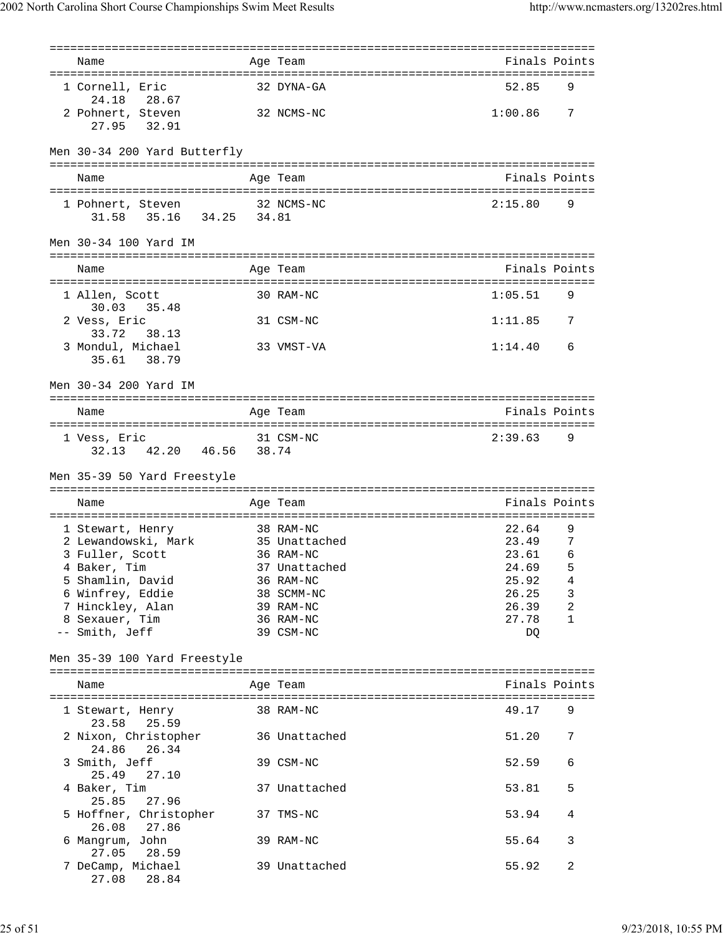| Name                                                     | Age Team                   | Finals Points  |                |
|----------------------------------------------------------|----------------------------|----------------|----------------|
| 1 Cornell, Eric<br>28.67<br>24.18                        | 32 DYNA-GA                 | 52.85          | 9              |
| 2 Pohnert, Steven<br>27.95<br>32.91                      | 32 NCMS-NC                 | 1:00.86        | $\overline{7}$ |
| Men 30-34 200 Yard Butterfly                             |                            |                |                |
| Name                                                     | Age Team                   | Finals Points  |                |
| 1 Pohnert, Steven<br>31.58 35.16 34.25 34.81             | 32 NCMS-NC                 | 2:15.80        | 9              |
| Men 30-34 100 Yard IM                                    |                            |                |                |
| Name                                                     | Age Team                   | Finals Points  |                |
| 1 Allen, Scott<br>30.03 35.48                            | 30 RAM-NC                  | 1:05.51        | - 9            |
| 2 Vess, Eric<br>33.72<br>38.13                           | 31 CSM-NC                  | 1:11.85 7      |                |
| 3 Mondul, Michael<br>38.79<br>35.61                      | 33 VMST-VA                 | 1:14.40        | 6              |
| Men 30-34 200 Yard IM                                    |                            |                |                |
| Name                                                     | Age Team                   | Finals Points  |                |
| 1 Vess, Eric<br>32.13 42.20 46.56 38.74                  | 31 CSM-NC                  | 2:39.63 9      |                |
|                                                          |                            |                |                |
| Men 35-39 50 Yard Freestyle                              |                            |                |                |
| Name                                                     | Age Team                   | Finals Points  |                |
|                                                          | 38 RAM-NC                  | 22.64          | 9              |
| 1 Stewart, Henry<br>2 Lewandowski, Mark 35 Unattached    |                            | 23.49          | 7              |
| 3 Fuller, Scott                                          | 36 RAM-NC                  | 23.61          | 6              |
| 4 Baker, Tim                                             |                            |                |                |
| 37 Unattached                                            |                            | 24.69          | 5<br>4         |
| 5 Shamlin, David                                         | 36 RAM-NC                  | 25.92          |                |
| 6 Winfrey, Eddie                                         | 38 SCMM-NC                 | 26.25          | 3              |
| 7 Hinckley, Alan                                         | 39 RAM-NC                  | 26.39          | 2              |
| 8 Sexauer, Tim<br>-- Smith, Jeff                         | 36 RAM-NC<br>39 CSM-NC     | 27.78<br>DQ    | $\mathbf{1}$   |
| Men 35-39 100 Yard Freestyle                             |                            |                |                |
| Name                                                     | Age Team                   | Finals Points  |                |
| 1 Stewart, Henry                                         | 38 RAM-NC                  | 49.17          | 9              |
| 23.58<br>25.59<br>2 Nixon, Christopher<br>26.34<br>24.86 | 36 Unattached              | 51.20          | 7              |
| 3 Smith, Jeff<br>25.49<br>27.10                          | 39 CSM-NC                  | 52.59          | 6              |
| 4 Baker, Tim<br>25.85<br>27.96                           | 37 Unattached              | 53.81          | 5              |
| 5 Hoffner, Christopher<br>26.08<br>27.86                 | 37 TMS-NC                  | 53.94          | 4              |
| 6 Mangrum, John<br>27.05<br>28.59<br>7 DeCamp, Michael   | 39 RAM-NC<br>39 Unattached | 55.64<br>55.92 | 3<br>2         |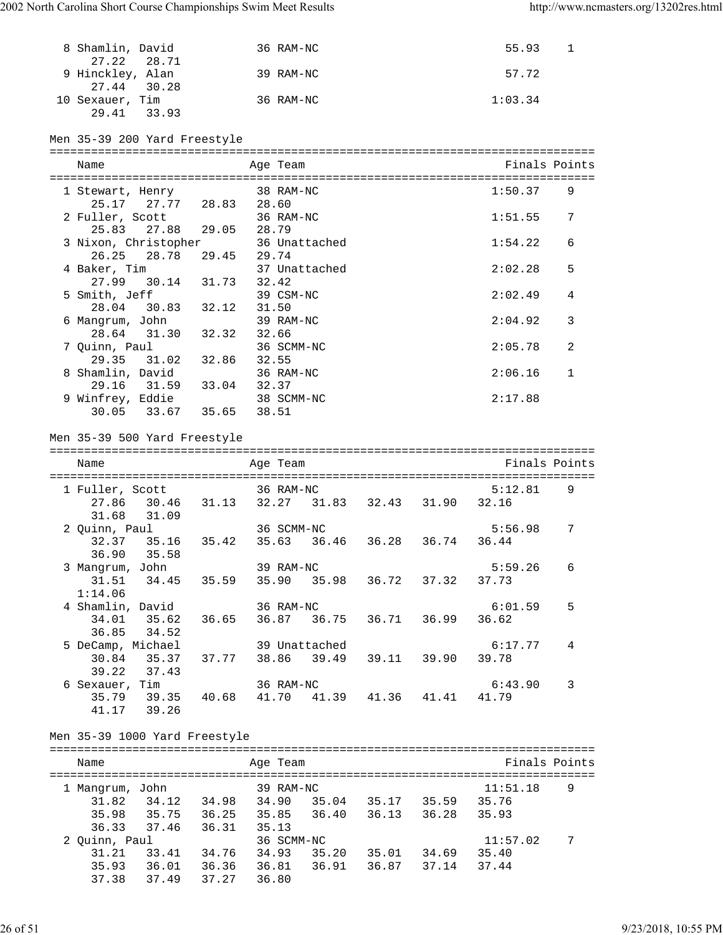| 8 Shamlin, David<br>27.22<br>28.71                                                                 |                   |       | 36 RAM-NC                                              |  | 55.93      | 1             |
|----------------------------------------------------------------------------------------------------|-------------------|-------|--------------------------------------------------------|--|------------|---------------|
| 9 Hinckley, Alan<br>27.44 30.28                                                                    |                   |       | 39 RAM-NC                                              |  | 57.72      |               |
| 10 Sexauer, Tim<br>29.41 33.93                                                                     |                   |       | 36 RAM-NC                                              |  | 1:03.34    |               |
| Men 35-39 200 Yard Freestyle                                                                       |                   |       |                                                        |  |            |               |
| Name                                                                                               |                   |       | Age Team                                               |  |            | Finals Points |
| 1 Stewart, Henry                                                                                   |                   |       | 38 RAM-NC                                              |  | 1:50.37    | 9             |
| 25.17 27.77 28.83 28.60                                                                            |                   |       |                                                        |  |            |               |
| 2 Fuller, Scott                                                                                    |                   |       | 36 RAM-NC                                              |  | 1:51.55    | 7             |
| 25.83 27.88 29.05 28.79                                                                            |                   |       |                                                        |  |            |               |
| 3 Nixon, Christopher 36 Unattached                                                                 |                   |       |                                                        |  | 1:54.22    | 6             |
| 26.25<br>28.78                                                                                     | 29.45 29.74       |       |                                                        |  |            |               |
| 4 Baker, Tim                                                                                       |                   |       | 37 Unattached                                          |  | 2:02.28    | 5             |
| 27.99 30.14                                                                                        | 31.73 32.42       |       |                                                        |  |            |               |
| 5 Smith, Jeff<br>$28.04$ 30.83 32.12                                                               |                   | 31.50 | 39 CSM-NC                                              |  | 2:02.49    | 4             |
| 6 Mangrum, John                                                                                    |                   |       | 39 RAM-NC                                              |  | 2:04.92    | 3             |
| 28.64 31.30 32.32 32.66                                                                            |                   |       |                                                        |  |            |               |
| 7 Quinn, Paul                                                                                      |                   |       | 36 SCMM-NC                                             |  | 2:05.78    | 2             |
| 29.35                                                                                              | 31.02 32.86 32.55 |       |                                                        |  |            |               |
| 8 Shamlin, David                                                                                   |                   |       | 36 RAM-NC                                              |  | 2:06.16    | $\mathbf{1}$  |
| 29.16 31.59 33.04 32.37                                                                            |                   |       |                                                        |  |            |               |
| 9 Winfrey, Eddie                                                                                   |                   |       | 38 SCMM-NC                                             |  | 2:17.88    |               |
| 30.05 33.67 35.65 38.51                                                                            |                   |       |                                                        |  |            |               |
| Men 35-39 500 Yard Freestyle<br>Name                                                               |                   |       | Age Team                                               |  |            | Finals Points |
|                                                                                                    |                   |       |                                                        |  |            |               |
| 1 Fuller, Scott<br>27.86                                                                           |                   |       | 36 RAM-NC<br>30.46 31.13 32.27 31.83 32.43 31.90 32.16 |  | 5:12.81    | 9             |
| 31.68<br>31.09                                                                                     |                   |       |                                                        |  |            | 7             |
| 2 Quinn, Paul<br>32.37 35.16 35.42                                                                 |                   |       | 36 SCMM-NC<br>35.63 36.46 36.28 36.74 36.44            |  | 5:56.98    |               |
| 35.58<br>36.90                                                                                     |                   |       |                                                        |  |            |               |
| 3 Mangrum, John                                                                                    |                   |       | 39 RAM-NC                                              |  | 5:59.26    | 6             |
| 31.51                                                                                              |                   |       | 34.45 35.59 35.90 35.98 36.72 37.32 37.73              |  |            |               |
| 1:14.06                                                                                            |                   |       |                                                        |  |            |               |
| 4 Shamlin, David                                                                                   |                   |       | 36 RAM-NC                                              |  | 6:01.59    | 5             |
| 34.01 35.62 36.65 36.87 36.75 36.71 36.99 36.62                                                    |                   |       |                                                        |  |            |               |
| 34.52<br>36.85                                                                                     |                   |       |                                                        |  |            |               |
| 5 DeCamp, Michael 39 Unattached                                                                    |                   |       |                                                        |  | 6:17.77    | 4             |
| 30.84 35.37 37.77 38.86 39.49 39.11 39.90 39.78                                                    |                   |       |                                                        |  |            |               |
| 39.22 37.43                                                                                        |                   |       |                                                        |  |            |               |
| 6 Sexauer, Tim                                                                                     |                   |       | 36 RAM-NC                                              |  | 6:43.90    | 3             |
| 35.79 39.35 40.68 41.70 41.39 41.36 41.41 41.79                                                    |                   |       |                                                        |  |            |               |
| 41.17 39.26                                                                                        |                   |       |                                                        |  |            |               |
| Men 35-39 1000 Yard Freestyle                                                                      |                   |       |                                                        |  |            |               |
| Name                                                                                               |                   |       | Age Team                                               |  |            | Finals Points |
|                                                                                                    |                   |       |                                                        |  |            |               |
|                                                                                                    |                   |       |                                                        |  |            |               |
|                                                                                                    |                   |       |                                                        |  | 11:51.18   | 9             |
| 1 Mangrum, John 39 RAM-NC<br>31.82  34.12  34.98  34.90  35.04  35.17  35.59  35.76                |                   |       |                                                        |  |            |               |
|                                                                                                    |                   |       |                                                        |  |            |               |
| 35.98 35.75 36.25 35.85 36.40 36.13 36.28 35.93<br>36.33 37.46 36.31                               |                   | 35.13 |                                                        |  |            |               |
| 2 Quinn, Paul                                                                                      |                   |       | 36 SCMM-NC                                             |  | 11:57.02 7 |               |
| 31.21 33.41 34.76 34.93 35.20 35.01 34.69 35.40<br>35.93 36.01 36.36 36.81 36.91 36.87 37.14 37.44 |                   |       |                                                        |  |            |               |

37.38 37.49 37.27 36.80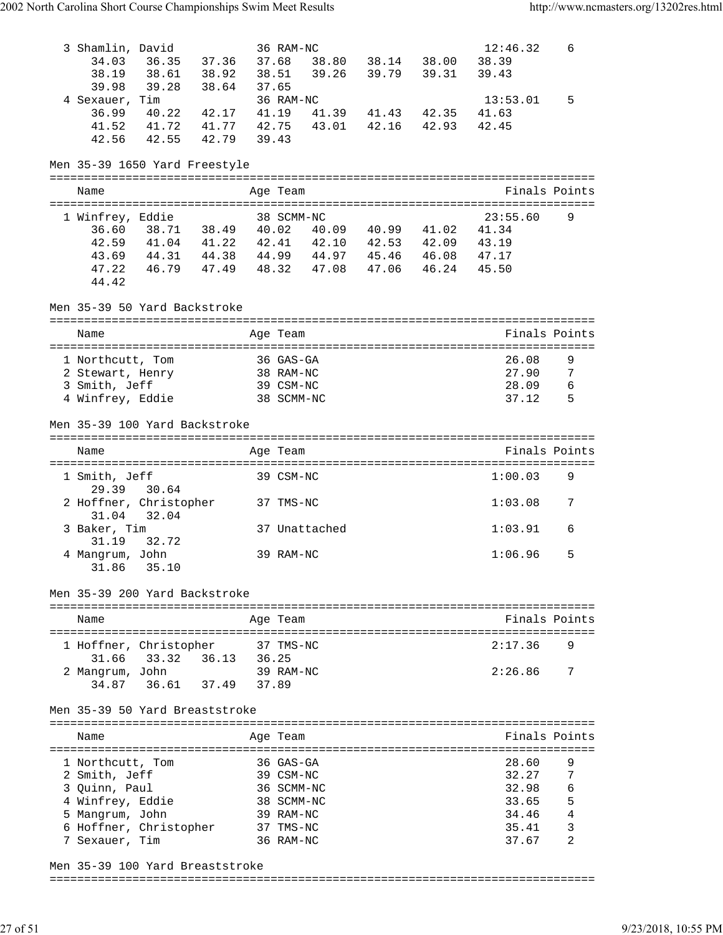| 3 Shamlin, David<br>34.03<br>38.19<br>39.98                               | 36.35 37.36<br>38.61 38.92<br>39.28 | 38.64                          | 37.68<br>38.51<br>37.65 | 36 RAM-NC<br>39.26                                                                                                                 | 39.79 39.31                | 38.80 38.14 38.00          | 12:46.32<br>38.39<br>39.43       | 6                |
|---------------------------------------------------------------------------|-------------------------------------|--------------------------------|-------------------------|------------------------------------------------------------------------------------------------------------------------------------|----------------------------|----------------------------|----------------------------------|------------------|
| 4 Sexauer, Tim<br>36.99<br>41.52<br>42.56                                 | 40.22<br>41.72 41.77<br>42.55       | 42.17<br>42.79                 | 41.19<br>42.75<br>39.43 | 36 RAM-NC<br>41.39<br>43.01                                                                                                        | 41.43 42.35<br>42.16 42.93 |                            | 13:53.01<br>41.63<br>42.45       | 5                |
| Men 35-39 1650 Yard Freestyle                                             |                                     |                                |                         |                                                                                                                                    |                            |                            |                                  |                  |
| Name                                                                      |                                     |                                |                         | Age Team                                                                                                                           |                            |                            |                                  | Finals Points    |
| 1 Winfrey, Eddie<br>36.60<br>42.59<br>43.69<br>47.22<br>44.42             | 46.79 47.49                         |                                |                         | 38 SCMM-NC<br>38.71 38.49 40.02 40.09 40.99<br>41.04 41.22 42.41 42.10 42.53 42.09 43.19<br>44.31 44.38 44.99 44.97<br>48.32 47.08 | 47.06 46.24                | 41.02<br>45.46 46.08 47.17 | 23:55.60<br>41.34<br>45.50       | 9                |
| Men 35-39 50 Yard Backstroke                                              |                                     |                                |                         |                                                                                                                                    |                            |                            |                                  |                  |
| Name                                                                      |                                     |                                |                         | Age Team                                                                                                                           |                            |                            |                                  | Finals Points    |
| 1 Northcutt, Tom<br>2 Stewart, Henry<br>3 Smith, Jeff<br>4 Winfrey, Eddie |                                     |                                |                         | 36 GAS-GA<br>38 RAM-NC<br>39 CSM-NC<br>38 SCMM-NC                                                                                  |                            |                            | 26.08<br>27.90<br>28.09<br>37.12 | 9<br>7<br>6<br>5 |
| Men 35-39 100 Yard Backstroke                                             |                                     |                                |                         |                                                                                                                                    |                            |                            |                                  |                  |
| Name                                                                      |                                     |                                |                         | Age Team                                                                                                                           |                            |                            |                                  | Finals Points    |
| 1 Smith, Jeff                                                             |                                     |                                |                         | 39 CSM-NC                                                                                                                          |                            |                            | 1:00.03                          | 9                |
| 29.39<br>2 Hoffner, Christopher                                           | 30.64<br>32.04                      |                                |                         | 37 TMS-NC                                                                                                                          |                            |                            | 1:03.08                          | 7                |
| 31.04<br>3 Baker, Tim<br>31.19                                            | 32.72                               |                                |                         | 37 Unattached                                                                                                                      |                            |                            | 1:03.91                          | 6                |
| 4 Mangrum, John<br>31.86                                                  | 35.10                               |                                |                         | 39 RAM-NC                                                                                                                          |                            |                            | 1:06.96                          | 5                |
| Men 35-39 200 Yard Backstroke                                             |                                     |                                |                         |                                                                                                                                    |                            |                            |                                  |                  |
| Name                                                                      |                                     |                                |                         | Age Team                                                                                                                           |                            |                            |                                  | Finals Points    |
| 1 Hoffner, Christopher                                                    |                                     |                                |                         | 37 TMS-NC                                                                                                                          |                            |                            | 2:17.36                          | 9                |
| 31.66<br>2 Mangrum, John<br>34.87                                         | 33.32 36.13<br>36.61                | 37.49                          | 36.25<br>37.89          | 39 RAM-NC                                                                                                                          |                            |                            | 2:26.86                          | 7                |
|                                                                           |                                     | Men 35-39 50 Yard Breaststroke |                         |                                                                                                                                    |                            |                            |                                  |                  |
|                                                                           |                                     |                                |                         |                                                                                                                                    |                            |                            |                                  |                  |
| Name                                                                      |                                     |                                |                         | Age Team                                                                                                                           |                            |                            |                                  | Finals Points    |
| 1 Northcutt, Tom                                                          |                                     |                                |                         | 36 GAS-GA                                                                                                                          |                            |                            | 28.60                            | 9                |
| 2 Smith, Jeff                                                             |                                     |                                |                         | 39 CSM-NC                                                                                                                          |                            |                            | 32.27                            | 7                |
| 3 Quinn, Paul                                                             |                                     |                                |                         | 36 SCMM-NC                                                                                                                         |                            |                            | 32.98                            | 6                |
| 4 Winfrey, Eddie                                                          |                                     |                                |                         | 38 SCMM-NC<br>39 RAM-NC                                                                                                            |                            |                            | 33.65<br>34.46                   | 5<br>4           |
| 5 Mangrum, John<br>6 Hoffner, Christopher                                 |                                     |                                |                         | 37 TMS-NC                                                                                                                          |                            |                            | 35.41                            | 3                |

Men 35-39 100 Yard Breaststroke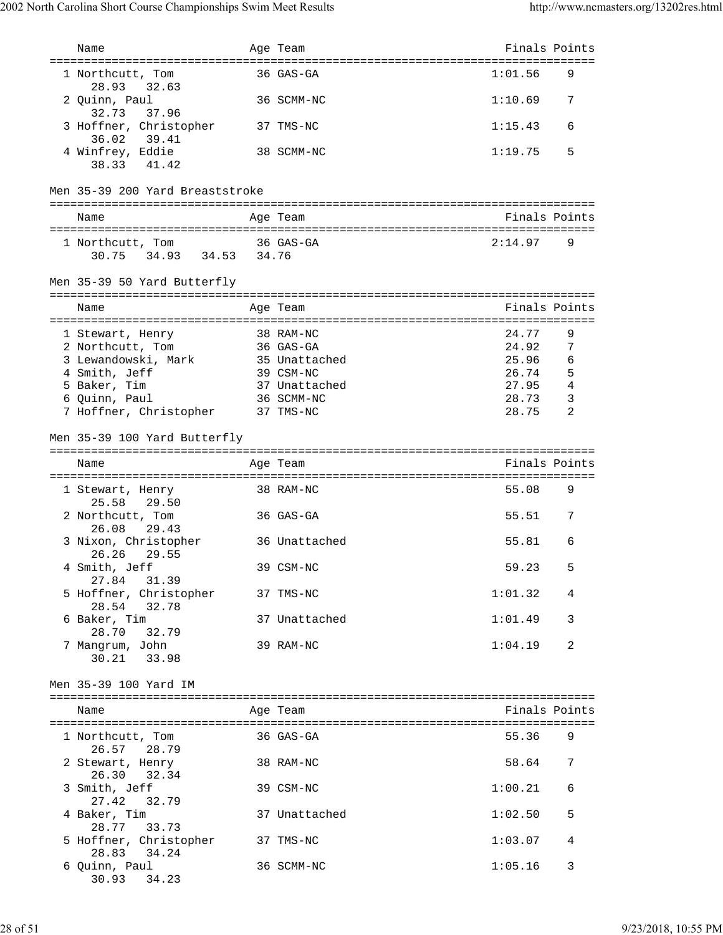| Name                                           | Age Team                         | Finals Points |   |
|------------------------------------------------|----------------------------------|---------------|---|
| ==================================             | :=============================== |               |   |
| 1 Northcutt, Tom<br>32.63<br>28.93             | 36 GAS-GA                        | 1:01.56       | 9 |
| 2 Quinn, Paul<br>32.73<br>37.96                | 36 SCMM-NC                       | 1:10.69       | 7 |
| 3 Hoffner, Christopher<br>36.02<br>39.41       | 37 TMS-NC                        | 1:15.43       | 6 |
| 4 Winfrey, Eddie<br>38.33 41.42                | 38 SCMM-NC                       | 1:19.75       | 5 |
| Men 35-39 200 Yard Breaststroke                |                                  |               |   |
| Name                                           | Age Team                         | Finals Points |   |
| 1 Northcutt, Tom<br>34.93 34.53 34.76<br>30.75 | 36 GAS-GA                        | 2:14.97       | 9 |
| Men 35-39 50 Yard Butterfly                    |                                  |               |   |
| Name                                           | Age Team                         | Finals Points |   |
| 1 Stewart, Henry                               | 38 RAM-NC                        | 24.77         | 9 |
| 2 Northcutt, Tom                               | 36 GAS-GA                        | 24.92         | 7 |
| 3 Lewandowski, Mark                            | 35 Unattached                    | 25.96         | 6 |
| 4 Smith, Jeff                                  | 39 CSM-NC                        | 26.74         | 5 |
| 5 Baker, Tim                                   | 37 Unattached                    | 27.95         | 4 |
| 6 Quinn, Paul                                  | 36 SCMM-NC                       | 28.73         | 3 |
| 7 Hoffner, Christopher                         | 37 TMS-NC                        | 28.75         | 2 |
| Men 35-39 100 Yard Butterfly                   |                                  |               |   |
| Name                                           | Age Team                         | Finals Points |   |
| 1 Stewart, Henry<br>25.58<br>29.50             | 38 RAM-NC                        | 55.08         | 9 |
| 2 Northcutt, Tom<br>26.08<br>29.43             | 36 GAS-GA                        | 55.51         | 7 |
| 3 Nixon, Christopher<br>29.55<br>26.26         | 36 Unattached                    | 55.81         | 6 |
| 4 Smith, Jeff<br>27.84 31.39                   | 39 CSM-NC                        | 59.23         | 5 |
| 5 Hoffner, Christopher<br>28.54<br>32.78       | 37 TMS-NC                        | 1:01.32       | 4 |
| 6 Baker, Tim<br>28.70<br>32.79                 | 37 Unattached                    | 1:01.49       | 3 |
| 7 Mangrum, John<br>30.21 33.98                 | 39 RAM-NC                        | 1:04.19       | 2 |
| Men 35-39 100 Yard IM                          |                                  |               |   |
| Name                                           | Age Team                         | Finals Points |   |
| 1 Northcutt, Tom<br>26.57 28.79                | 36 GAS-GA                        | 55.36         | 9 |
| 2 Stewart, Henry<br>26.30 32.34                | 38 RAM-NC                        | 58.64         | 7 |
| 3 Smith, Jeff<br>27.42<br>32.79                | 39 CSM-NC                        | 1:00.21       | 6 |
| 4 Baker, Tim<br>28.77 33.73                    | 37 Unattached                    | 1:02.50       | 5 |
| 5 Hoffner, Christopher<br>28.83<br>34.24       | 37 TMS-NC                        | 1:03.07       | 4 |
| 6 Quinn, Paul<br>30.93<br>34.23                | 36 SCMM-NC                       | 1:05.16       | 3 |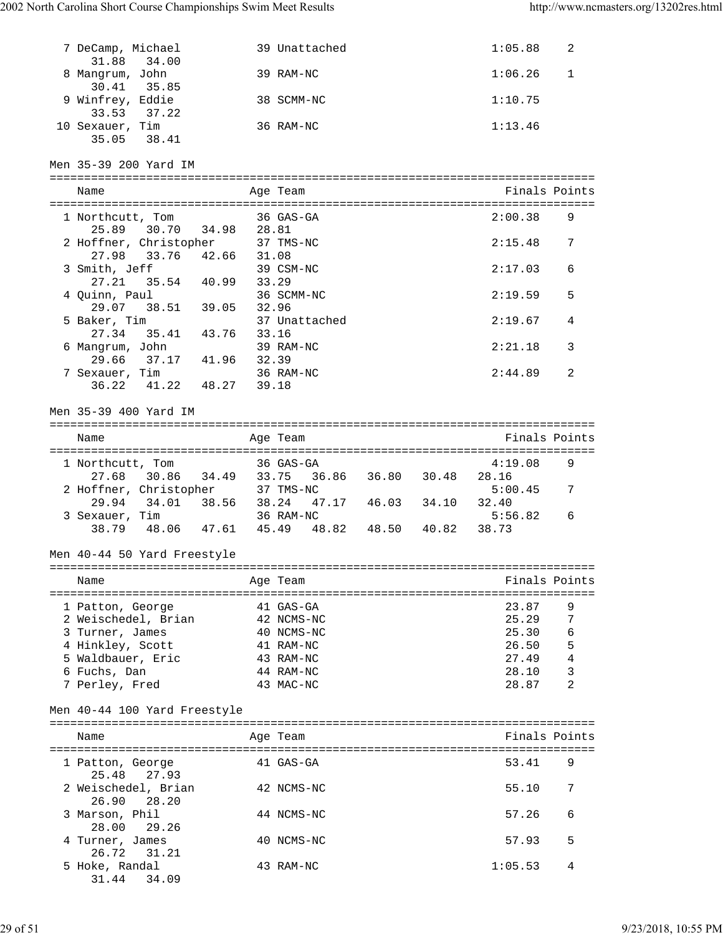27.21 35.54 40.99 33.29<br>uinn, Paul 36 SCMM-NC

29.07 38.51 39.05 32.96

27.34 35.41 43.76 33.16

|   | 7 DeCamp, Michael<br>31.88 34.00         | 39 Unattached      | 2<br>1:05.88            |
|---|------------------------------------------|--------------------|-------------------------|
| 8 | Mangrum, John<br>30.41 35.85             | 39 RAM-NC          | $\mathbf{1}$<br>1:06.26 |
|   | 9 Winfrey, Eddie<br>37.22<br>33.53       | 38 SCMM-NC         | 1:10.75                 |
|   | 10 Sexauer, Tim<br>35.05 38.41           | 36 RAM-NC          | 1:13.46                 |
|   | Men 35-39 200 Yard IM                    |                    |                         |
|   | Name                                     | Age Team           | Finals Points           |
|   | 1 Northcutt, Tom<br>30.70 34.98<br>25.89 | 36 GAS-GA<br>28.81 | 9<br>2:00.38            |
|   | 2 Hoffner, Christopher                   | 37 TMS-NC          | 7<br>2:15.48            |

3 Smith, Jeff 39 CSM-NC 2:17.03 6

4 Quinn, Paul 36 SCMM-NC 2:19.59 5

5 Baker, Tim 37 Unattached 2:19.67 4

| 6 | Mangrum, John<br>29.66<br>7 Sexauer, Tim<br>36.22 | 37.17<br>41.22 | 41.96<br>48.27 | 39 RAM-NC<br>32.39<br>36 RAM-NC<br>39.18 |       |       |       | 2:21.18<br>2:44.89 | 3<br>2 |
|---|---------------------------------------------------|----------------|----------------|------------------------------------------|-------|-------|-------|--------------------|--------|
|   | Men 35-39 400 Yard IM                             |                |                |                                          |       |       |       |                    |        |
|   | Name                                              |                |                | Age Team                                 |       |       |       | Finals Points      |        |
|   | 1 Northcutt, Tom<br>27.68                         | 30.86          | 34.49          | 36 GAS-GA<br>33.75                       | 36.86 | 36.80 | 30.48 | 4:19.08<br>28.16   | 9      |
|   | 2 Hoffner, Christopher<br>29.94                   | 34.01          | 38.56          | 37 TMS-NC<br>38.24                       | 47.17 | 46.03 | 34.10 | 5:00.45<br>32.40   | 7      |
|   | 3 Sexauer, Tim<br>38.79                           | 48.06          | 47.61          | 36 RAM-NC<br>45.49                       | 48.82 | 48.50 | 40.82 | 5:56.82<br>38.73   | 6      |

Men 40-44 50 Yard Freestyle

| Name                | Age Team   | Finals Points |   |
|---------------------|------------|---------------|---|
| 1 Patton, George    | 41 GAS-GA  | 23.87         |   |
| 2 Weischedel, Brian | 42 NCMS-NC | 25.29         | 7 |
| 3 Turner, James     | 40 NCMS-NC | 25.30         | 6 |
| 4 Hinkley, Scott    | 41 RAM-NC  | 26.50         | 5 |
| 5 Waldbauer, Eric   | 43 RAM-NC  | 27.49         | 4 |
| 6 Fuchs, Dan        | 44 RAM-NC  | 28.10         | 3 |
| 7 Perley, Fred      | 43 MAC-NC  | 28.87         | っ |

Men 40-44 100 Yard Freestyle

| Name                               | Age Team   | Finals Points |   |
|------------------------------------|------------|---------------|---|
| 1 Patton, George<br>25.48 27.93    | 41 GAS-GA  | 53.41         | 9 |
| 2 Weischedel, Brian<br>26.90 28.20 | 42 NCMS-NC | 55.10         |   |
| 3 Marson, Phil<br>28.00 29.26      | 44 NCMS-NC | 57.26         | 6 |
| 4 Turner, James<br>26.72 31.21     | 40 NCMS-NC | 57.93         | 5 |
| 5 Hoke, Randal<br>31.44<br>34.09   | 43 RAM-NC  | 1:05.53       | 4 |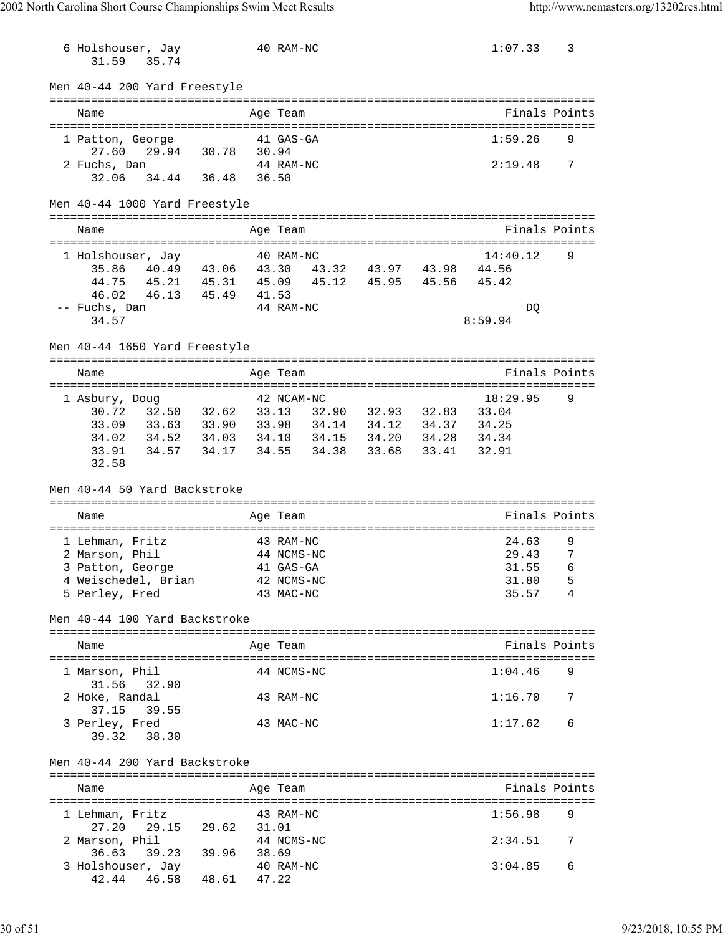| 6 Holshouser, Jay<br>31.59<br>35.74                                                                                                                                                                                                                         |       |       | 40 RAM-NC  |  | 1:07.33                            | 3              |
|-------------------------------------------------------------------------------------------------------------------------------------------------------------------------------------------------------------------------------------------------------------|-------|-------|------------|--|------------------------------------|----------------|
| Men 40-44 200 Yard Freestyle                                                                                                                                                                                                                                |       |       |            |  |                                    |                |
| Name                                                                                                                                                                                                                                                        |       |       | Age Team   |  |                                    | Finals Points  |
| 1 Patton, George<br>29.94 30.78 30.94<br>27.60                                                                                                                                                                                                              |       |       | 41 GAS-GA  |  | 1:59.26                            | 9              |
| 2 Fuchs, Dan<br>32.06 34.44 36.48 36.50                                                                                                                                                                                                                     |       |       | 44 RAM-NC  |  | 2:19.48 7                          |                |
| Men 40-44 1000 Yard Freestyle                                                                                                                                                                                                                               |       |       |            |  |                                    |                |
| Name                                                                                                                                                                                                                                                        |       |       | Age Team   |  |                                    | Finals Points  |
| 1 Holshouser, Jay 40 RAM-NC<br>35.86 40.49 43.06 43.30 43.32 43.97 43.98 44.56<br>44.75<br>45.21  45.31  45.09  45.12  45.95  45.56<br>46.13  45.49  41.53<br>46.02<br>-- Fuchs, Dan<br>34.57                                                               |       |       | 44 RAM-NC  |  | 14:40.12<br>45.42<br>DO<br>8:59.94 | 9              |
| Men 40-44 1650 Yard Freestyle                                                                                                                                                                                                                               |       |       |            |  |                                    |                |
| Name                                                                                                                                                                                                                                                        |       |       | Age Team   |  |                                    | Finals Points  |
| 1 Asbury, Doug<br>32.50 32.62 33.13 32.90 32.93 32.83 33.04<br>30.72<br>33.63 33.90 33.98 34.14 34.12 34.37 34.25<br>33.09<br>34.02<br>34.52  34.03  34.10  34.15  34.20  34.28  34.34<br>34.57  34.17  34.55  34.38  33.68  33.41  32.91<br>33.91<br>32.58 |       |       | 42 NCAM-NC |  | 18:29.95                           | 9              |
| Men 40-44 50 Yard Backstroke                                                                                                                                                                                                                                |       |       |            |  |                                    |                |
| Name                                                                                                                                                                                                                                                        |       |       | Age Team   |  |                                    | Finals Points  |
| 1 Lehman, Fritz                                                                                                                                                                                                                                             |       |       | 43 RAM-NC  |  | 24.63                              | 9              |
| 2 Marson, Phil                                                                                                                                                                                                                                              |       |       | 44 NCMS-NC |  | 29.43                              | $\overline{7}$ |
| 3 Patton, George                                                                                                                                                                                                                                            |       |       | 41 GAS-GA  |  | 31.55                              | 6              |
| 4 Weischedel, Brian                                                                                                                                                                                                                                         |       |       | 42 NCMS-NC |  | 31.80                              | 5              |
| 5 Perley, Fred                                                                                                                                                                                                                                              |       |       | 43 MAC-NC  |  | 35.57                              | 4              |
| Men 40-44 100 Yard Backstroke                                                                                                                                                                                                                               |       |       |            |  |                                    |                |
| Name                                                                                                                                                                                                                                                        |       |       | Age Team   |  |                                    | Finals Points  |
| 1 Marson, Phil<br>31.56<br>32.90                                                                                                                                                                                                                            |       |       | 44 NCMS-NC |  | 1:04.46                            | 9              |
| 2 Hoke, Randal<br>37.15<br>39.55                                                                                                                                                                                                                            |       |       | 43 RAM-NC  |  | 1:16.70                            | 7              |
| 3 Perley, Fred<br>39.32<br>38.30                                                                                                                                                                                                                            |       |       | 43 MAC-NC  |  | 1:17.62                            | 6              |
| Men 40-44 200 Yard Backstroke                                                                                                                                                                                                                               |       |       |            |  |                                    |                |
| Name                                                                                                                                                                                                                                                        |       |       | Age Team   |  |                                    | Finals Points  |
|                                                                                                                                                                                                                                                             |       |       |            |  |                                    |                |
| 1 Lehman, Fritz<br>27.20<br>29.15                                                                                                                                                                                                                           | 29.62 | 31.01 | 43 RAM-NC  |  | 1:56.98                            | 9              |
| 2 Marson, Phil<br>39.23 39.96<br>36.63                                                                                                                                                                                                                      |       | 38.69 | 44 NCMS-NC |  | 2:34.51                            | 7              |
| 3 Holshouser, Jay<br>46.58 48.61 47.22<br>42.44                                                                                                                                                                                                             |       |       | 40 RAM-NC  |  | 3:04.85                            | 6              |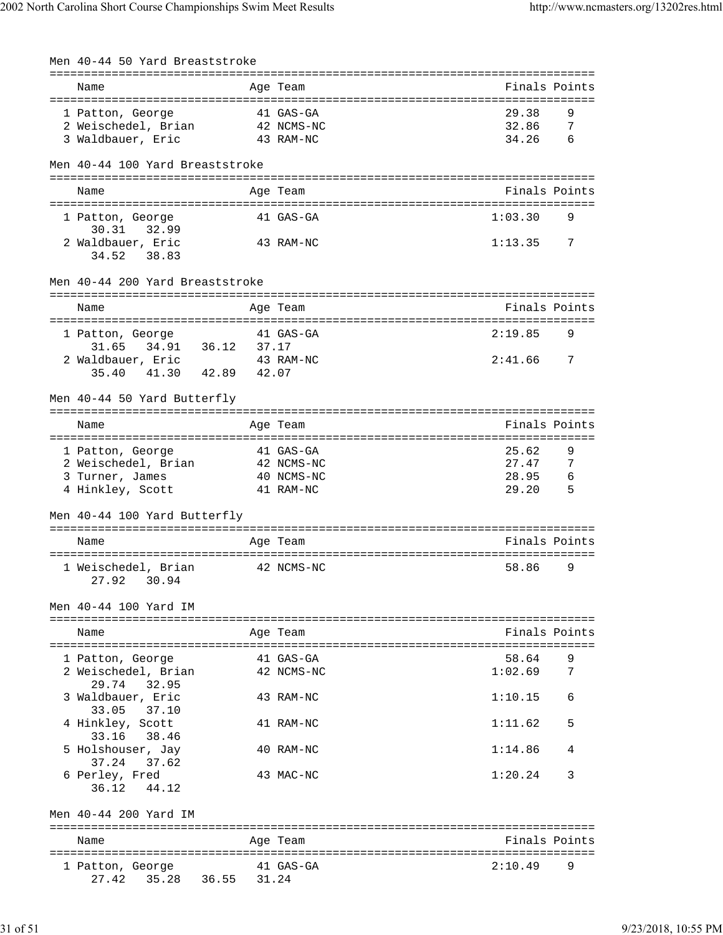| Men 40-44 50 Yard Breaststroke          |       |            |                                    |  |
|-----------------------------------------|-------|------------|------------------------------------|--|
|                                         |       |            |                                    |  |
| Name                                    |       | Age Team   | Finals Points                      |  |
| 1 Patton, George                        |       | 41 GAS-GA  | 29.38<br>9                         |  |
| 2 Weischedel, Brian                     |       | 42 NCMS-NC | 32.86<br>7                         |  |
| 3 Waldbauer, Eric                       |       | 43 RAM-NC  | 34.26<br>6                         |  |
|                                         |       |            |                                    |  |
| Men 40-44 100 Yard Breaststroke         |       |            |                                    |  |
|                                         |       |            |                                    |  |
| Name                                    |       | Age Team   | Finals Points                      |  |
|                                         |       |            |                                    |  |
| 1 Patton, George<br>30.31 32.99         |       | 41 GAS-GA  | 1:03.30<br>9                       |  |
| 2 Waldbauer, Eric                       |       | 43 RAM-NC  | 1:13.35<br>7                       |  |
| 34.52<br>38.83                          |       |            |                                    |  |
|                                         |       |            |                                    |  |
| Men 40-44 200 Yard Breaststroke         |       |            |                                    |  |
|                                         |       |            |                                    |  |
| Name                                    |       | Age Team   | Finals Points                      |  |
| 1 Patton, George                        |       | 41 GAS-GA  | 2:19.85<br>9                       |  |
| 34.91 36.12<br>31.65                    | 37.17 |            |                                    |  |
| 2 Waldbauer, Eric                       |       | 43 RAM-NC  | 2:41.66<br>- 7                     |  |
| 41.30 42.89<br>35.40                    | 42.07 |            |                                    |  |
|                                         |       |            |                                    |  |
| Men 40-44 50 Yard Butterfly             |       |            |                                    |  |
|                                         |       |            | ================================== |  |
| Name                                    |       | Age Team   | Finals Points                      |  |
| 1 Patton, George                        |       | 41 GAS-GA  | 25.62<br>9                         |  |
| 2 Weischedel, Brian 42 NCMS-NC          |       |            | 27.47<br>7                         |  |
| 3 Turner, James                         |       | 40 NCMS-NC | 28.95<br>- 6                       |  |
| 4 Hinkley, Scott                        |       | 41 RAM-NC  | 29.20<br>5                         |  |
|                                         |       |            |                                    |  |
| Men 40-44 100 Yard Butterfly            |       |            |                                    |  |
| Name                                    |       |            | Finals Points                      |  |
|                                         |       | Age Team   |                                    |  |
| 1 Weischedel, Brian                     |       | 42 NCMS-NC | 58.86<br>9                         |  |
| 27.92<br>30.94                          |       |            |                                    |  |
|                                         |       |            |                                    |  |
| Men 40-44 100 Yard IM                   |       |            |                                    |  |
|                                         |       |            |                                    |  |
| Name                                    |       | Age Team   | Finals Points                      |  |
|                                         |       | 41 GAS-GA  | 58.64<br>9                         |  |
| 1 Patton, George<br>2 Weischedel, Brian |       | 42 NCMS-NC | 1:02.69<br>7                       |  |
| 32.95<br>29.74                          |       |            |                                    |  |
| 3 Waldbauer, Eric                       |       | 43 RAM-NC  | 1:10.15<br>6                       |  |
| 33.05<br>37.10                          |       |            |                                    |  |
| 4 Hinkley, Scott                        |       | 41 RAM-NC  | 1:11.62<br>5                       |  |
| 33.16<br>38.46                          |       |            |                                    |  |
| 5 Holshouser, Jay                       |       | 40 RAM-NC  | 1:14.86<br>4                       |  |
| 37.24<br>37.62                          |       |            |                                    |  |
| 6 Perley, Fred                          |       | 43 MAC-NC  | 1:20.24<br>3                       |  |
| 36.12<br>44.12                          |       |            |                                    |  |
|                                         |       |            |                                    |  |
| Men 40-44 200 Yard IM                   |       |            |                                    |  |
| Name                                    |       | Age Team   | Finals Points                      |  |
|                                         |       |            |                                    |  |
| 1 Patton, George                        |       | 41 GAS-GA  | 2:10.49<br>9                       |  |
| 35.28 36.55<br>27.42                    | 31.24 |            |                                    |  |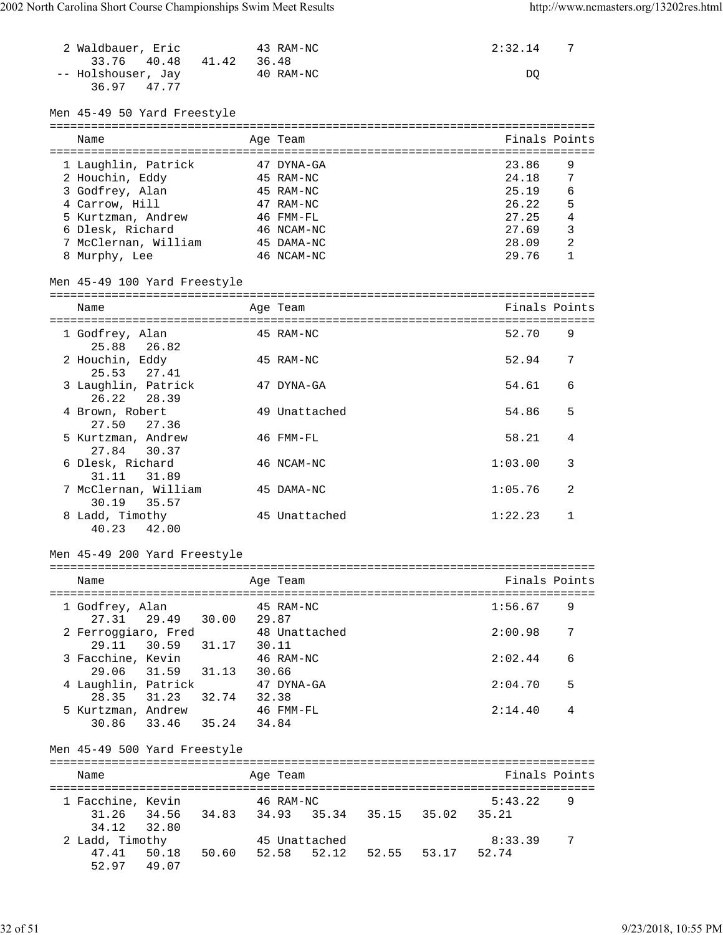| 2 Waldbauer, Eric<br>33.76<br>40.48 41.42 36.48                                      | 43 RAM-NC                | 2:32.14        | 7              |
|--------------------------------------------------------------------------------------|--------------------------|----------------|----------------|
| -- Holshouser, Jay<br>36.97<br>47.77                                                 | 40 RAM-NC                | DQ             |                |
| Men 45-49 50 Yard Freestyle                                                          |                          |                |                |
| Name                                                                                 | Age Team                 |                | Finals Points  |
| 1 Laughlin, Patrick                                                                  | 47 DYNA-GA               | 23.86          | 9              |
| 2 Houchin, Eddy                                                                      | 45 RAM-NC                | 24.18          | 7              |
| 3 Godfrey, Alan                                                                      | 45 RAM-NC                | 25.19          | 6              |
| 4 Carrow, Hill                                                                       | 47 RAM-NC                | 26.22          | 5              |
| 5 Kurtzman, Andrew                                                                   | 46 FMM-FL                | 27.25          | 4              |
| 6 Dlesk, Richard                                                                     | 46 NCAM-NC               | 27.69          | $\overline{3}$ |
| 7 McClernan, William<br>8 Murphy, Lee                                                | 45 DAMA-NC<br>46 NCAM-NC | 28.09<br>29.76 | 2<br>1         |
|                                                                                      |                          |                |                |
| Men 45-49 100 Yard Freestyle                                                         |                          |                |                |
| Name                                                                                 | Age Team                 |                | Finals Points  |
|                                                                                      |                          |                |                |
| 1 Godfrey, Alan<br>25.88<br>26.82                                                    | 45 RAM-NC                | 52.70          | 9              |
| 2 Houchin, Eddy<br>25.53<br>27.41                                                    | 45 RAM-NC                | 52.94          | 7              |
| 3 Laughlin, Patrick<br>26.22<br>28.39                                                | 47 DYNA-GA               | 54.61          | 6              |
| 4 Brown, Robert<br>27.50<br>27.36                                                    | 49 Unattached            | 54.86          | 5              |
| 5 Kurtzman, Andrew<br>27.84<br>30.37                                                 | 46 FMM-FL                | 58.21          | 4              |
| 6 Dlesk, Richard<br>31.89<br>31.11                                                   | 46 NCAM-NC               | 1:03.00        | 3              |
| 7 McClernan, William<br>35.57<br>30.19                                               | 45 DAMA-NC               | 1:05.76        | 2              |
| 8 Ladd, Timothy<br>40.23<br>42.00                                                    | 45 Unattached            | 1:22.23        | $\mathbf{1}$   |
|                                                                                      |                          |                |                |
| Men 45-49 200 Yard Freestyle                                                         |                          |                |                |
| Name                                                                                 | Age Team                 |                | Finals Points  |
| 1 Godfrey, Alan<br>27.31 29.49 30.00 29.87                                           | 45 RAM-NC                | 1:56.67        | 9              |
| 2 Ferroggiaro, Fred<br>29.11 30.59 31.17 30.11                                       | 48 Unattached            | 2:00.98        | 7              |
| 3 Facchine, Kevin<br>31.59 31.13 30.66                                               | 46 RAM-NC                | 2:02.44        | 6              |
| 29.06<br>4 Laughlin, Patrick                                                         | 47 DYNA-GA               | 2:04.70        | 5              |
| 28.35 31.23 32.74 32.38<br>5 Kurtzman, Andrew<br>30.86 33.46 35.24 34.84             | 46 FMM-FL                | 2:14.40        | 4              |
|                                                                                      |                          |                |                |
| Men 45-49 500 Yard Freestyle                                                         |                          |                |                |
| Name                                                                                 | Age Team                 |                | Finals Points  |
| 1 Facchine, Kevin 46 RAM-NC                                                          |                          | 5:43.22        | 9              |
| 31.26 34.56 34.83 34.93 35.34 35.15 35.02<br>34.12<br>32.80                          |                          | 35.21          |                |
| 2 Ladd, Timothy<br>47.41 50.18 50.60 52.58 52.12 52.55 53.17 52.74<br>52.97<br>49.07 | 45 Unattached            | 8:33.39        | 7              |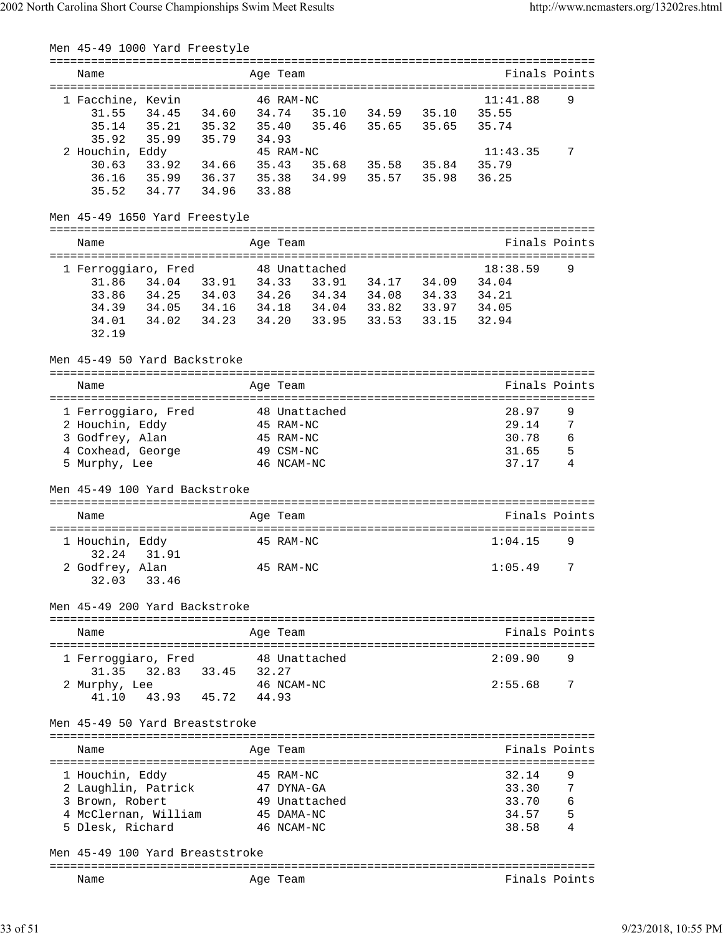| Men 45-49 1000 Yard Freestyle                                        |                               |  |                   |           |               |
|----------------------------------------------------------------------|-------------------------------|--|-------------------|-----------|---------------|
| Name                                                                 | Age Team                      |  |                   |           | Finals Points |
| 1 Facchine, Kevin                                                    | 46 RAM-NC                     |  |                   | 11:41.88  | 9             |
| 34.45 34.60<br>31.55                                                 | 34.74 35.10 34.59 35.10 35.55 |  |                   |           |               |
| 35.21 35.32<br>35.14                                                 | 35.40 35.46 35.65 35.65       |  |                   | 35.74     |               |
| 35.99 35.79 34.93<br>35.92                                           |                               |  |                   |           |               |
| 2 Houchin, Eddy                                                      | 45 RAM-NC                     |  |                   | 11:43.35  | 7             |
| 33.92 34.66 35.43 35.68 35.58 35.84 35.79<br>30.63                   |                               |  |                   |           |               |
|                                                                      |                               |  |                   | 36.25     |               |
| 36.16 35.99 36.37 35.38 34.99 35.57 35.98<br>35.52 34.77 34.96 33.88 |                               |  |                   |           |               |
| Men 45-49 1650 Yard Freestyle                                        |                               |  |                   |           |               |
| Name                                                                 | Age Team                      |  |                   |           | Finals Points |
|                                                                      |                               |  |                   |           |               |
| 1 Ferroggiaro, Fred                                                  | 48 Unattached                 |  |                   | 18:38.59  | 9             |
| 31.86  34.04  33.91  34.33  33.91  34.17  34.09  34.04               |                               |  |                   |           |               |
| 33.86 34.25 34.03 34.26 34.34 34.08 34.33 34.21                      |                               |  |                   |           |               |
| 34.39  34.05  34.16  34.18  34.04  33.82  33.97  34.05               |                               |  |                   |           |               |
| 34.01<br>34.02 34.23 34.20 33.95                                     |                               |  | 33.53 33.15 32.94 |           |               |
| 32.19                                                                |                               |  |                   |           |               |
| Men 45-49 50 Yard Backstroke                                         |                               |  |                   |           |               |
| Name                                                                 | Age Team                      |  |                   |           | Finals Points |
|                                                                      |                               |  |                   |           |               |
| 1 Ferroggiaro, Fred 548 Unattached                                   |                               |  |                   | 28.97     | 9             |
| 2 Houchin, Eddy                                                      | 45 RAM-NC                     |  |                   | 29.14     | 7             |
| 3 Godfrey, Alan                                                      | 45 RAM-NC                     |  |                   | 30.78 6   |               |
| 4 Coxhead, George                                                    | 49 CSM-NC                     |  |                   | $31.65$ 5 |               |
| 5 Murphy, Lee                                                        | 46 NCAM-NC                    |  |                   | 37.17     | 4             |
| Men 45-49 100 Yard Backstroke                                        |                               |  |                   |           |               |
|                                                                      |                               |  |                   |           |               |
| Name                                                                 | Age Team                      |  |                   |           | Finals Points |
| 1 Houchin, Eddy                                                      | 45 RAM-NC                     |  |                   | 1:04.15   | 9             |
| 32.24 31.91                                                          |                               |  |                   |           |               |
|                                                                      |                               |  |                   |           |               |
| 2 Godfrey, Alan<br>32.03<br>33.46                                    | 45 RAM-NC                     |  |                   | 1:05.49 7 |               |
|                                                                      |                               |  |                   |           |               |
| Men 45-49 200 Yard Backstroke                                        |                               |  |                   |           |               |
| Name                                                                 | Age Team                      |  |                   |           | Finals Points |
| 1 Ferroggiaro, Fred 48 Unattached                                    |                               |  |                   | 2:09.90   | 9             |
| 31.35 32.83 33.45 32.27                                              |                               |  |                   |           |               |
|                                                                      | 46 NCAM-NC                    |  |                   | 2:55.68   | 7             |
| 2 Murphy, Lee<br>43.93 45.72 44.93<br>41.10                          |                               |  |                   |           |               |
| Men 45-49 50 Yard Breaststroke                                       |                               |  |                   |           |               |
| Name                                                                 | Age Team                      |  |                   |           | Finals Points |
|                                                                      |                               |  |                   |           |               |
| 1 Houchin, Eddy                                                      | 45 RAM-NC                     |  |                   | 32.14     | 9             |
| 2 Laughlin, Patrick                                                  | 47 DYNA-GA                    |  |                   | 33.30     | 7             |
| 3 Brown, Robert                                                      | 49 Unattached                 |  |                   | 33.70     | - 6           |
| 4 McClernan, William                                                 | 45 DAMA-NC                    |  |                   | 34.57     | 5             |
| 5 Dlesk, Richard                                                     | 46 NCAM-NC                    |  |                   | 38.58     | 4             |
|                                                                      |                               |  |                   |           |               |
| Men 45-49 100 Yard Breaststroke                                      |                               |  |                   |           |               |
| Name                                                                 | Age Team                      |  |                   |           | Finals Points |
|                                                                      |                               |  |                   |           |               |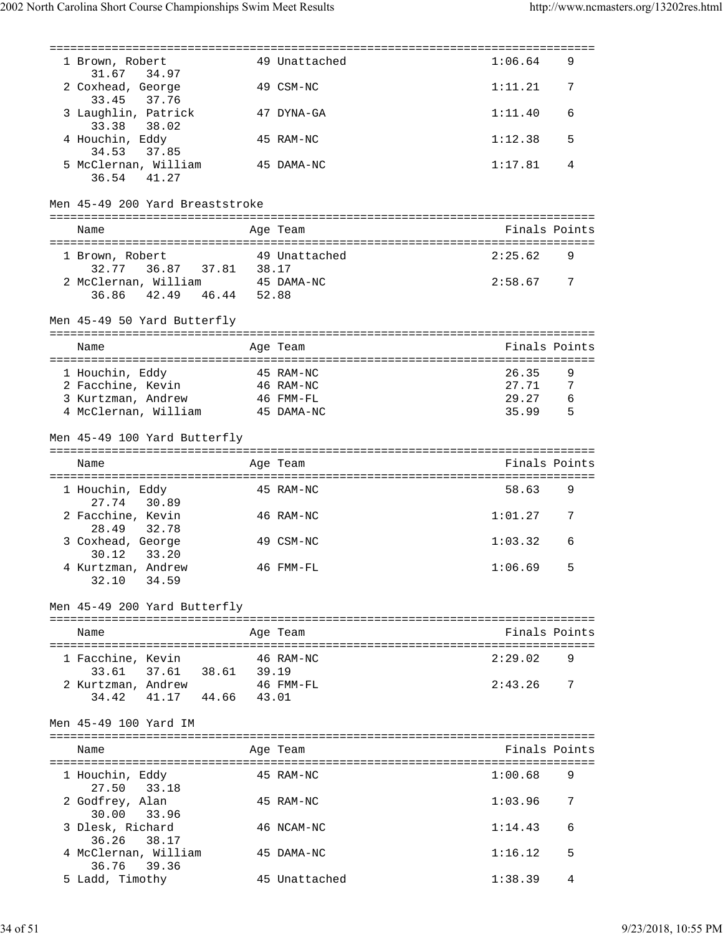| 1 Brown, Robert<br>31.67 34.97                                | 49 Unattached | 1:06.64        | 9 |
|---------------------------------------------------------------|---------------|----------------|---|
| 2 Coxhead, George<br>33.45<br>37.76                           | 49 CSM-NC     | 1:11.21        | 7 |
| 3 Laughlin, Patrick<br>33.38 38.02                            | 47 DYNA-GA    | 1:11.40        | 6 |
| 4 Houchin, Eddy<br>37.85<br>34.53                             | 45 RAM-NC     | 1:12.38        | 5 |
| 5 McClernan, William<br>36.54 41.27                           | 45 DAMA-NC    | 1:17.81        | 4 |
| Men 45-49 200 Yard Breaststroke                               |               |                |   |
| Name                                                          | Age Team      | Finals Points  |   |
| 1 Brown, Robert                                               | 49 Unattached | 2:25.62        | 9 |
| 36.87 37.81 38.17<br>32.77<br>2 McClernan, William 45 DAMA-NC |               | 2:58.67        | 7 |
| 36.86 42.49 46.44 52.88                                       |               |                |   |
| Men 45-49 50 Yard Butterfly                                   |               |                |   |
| Name                                                          | Age Team      | Finals Points  |   |
|                                                               |               |                |   |
| 1 Houchin, Eddy                                               | 45 RAM-NC     | 26.35          | 9 |
| 2 Facchine, Kevin                                             | 46 RAM-NC     | 27.71<br>29.27 | 7 |
| 3 Kurtzman, Andrew                                            | 46 FMM-FL     |                | 6 |
| 4 McClernan, William                                          | 45 DAMA-NC    | 35.99          | 5 |
| Men 45-49 100 Yard Butterfly                                  |               |                |   |
| Name                                                          | Age Team      | Finals Points  |   |
| 1 Houchin, Eddy<br>27.74<br>30.89                             | 45 RAM-NC     | 58.63          | 9 |
| 2 Facchine, Kevin<br>28.49<br>32.78                           | 46 RAM-NC     | 1:01.27        | 7 |
| 3 Coxhead, George<br>30.12<br>33.20                           | 49 CSM-NC     | 1:03.32        | 6 |
| 4 Kurtzman, Andrew<br>32.10 34.59                             | 46 FMM-FL     | 1:06.69        | 5 |
| Men 45-49 200 Yard Butterfly                                  |               |                |   |
| Name                                                          | Age Team      | Finals Points  |   |
| 1 Facchine, Kevin 46 RAM-NC                                   |               | 2:29.02        | 9 |
| 33.61 37.61 38.61 39.19                                       |               |                |   |
| 2 Kurtzman, Andrew 46 FMM-FL<br>34.42 41.17 44.66 43.01       |               | 2:43.26        | 7 |
| Men 45-49 100 Yard IM                                         |               |                |   |
| Name                                                          | Age Team      | Finals Points  |   |
| 1 Houchin, Eddy<br>27.50 33.18                                | 45 RAM-NC     | 1:00.68        | 9 |
| 2 Godfrey, Alan<br>30.00 33.96                                | 45 RAM-NC     | 1:03.96        | 7 |
| 3 Dlesk, Richard<br>36.26 38.17                               | 46 NCAM-NC    | 1:14.43        | 6 |
| 4 McClernan, William<br>36.76 39.36                           | 45 DAMA-NC    | 1:16.12        | 5 |
| 5 Ladd, Timothy                                               | 45 Unattached | 1:38.39        | 4 |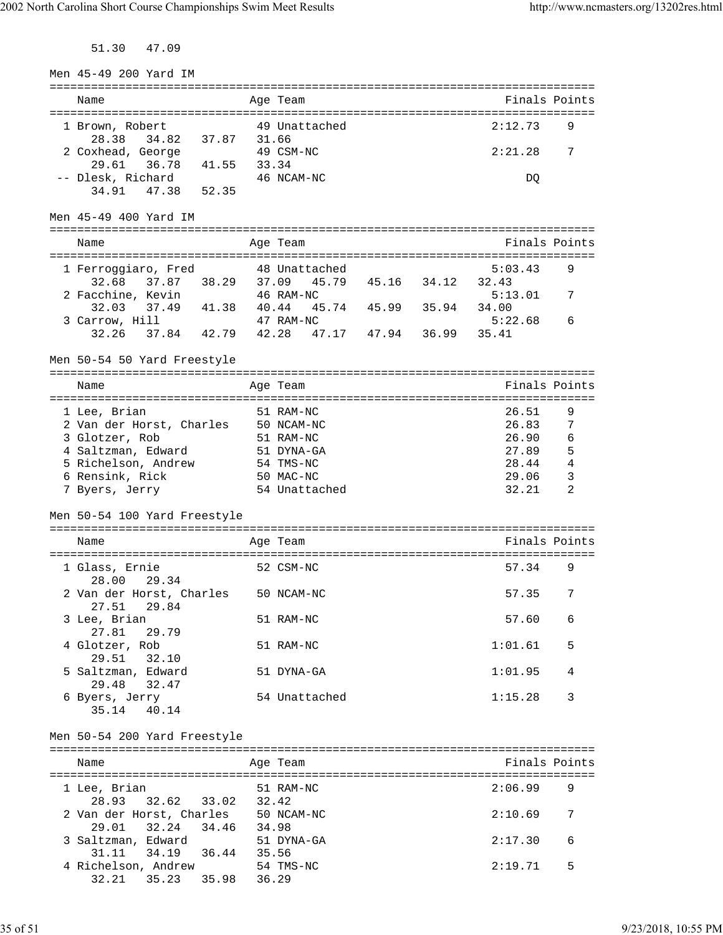51.30 47.09

| Men 45-49 200 Yard IM                             |       |                         |                   |       |                                     |               |
|---------------------------------------------------|-------|-------------------------|-------------------|-------|-------------------------------------|---------------|
| =============================                     |       | ===================     |                   |       | =================================== |               |
| Name                                              |       | Age Team                |                   |       |                                     | Finals Points |
| 1 Brown, Robert                                   |       | 49 Unattached           |                   |       | 2:12.73                             | 9             |
| 37.87<br>28.38<br>34.82                           | 31.66 |                         |                   |       |                                     |               |
| 2 Coxhead, George                                 |       | 49 CSM-NC               |                   |       | 2:21.28                             | 7             |
| 41.55<br>29.61<br>36.78                           | 33.34 |                         |                   |       |                                     |               |
| -- Dlesk, Richard                                 |       | 46 NCAM-NC              |                   |       | DQ                                  |               |
| 52.35<br>34.91<br>47.38                           |       |                         |                   |       |                                     |               |
|                                                   |       |                         |                   |       |                                     |               |
| Men 45-49 400 Yard IM                             |       |                         |                   |       |                                     |               |
| ===================                               |       | ===========             |                   |       |                                     |               |
| Name                                              |       | Age Team                |                   |       |                                     | Finals Points |
| 1 Ferroggiaro, Fred                               |       | 48 Unattached           |                   |       | 5:03.43                             | 9             |
| 37.87 38.29<br>32.68                              |       | 37.09<br>45.79          | 45.16             | 34.12 | 32.43                               |               |
| 2 Facchine, Kevin                                 |       | 46 RAM-NC               |                   |       | 5:13.01                             | 7             |
| 37.49 41.38<br>32.03                              | 40.44 |                         | 45.74 45.99 35.94 |       | 34.00                               |               |
| 3 Carrow, Hill                                    |       | 47 RAM-NC               |                   |       | 5:22.68                             | 6             |
| 32.26 37.84 42.79 42.28                           |       |                         | 47.17 47.94       | 36.99 | 35.41                               |               |
|                                                   |       |                         |                   |       |                                     |               |
| Men 50-54 50 Yard Freestyle                       |       |                         |                   |       |                                     |               |
|                                                   |       |                         |                   |       |                                     |               |
| Name                                              |       | Age Team                |                   |       |                                     | Finals Points |
|                                                   |       |                         |                   |       |                                     |               |
| 1 Lee, Brian                                      |       | 51 RAM-NC<br>50 NCAM-NC |                   |       | 26.51<br>26.83                      | 9<br>7        |
| 2 Van der Horst, Charles<br>3 Glotzer, Rob        |       | 51 RAM-NC               |                   |       | 26.90                               | 6             |
| 4 Saltzman, Edward                                |       | 51 DYNA-GA              |                   |       | 27.89                               | 5             |
| 5 Richelson, Andrew                               |       | 54 TMS-NC               |                   |       | 28.44                               | 4             |
| 6 Rensink, Rick                                   |       | 50 MAC-NC               |                   |       | 29.06                               | 3             |
| 7 Byers, Jerry                                    |       | 54 Unattached           |                   |       | 32.21                               | 2             |
|                                                   |       |                         |                   |       |                                     |               |
| Men 50-54 100 Yard Freestyle                      |       |                         |                   |       |                                     |               |
|                                                   |       |                         |                   |       |                                     |               |
| Name                                              |       | Age Team                |                   |       |                                     | Finals Points |
|                                                   |       |                         |                   |       |                                     |               |
| 1 Glass, Ernie                                    |       | 52 CSM-NC               |                   |       | 57.34                               | 9             |
| 28.00<br>29.34                                    |       |                         |                   |       |                                     |               |
| 2 Van der Horst, Charles 50 NCAM-NC               |       |                         |                   |       | 57.35                               | 7             |
| 29.84<br>27.51                                    |       |                         |                   |       |                                     |               |
| 3 Lee, Brian<br>27.81<br>29.79                    |       | 51 RAM-NC               |                   |       | 57.60                               | 6             |
| 4 Glotzer, Rob                                    |       | 51 RAM-NC               |                   |       | 1:01.61                             | 5             |
| 29.51<br>32.10                                    |       |                         |                   |       |                                     |               |
| 5 Saltzman, Edward                                |       | 51 DYNA-GA              |                   |       | 1:01.95                             | 4             |
| 32.47<br>29.48                                    |       |                         |                   |       |                                     |               |
| 6 Byers, Jerry                                    |       | 54 Unattached           |                   |       | 1:15.28                             | 3             |
| 35.14<br>40.14                                    |       |                         |                   |       |                                     |               |
|                                                   |       |                         |                   |       |                                     |               |
|                                                   |       |                         |                   |       |                                     |               |
| Men 50-54 200 Yard Freestyle                      |       |                         |                   |       |                                     |               |
|                                                   |       |                         |                   |       |                                     |               |
| Name                                              |       | Age Team                |                   |       |                                     | Finals Points |
|                                                   |       |                         |                   |       |                                     |               |
| 1 Lee, Brian                                      |       | 51 RAM-NC               |                   |       | 2:06.99                             | 9             |
| 32.62 33.02<br>28.93                              | 32.42 |                         |                   |       |                                     |               |
| 2 Van der Horst, Charles 50 NCAM-NC               |       |                         |                   |       | 2:10.69                             | 7             |
| 29.01<br>32.24 34.46                              | 34.98 |                         |                   |       |                                     |               |
| 3 Saltzman, Edward                                |       | 51 DYNA-GA              |                   |       | 2:17.30                             | 6             |
| 34.19 36.44 35.56<br>31.11                        |       |                         |                   |       |                                     |               |
| 4 Richelson, Andrew<br>35.23 35.98 36.29<br>32.21 |       | 54 TMS-NC               |                   |       | 2:19.71                             | 5             |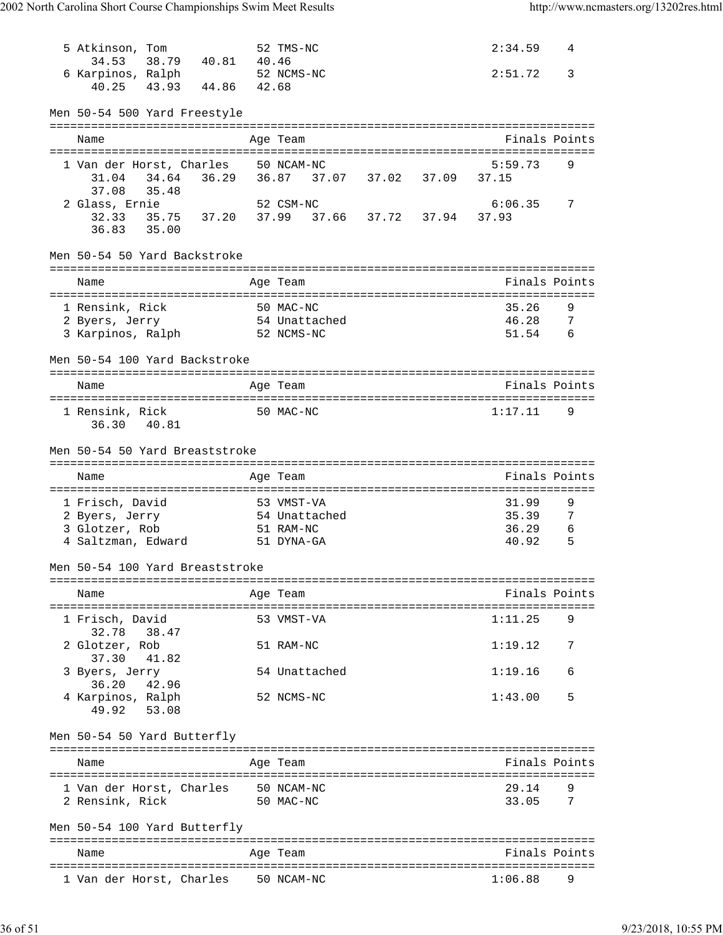| 5 Atkinson, Tom                                        |                   | 52 TMS-NC                                     |  | 2:34.59                   | 4        |
|--------------------------------------------------------|-------------------|-----------------------------------------------|--|---------------------------|----------|
| 34.53<br>6 Karpinos, Ralph                             | 38.79 40.81 40.46 | 52 NCMS-NC                                    |  | 2:51.72                   | 3        |
| 40.25 43.93 44.86 42.68                                |                   |                                               |  |                           |          |
| Men 50-54 500 Yard Freestyle                           |                   |                                               |  |                           |          |
| Name                                                   |                   | Age Team                                      |  | Finals Points             |          |
|                                                        |                   |                                               |  |                           |          |
| 1 Van der Horst, Charles                               |                   | 50 NCAM-NC                                    |  | 5:59.73                   | 9        |
| 34.64<br>31.04<br>37.08<br>35.48                       |                   | 36.29   36.87   37.07   37.02   37.09   37.15 |  |                           |          |
| 2 Glass, Ernie                                         |                   | 52 CSM-NC                                     |  | 6:06.35                   | 7        |
| 32.33 35.75 37.20 37.99 37.66 37.72 37.94              |                   |                                               |  | 37.93                     |          |
| 36.83 35.00                                            |                   |                                               |  |                           |          |
| Men 50-54 50 Yard Backstroke                           |                   |                                               |  |                           |          |
|                                                        |                   |                                               |  |                           |          |
| Name                                                   |                   | Age Team                                      |  | Finals Points             |          |
|                                                        |                   |                                               |  | 35.26                     |          |
| 1 Rensink, Rick                                        |                   | 50 MAC-NC<br>54 Unattached                    |  | 46.28                     | 9<br>- 7 |
| 2 Byers, Jerry<br>3 Karpinos, Ralph 52 NCMS-NC         |                   |                                               |  | 51.54                     | 6        |
|                                                        |                   |                                               |  |                           |          |
| Men 50-54 100 Yard Backstroke                          |                   |                                               |  |                           |          |
| Name                                                   |                   | Age Team                                      |  | Finals Points             |          |
|                                                        |                   |                                               |  |                           |          |
| 1 Rensink, Rick                                        |                   | 50 MAC-NC                                     |  | 1:17.11                   | 9        |
| 40.81<br>36.30                                         |                   |                                               |  |                           |          |
|                                                        |                   |                                               |  |                           |          |
| Men 50-54 50 Yard Breaststroke                         |                   |                                               |  |                           |          |
|                                                        |                   |                                               |  |                           |          |
|                                                        |                   |                                               |  |                           |          |
| Name                                                   |                   | Age Team                                      |  | Finals Points             |          |
|                                                        |                   |                                               |  |                           |          |
| 1 Frisch, David                                        |                   | 53 VMST-VA                                    |  | 31.99                     | 9        |
|                                                        |                   | 54 Unattached<br>51 RAM-NC                    |  | 35.39<br>36.29            | 7<br>6   |
| 2 Byers, Jerry<br>3 Glotzer, Rob<br>4 Saltzman, Edward |                   | 51 DYNA-GA                                    |  | 40.92                     | 5        |
|                                                        |                   |                                               |  |                           |          |
| Men 50-54 100 Yard Breaststroke                        |                   |                                               |  |                           |          |
| Name                                                   |                   | Age Team                                      |  | Finals Points             |          |
|                                                        |                   |                                               |  |                           |          |
| 1 Frisch, David<br>32.78<br>38.47                      |                   | 53 VMST-VA                                    |  | 1:11.25                   | 9        |
| 2 Glotzer, Rob                                         |                   | 51 RAM-NC                                     |  | 1:19.12                   | 7        |
| 37.30<br>41.82                                         |                   |                                               |  |                           |          |
| 3 Byers, Jerry                                         |                   | 54 Unattached                                 |  | 1:19.16                   | 6        |
| 36.20<br>42.96                                         |                   |                                               |  |                           |          |
| 4 Karpinos, Ralph<br>49.92 53.08                       |                   | 52 NCMS-NC                                    |  | 1:43.00                   | 5        |
|                                                        |                   |                                               |  |                           |          |
| Men 50-54 50 Yard Butterfly                            |                   |                                               |  |                           |          |
| Name                                                   |                   | Age Team                                      |  | Finals Points             |          |
|                                                        |                   |                                               |  |                           |          |
| 1 Van der Horst, Charles                               |                   | 50 NCAM-NC                                    |  | 29.14                     |          |
| 2 Rensink, Rick                                        |                   | 50 MAC-NC                                     |  | 33.05                     | 7        |
| Men 50-54 100 Yard Butterfly                           |                   |                                               |  |                           |          |
|                                                        |                   |                                               |  |                           |          |
| Name                                                   |                   | Aqe Team                                      |  | Finals Points<br>======== |          |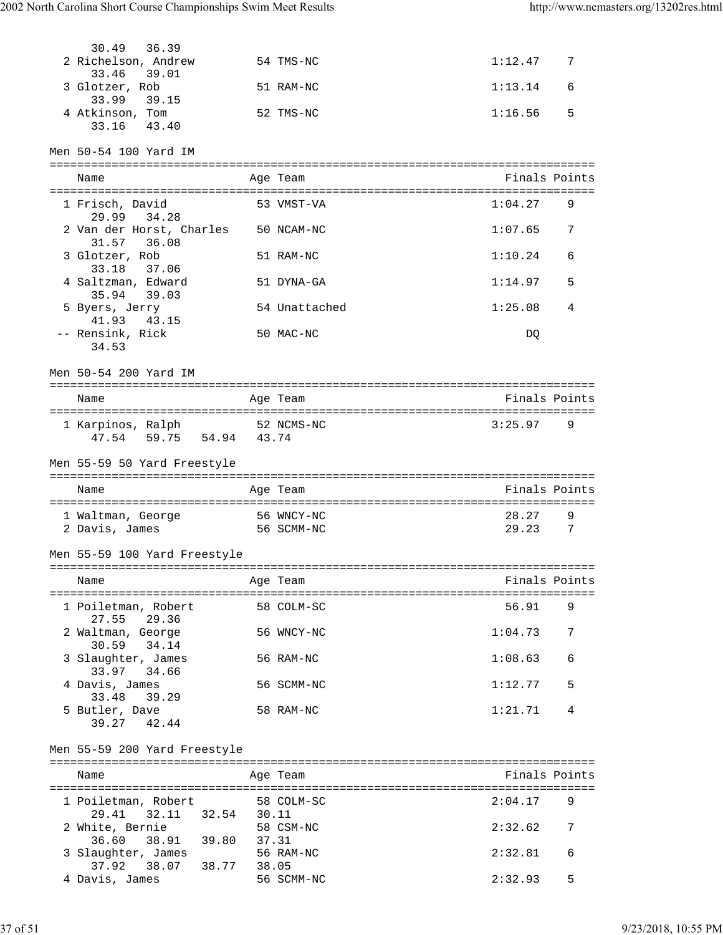| 30.49<br>36.39                                          |            |               |                         |  |
|---------------------------------------------------------|------------|---------------|-------------------------|--|
| 2 Richelson, Andrew                                     |            | 54 TMS-NC     | 1:12.47 7               |  |
| 33.46<br>39.01<br>3 Glotzer, Rob                        |            | 51 RAM-NC     | 1:13.14<br>6            |  |
| 33.99 39.15                                             |            |               |                         |  |
| 4 Atkinson, Tom<br>33.16<br>43.40                       |            | 52 TMS-NC     | 1:16.56<br>5            |  |
|                                                         |            |               |                         |  |
| Men 50-54 100 Yard IM                                   |            |               |                         |  |
|                                                         |            |               |                         |  |
| Name                                                    |            | Age Team      | Finals Points           |  |
| 1 Frisch, David                                         |            | 53 VMST-VA    | 1:04.27<br>9            |  |
| 29.99 34.28                                             |            |               |                         |  |
| 2 Van der Horst, Charles 50 NCAM-NC<br>31.57<br>36.08   |            |               | 1:07.65<br>7            |  |
| 3 Glotzer, Rob                                          |            | 51 RAM-NC     | 1:10.24<br>6            |  |
| 33.18<br>37.06                                          |            |               |                         |  |
| 4 Saltzman, Edward                                      |            | 51 DYNA-GA    | 1:14.97<br>5            |  |
| 35.94<br>39.03                                          |            |               |                         |  |
| 5 Byers, Jerry<br>43.15<br>41.93                        |            | 54 Unattached | 1:25.08<br>4            |  |
| -- Rensink, Rick                                        |            | 50 MAC-NC     | DQ                      |  |
| 34.53                                                   |            |               |                         |  |
| Men 50-54 200 Yard IM                                   |            |               |                         |  |
|                                                         |            |               |                         |  |
| Name                                                    |            | Age Team      | Finals Points           |  |
|                                                         |            |               |                         |  |
| 1 Karpinos, Ralph 52 NCMS-NC<br>47.54 59.75 54.94 43.74 |            |               | 3:25.97<br>9            |  |
|                                                         |            |               |                         |  |
| Men 55-59 50 Yard Freestyle                             |            |               |                         |  |
|                                                         |            |               |                         |  |
|                                                         |            |               |                         |  |
| Name                                                    |            | Age Team      | Finals Points           |  |
| 1 Waltman, George 56 WNCY-NC                            |            |               | 28.27<br>9              |  |
| 2 Davis, James                                          | 56 SCMM-NC |               | 29.23<br>$\overline{7}$ |  |
|                                                         |            |               |                         |  |
| Men 55-59 100 Yard Freestyle                            |            |               |                         |  |
| Name                                                    |            | Age Team      | Finals Points           |  |
|                                                         |            |               |                         |  |
| 1 Poiletman, Robert                                     | 58 COLM-SC |               | 56.91<br>9              |  |
| 27.55 29.36<br>2 Waltman, George                        |            | 56 WNCY-NC    | 1:04.73<br>7            |  |
| 34.14<br>30.59                                          |            |               |                         |  |
| 3 Slaughter, James                                      |            | 56 RAM-NC     | 1:08.63<br>6            |  |
| 33.97 34.66                                             |            |               |                         |  |
| 4 Davis, James<br>39.29<br>33.48                        |            | 56 SCMM-NC    | 1:12.77<br>5            |  |
| 5 Butler, Dave                                          |            | 58 RAM-NC     | 1:21.71<br>4            |  |
| 39.27 42.44                                             |            |               |                         |  |
|                                                         |            |               |                         |  |
| Men 55-59 200 Yard Freestyle                            |            |               |                         |  |
| Name                                                    |            | Age Team      | Finals Points           |  |
|                                                         |            |               |                         |  |
| 1 Poiletman, Robert                                     | 58 COLM-SC |               | 2:04.17<br>9            |  |
| 32.11 32.54 30.11<br>29.41<br>2 White, Bernie           | 58 CSM-NC  |               | 2:32.62<br>7            |  |
| 38.91 39.80 37.31<br>36.60                              |            |               |                         |  |
| 3 Slaughter, James                                      |            | 56 RAM-NC     | 2:32.81<br>6            |  |
| 37.92 38.07 38.77 38.05<br>4 Davis, James               |            | 56 SCMM-NC    | 2:32.93<br>5            |  |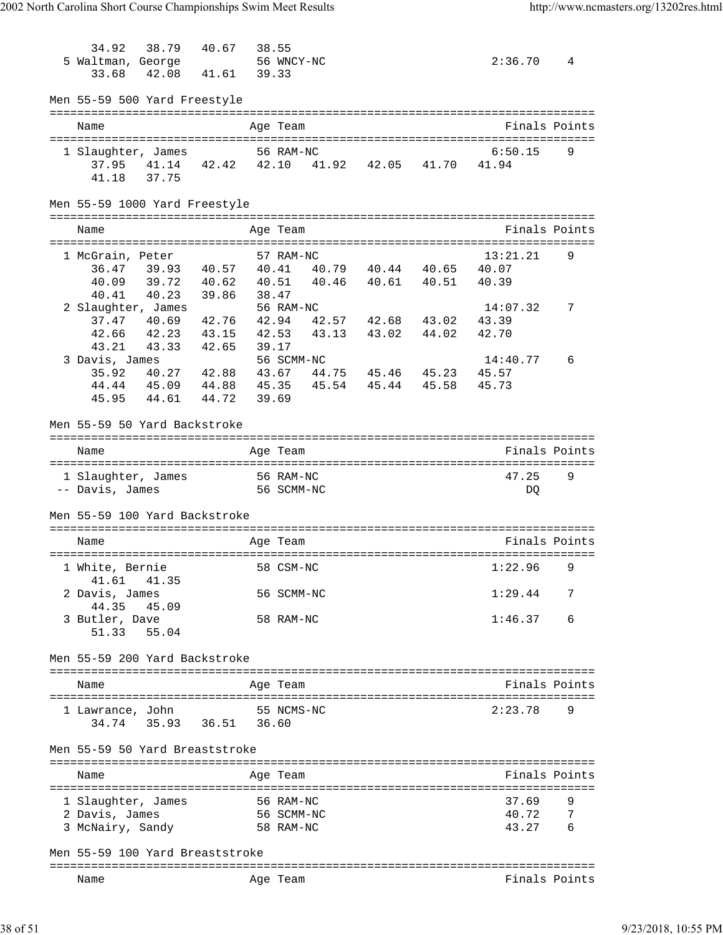34.92 38.79 40.67 38.55<br>altman. George 56 WNCY-NC 5 Waltman, George 56 WNCY-NC 2:36.70 4 33.68 42.08 41.61 39.33 Men 55-59 500 Yard Freestyle =============================================================================== Name Age Team Finals Points =============================================================================== 1 Slaughter, James 56 RAM-NC 6:50.15 9 37.95 41.14 42.42 42.10 41.92 42.05 41.70 41.94 41.18 37.75 Men 55-59 1000 Yard Freestyle =============================================================================== Name Age Team Age Team Finals Points =============================================================================== 1 McGrain, Peter 57 RAM-NC 13:21.21 36.47 39.93 40.57 40.41 40.79 40.44 40.65 40.07 40.09 39.72 40.62 40.51 40.46 40.61 40.51 40.39 40.41 40.23 39.86 38.47 2 Slaughter, James 56 RAM-NC 14:07.32 7 37.47 40.69 42.76 42.94 42.57 42.68 43.02 43.39 42.66 42.23 43.15 42.53 43.13 43.02 44.02 42.70 43.21 43.33 42.65 39.17 3 Davis, James 56 SCMM-NC 14:40.77 6 35.92 40.27 42.88 43.67 44.75 45.46 45.23 45.57 44.44 45.09 44.88 45.35 45.54 45.44 45.58 45.73 45.95 44.61 44.72 39.69 Men 55-59 50 Yard Backstroke =============================================================================== Name Age Team Finals Points =============================================================================== 1 Slaughter, James 56 RAM-NC 47.25 9 -- Davis, James 56 SCMM-NC DQ Men 55-59 100 Yard Backstroke =============================================================================== Name Age Team Age Team Finals Points =============================================================================== 1 White, Bernie 58 CSM-NC 1:22.96 9 41.61 41.35 2 Davis, James 56 SCMM-NC 1:29.44 7 44.35 45.09 3 Butler, Dave 58 RAM-NC 1:46.37 6 51.33 55.04 Men 55-59 200 Yard Backstroke =============================================================================== Name **Age Team Age Team Age Team Age Team Finals Points** =============================================================================== 1 Lawrance, John 55 NCMS-NC 2:23.78 9 34.74 35.93 36.51 36.60 Men 55-59 50 Yard Breaststroke =============================================================================== Name Age Team Finals Points =============================================================================== 1 Slaughter, James 56 RAM-NC 37.69 9 2 Davis, James 56 SCMM-NC 40.72 7 3 McNairy, Sandy Men 55-59 100 Yard Breaststroke =============================================================================== Name **Age Team** Age Team **Finals Points**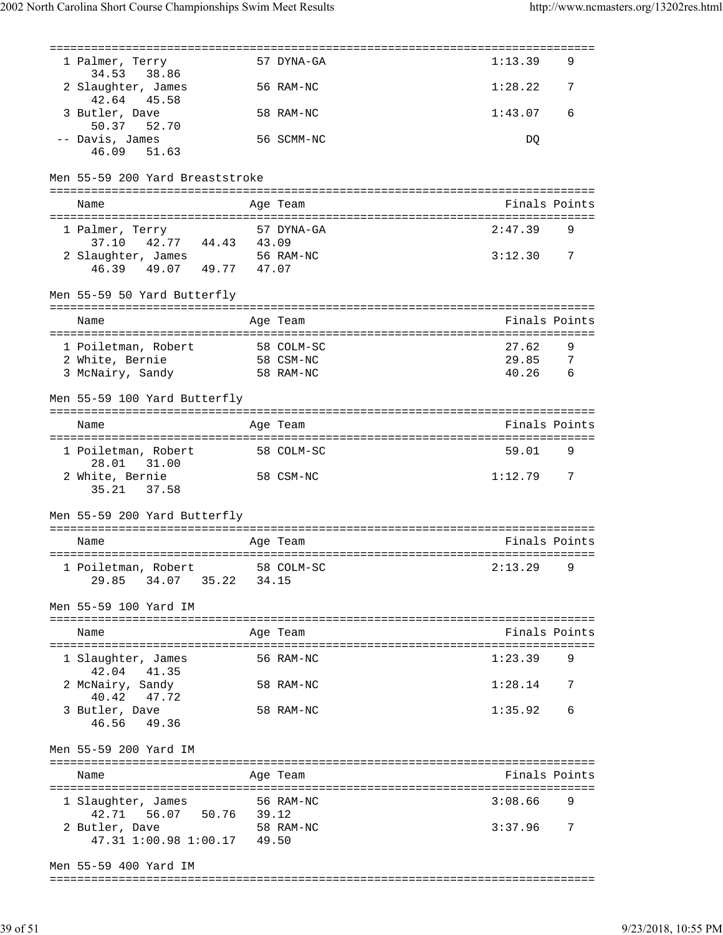| 1 Palmer, Terry<br>38.86<br>34.53                                                        |       | 57 DYNA-GA | 1:13.39       | 9              |
|------------------------------------------------------------------------------------------|-------|------------|---------------|----------------|
| 2 Slaughter, James<br>42.64<br>45.58                                                     |       | 56 RAM-NC  | 1:28.22       | 7              |
| 3 Butler, Dave<br>50.37 52.70                                                            |       | 58 RAM-NC  | 1:43.07       | 6              |
| -- Davis, James<br>46.09 51.63                                                           |       | 56 SCMM-NC | DQ            |                |
| Men 55-59 200 Yard Breaststroke                                                          |       |            |               |                |
| Name                                                                                     |       | Age Team   | Finals Points |                |
| 1 Palmer, Terry                                                                          |       | 57 DYNA-GA | 2:47.39       | 9              |
| 42.77 44.43 43.09<br>37.10<br>2 Slaughter, James 56 RAM-NC<br>46.39  49.07  49.77  47.07 |       |            | 3:12.30       | $\overline{7}$ |
| Men 55-59 50 Yard Butterfly                                                              |       |            |               |                |
| Name                                                                                     |       | Age Team   | Finals Points |                |
|                                                                                          |       |            | 27.62         | 9              |
| 1 Poiletman, Robert 58 COLM-SC                                                           |       | 58 CSM-NC  | 29.85         | $\overline{7}$ |
|                                                                                          |       | 58 RAM-NC  | 40.26         | - 6            |
| Lourney, Bernie<br>3 McNairy, Sandy                                                      |       |            |               |                |
| Men 55-59 100 Yard Butterfly                                                             |       |            |               |                |
|                                                                                          |       |            |               |                |
| Name                                                                                     |       | Age Team   | Finals Points |                |
| 1 Poiletman, Robert<br>28.01<br>31.00                                                    |       | 58 COLM-SC | 59.01 9       |                |
| 2 White, Bernie<br>35.21 37.58                                                           |       | 58 CSM-NC  | 1:12.79 7     |                |
| Men 55-59 200 Yard Butterfly                                                             |       |            |               |                |
|                                                                                          |       |            |               |                |
| Name                                                                                     |       | Age Team   | Finals Points |                |
| 1 Poiletman, Robert                                                                      |       | 58 COLM-SC | 2:13.29       | 9              |
| 29.85 34.07 35.22                                                                        | 34.15 |            |               |                |
| Men 55-59 100 Yard IM                                                                    |       |            |               |                |
| Name                                                                                     |       | Age Team   | Finals Points |                |
| 1 Slaughter, James                                                                       |       | 56 RAM-NC  | 1:23.39       | 9              |
| 42.04 41.35<br>2 McNairy, Sandy                                                          |       | 58 RAM-NC  | 1:28.14       | 7              |
| 40.42<br>47.72<br>3 Butler, Dave                                                         |       | 58 RAM-NC  | 1:35.92       | 6              |
| 49.36<br>46.56                                                                           |       |            |               |                |
| Men 55-59 200 Yard IM                                                                    |       |            |               |                |
| Name                                                                                     |       | Age Team   | Finals Points |                |
| 1 Slaughter, James                                                                       |       | 56 RAM-NC  | 3:08.66       | 9              |
| 56.07 50.76<br>42.71                                                                     | 39.12 |            |               |                |
| 2 Butler, Dave                                                                           |       | 58 RAM-NC  | 3:37.96       | 7              |
| 47.31 1:00.98 1:00.17                                                                    | 49.50 |            |               |                |
| Men 55-59 400 Yard IM                                                                    |       |            |               |                |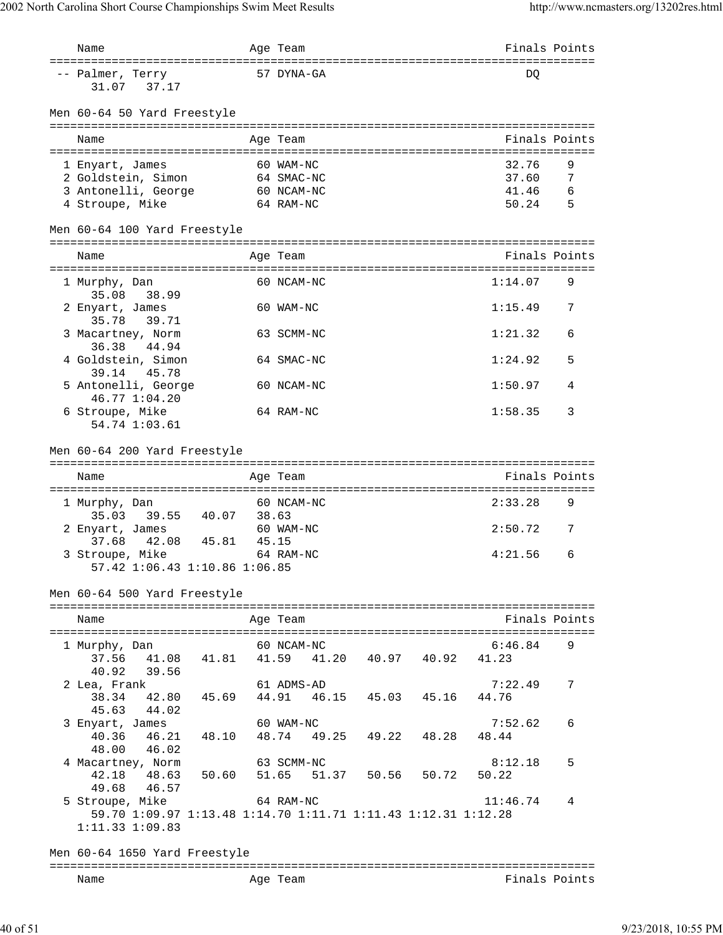| Name                                                                             |            | Age Team                                  |  | Finals Points |               |
|----------------------------------------------------------------------------------|------------|-------------------------------------------|--|---------------|---------------|
| ====================================<br>-- Palmer, Terry<br>31.07<br>37.17       |            | 57 DYNA-GA                                |  | DO            |               |
| Men 60-64 50 Yard Freestyle                                                      |            |                                           |  |               |               |
| Name                                                                             |            | Age Team                                  |  |               | Finals Points |
| 1 Enyart, James                                                                  |            | 60 WAM-NC                                 |  | 32.76         | 9             |
| 2 Goldstein, Simon                                                               |            | 64 SMAC-NC                                |  | 37.60         | 7             |
| 3 Antonelli, George                                                              |            | 60 NCAM-NC                                |  | 41.46         | 6             |
| 4 Stroupe, Mike                                                                  |            | 64 RAM-NC                                 |  | 50.24         | - 5           |
| Men 60-64 100 Yard Freestyle                                                     |            |                                           |  |               |               |
| Name                                                                             |            | Age Team                                  |  | Finals Points |               |
| 1 Murphy, Dan<br>35.08<br>38.99                                                  |            | 60 NCAM-NC                                |  | 1:14.07       | 9             |
| 2 Enyart, James<br>35.78 39.71                                                   |            | 60 WAM-NC                                 |  | 1:15.49       | 7             |
| 3 Macartney, Norm<br>36.38<br>44.94                                              |            | 63 SCMM-NC                                |  | 1:21.32       | 6             |
| 4 Goldstein, Simon<br>39.14<br>45.78                                             |            | 64 SMAC-NC                                |  | 1:24.92       | 5             |
| 5 Antonelli, George<br>46.77 1:04.20                                             |            | 60 NCAM-NC                                |  | 1:50.97       | 4             |
| 6 Stroupe, Mike<br>54.74 1:03.61                                                 |            | 64 RAM-NC                                 |  | 1:58.35       | 3             |
| Men 60-64 200 Yard Freestyle                                                     |            |                                           |  |               |               |
|                                                                                  |            |                                           |  |               |               |
| Name                                                                             |            | Age Team                                  |  | Finals Points |               |
| 1 Murphy, Dan<br>35.03<br>39.55 40.07                                            | 38.63      | 60 NCAM-NC                                |  | 2:33.28       | 9             |
| 2 Enyart, James<br>42.08 45.81<br>37.68                                          | 45.15      | 60 WAM-NC                                 |  | 2:50.72       | 7             |
| 3 Stroupe, Mike                                                                  |            | 64 RAM-NC                                 |  | 4:21.56       | 6             |
| 57.42 1:06.43 1:10.86 1:06.85                                                    |            |                                           |  |               |               |
| Men 60-64 500 Yard Freestyle                                                     |            |                                           |  |               |               |
| Name                                                                             |            | Age Team                                  |  |               | Finals Points |
|                                                                                  |            |                                           |  |               |               |
| 1 Murphy, Dan                                                                    | 60 NCAM-NC |                                           |  | 6:46.84       | 9             |
| 37.56<br>40.92<br>39.56                                                          |            | 41.08 41.81 41.59 41.20 40.97 40.92 41.23 |  |               |               |
| 2 Lea, Frank                                                                     |            | 61 ADMS-AD                                |  | 7:22.49       | 7             |
| 38.34 42.80 45.69                                                                |            | 44.91  46.15  45.03  45.16                |  | 44.76         |               |
| 45.63 44.02                                                                      |            |                                           |  |               |               |
| 3 Enyart, James                                                                  |            | 60 WAM-NC                                 |  | 7:52.62       | 6             |
| 40.36 46.21 48.10 48.74 49.25 49.22 48.28<br>48.00<br>46.02                      |            |                                           |  | 48.44         |               |
| 4 Macartney, Norm                                                                |            | 63 SCMM-NC                                |  | 8:12.18       | 5             |
| 42.18 48.63 50.60 51.65 51.37 50.56 50.72                                        |            |                                           |  | 50.22         |               |
| 49.68<br>46.57                                                                   | 64 RAM-NC  |                                           |  |               |               |
| 5 Stroupe, Mike<br>59.70 1:09.97 1:13.48 1:14.70 1:11.71 1:11.43 1:12.31 1:12.28 |            |                                           |  | 11:46.74      | 4             |
| 1:11.33 1:09.83                                                                  |            |                                           |  |               |               |
| Men 60-64 1650 Yard Freestyle                                                    |            |                                           |  |               |               |
|                                                                                  |            |                                           |  |               |               |
| Name                                                                             |            | Age Team                                  |  |               | Finals Points |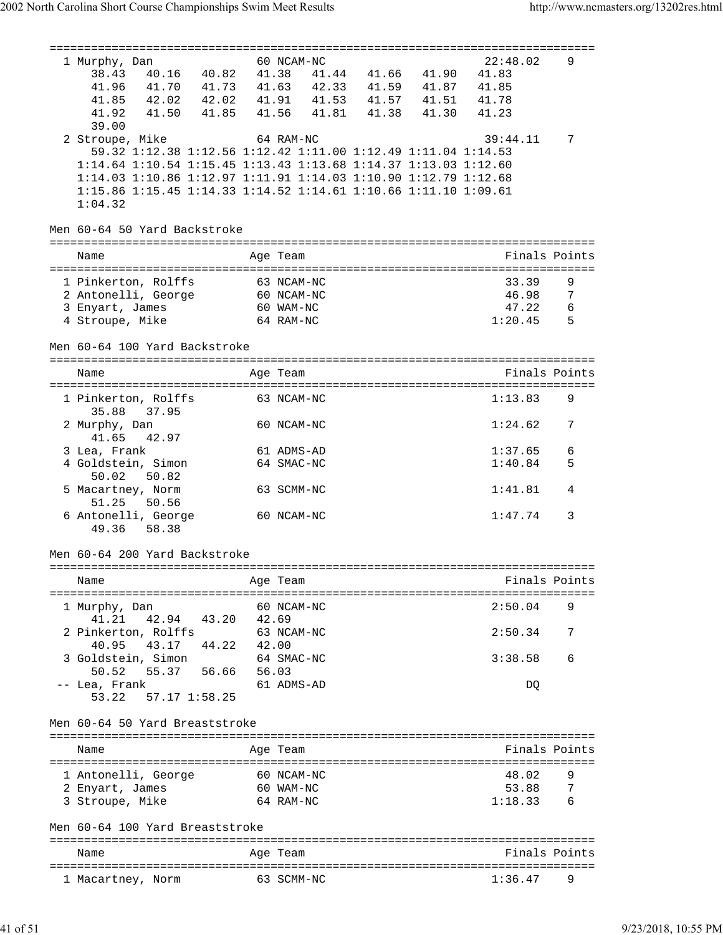| ==========================                                                                                  |       | :==========<br>================================ |                         |               |               |
|-------------------------------------------------------------------------------------------------------------|-------|-------------------------------------------------|-------------------------|---------------|---------------|
| 1 Murphy, Dan                                                                                               |       | 60 NCAM-NC                                      |                         | 22:48.02      | 9             |
| 40.16  40.82  41.38<br>38.43                                                                                |       |                                                 | 41.44 41.66 41.90       | 41.83         |               |
| 41.96<br>41.70  41.73  41.63                                                                                |       |                                                 | 42.33 41.59 41.87 41.85 |               |               |
| 41.85                                                                                                       |       |                                                 |                         |               |               |
| 42.02  42.02  41.91  41.53  41.57  41.51  41.78<br>41.50  41.85  41.56  41.81  41.38  41.30  41.23<br>41.92 |       |                                                 |                         |               |               |
|                                                                                                             |       |                                                 |                         |               |               |
| 39.00                                                                                                       |       |                                                 |                         |               |               |
| 2 Stroupe, Mike                                                                                             |       | 64 RAM-NC                                       |                         | 39:44.11      | 7             |
| 59.32 1:12.38 1:12.56 1:12.42 1:11.00 1:12.49 1:11.04 1:14.53                                               |       |                                                 |                         |               |               |
| 1:14.64 1:10.54 1:15.45 1:13.43 1:13.68 1:14.37 1:13.03 1:12.60                                             |       |                                                 |                         |               |               |
| 1:14.03 1:10.86 1:12.97 1:11.91 1:14.03 1:10.90 1:12.79 1:12.68                                             |       |                                                 |                         |               |               |
| 1:15.86 1:15.45 1:14.33 1:14.52 1:14.61 1:10.66 1:11.10 1:09.61                                             |       |                                                 |                         |               |               |
| 1:04.32                                                                                                     |       |                                                 |                         |               |               |
|                                                                                                             |       |                                                 |                         |               |               |
|                                                                                                             |       |                                                 |                         |               |               |
| Men 60-64 50 Yard Backstroke                                                                                |       |                                                 |                         |               |               |
|                                                                                                             |       |                                                 |                         |               |               |
| Name                                                                                                        |       | Age Team                                        |                         |               | Finals Points |
|                                                                                                             |       |                                                 |                         |               |               |
| 1 Pinkerton, Rolffs                                                                                         |       | 63 NCAM-NC                                      |                         | 33.39         | 9             |
|                                                                                                             |       |                                                 |                         | 46.98         | 7             |
| 2 Antonelli, George 60 NCAM-NC                                                                              |       |                                                 |                         |               |               |
| 3 Enyart, James                                                                                             |       | 60 WAM-NC                                       |                         | 47.22         | 6             |
| 4 Stroupe, Mike                                                                                             |       | 64 RAM-NC                                       |                         | 1:20.45       | 5             |
|                                                                                                             |       |                                                 |                         |               |               |
| Men 60-64 100 Yard Backstroke                                                                               |       |                                                 |                         |               |               |
|                                                                                                             |       |                                                 |                         |               |               |
| Name                                                                                                        |       | Age Team                                        |                         | Finals Points |               |
|                                                                                                             |       |                                                 |                         |               |               |
| 1 Pinkerton, Rolffs                                                                                         |       | 63 NCAM-NC                                      |                         | 1:13.83       | 9             |
|                                                                                                             |       |                                                 |                         |               |               |
| 35.88<br>37.95                                                                                              |       |                                                 |                         |               |               |
| 2 Murphy, Dan                                                                                               |       | 60 NCAM-NC                                      |                         | 1:24.62       | 7             |
| 41.65<br>42.97                                                                                              |       |                                                 |                         |               |               |
| 3 Lea, Frank                                                                                                |       | 61 ADMS-AD                                      |                         | 1:37.65       | 6             |
| 4 Goldstein, Simon                                                                                          |       | 64 SMAC-NC                                      |                         | 1:40.84       | 5             |
| 50.02<br>50.82                                                                                              |       |                                                 |                         |               |               |
|                                                                                                             |       |                                                 |                         |               |               |
|                                                                                                             |       | 63 SCMM-NC                                      |                         | 1:41.81       | 4             |
| 5 Macartney, Norm                                                                                           |       |                                                 |                         |               |               |
| 51.25<br>50.56                                                                                              |       |                                                 |                         |               |               |
| 6 Antonelli, George                                                                                         |       | 60 NCAM-NC                                      |                         | 1:47.74       | 3             |
| 49.36<br>58.38                                                                                              |       |                                                 |                         |               |               |
|                                                                                                             |       |                                                 |                         |               |               |
|                                                                                                             |       |                                                 |                         |               |               |
| Men 60-64 200 Yard Backstroke                                                                               |       |                                                 |                         |               |               |
|                                                                                                             |       |                                                 |                         |               |               |
| Name                                                                                                        |       | Age Team                                        |                         | Finals Points |               |
| ==============================                                                                              |       |                                                 |                         |               |               |
| 1 Murphy, Dan                                                                                               |       | 60 NCAM-NC                                      |                         | 2:50.04       | 9             |
| 41.21<br>42.94 43.20                                                                                        | 42.69 |                                                 |                         |               |               |
|                                                                                                             |       | 63 NCAM-NC                                      |                         | 2:50.34       | 7             |
| 2 Pinkerton, Rolffs                                                                                         |       |                                                 |                         |               |               |
| 44.22<br>40.95<br>43.17                                                                                     | 42.00 |                                                 |                         |               |               |
| 3 Goldstein, Simon                                                                                          |       | 64 SMAC-NC                                      |                         | 3:38.58       | 6             |
| 55.37 56.66<br>50.52                                                                                        | 56.03 |                                                 |                         |               |               |
| -- Lea, Frank                                                                                               |       | 61 ADMS-AD                                      |                         | DQ            |               |
| 53.22<br>57.17 1:58.25                                                                                      |       |                                                 |                         |               |               |
|                                                                                                             |       |                                                 |                         |               |               |
| Men 60-64 50 Yard Breaststroke                                                                              |       |                                                 |                         |               |               |
|                                                                                                             |       |                                                 |                         |               |               |
|                                                                                                             |       |                                                 |                         |               |               |
| Name                                                                                                        |       | Age Team                                        |                         |               | Finals Points |
|                                                                                                             |       |                                                 |                         |               |               |
| 1 Antonelli, George                                                                                         |       | 60 NCAM-NC                                      |                         | 48.02         | 9             |
| 2 Enyart, James                                                                                             |       | 60 WAM-NC                                       |                         | 53.88         | 7             |
| 3 Stroupe, Mike                                                                                             |       | 64 RAM-NC                                       |                         | 1:18.33       | 6             |
|                                                                                                             |       |                                                 |                         |               |               |
| Men 60-64 100 Yard Breaststroke                                                                             |       |                                                 |                         |               |               |
|                                                                                                             |       |                                                 |                         |               |               |
|                                                                                                             |       |                                                 |                         |               |               |
| Name                                                                                                        |       | Age Team                                        |                         |               | Finals Points |
| 1 Macartney, Norm                                                                                           |       | 63 SCMM-NC                                      |                         | 1:36.47       | 9             |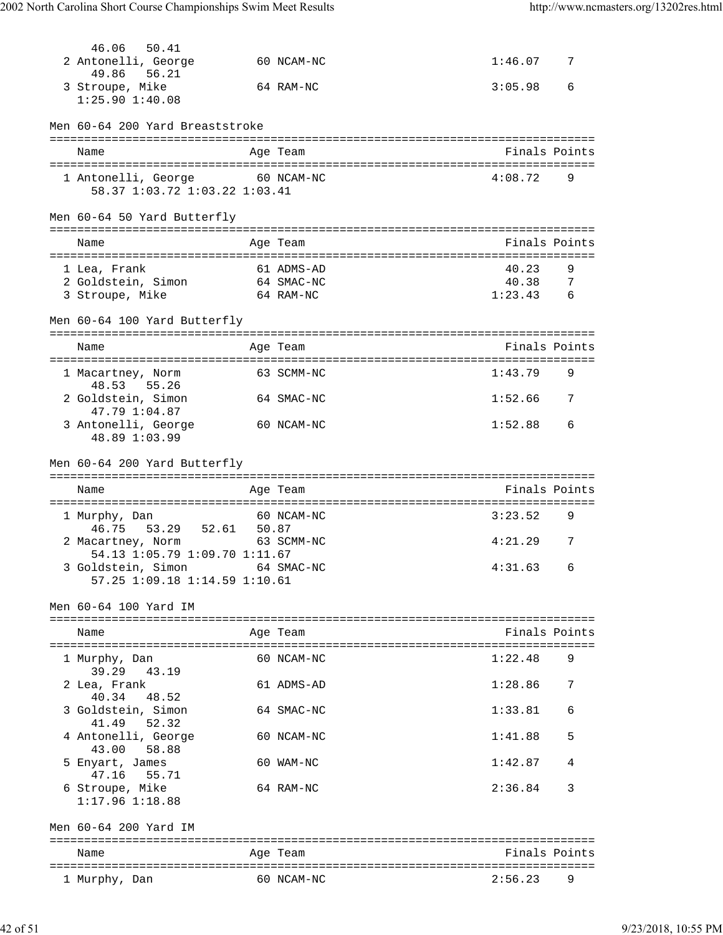| 46.06<br>50.41<br>2 Antonelli, George  |       | 60 NCAM-NC | 1:46.077    |                |
|----------------------------------------|-------|------------|-------------|----------------|
| 49.86<br>56.21<br>3 Stroupe, Mike      |       | 64 RAM-NC  | 3:05.98     | 6              |
| $1:25.90$ $1:40.08$                    |       |            |             |                |
| Men 60-64 200 Yard Breaststroke        |       |            |             |                |
| Name                                   |       | Age Team   |             | Finals Points  |
| 1 Antonelli, George 60 NCAM-NC         |       |            | $4:08.72$ 9 |                |
| 58.37 1:03.72 1:03.22 1:03.41          |       |            |             |                |
| Men 60-64 50 Yard Butterfly            |       |            |             |                |
| Name                                   |       | Age Team   |             | Finals Points  |
| 1 Lea, Frank                           |       | 61 ADMS-AD | 40.23       | 9              |
| 2 Goldstein, Simon                     |       | 64 SMAC-NC | 40.38       | 7              |
| 3 Stroupe, Mike<br>64 RAM-NC           |       |            | $1:23.43$ 6 |                |
| Men 60-64 100 Yard Butterfly           |       |            |             |                |
| Name                                   |       | Age Team   |             | Finals Points  |
|                                        |       |            |             |                |
| 1 Macartney, Norm<br>48.53 55.26       |       | 63 SCMM-NC | 1:43.79     | 9              |
| 2 Goldstein, Simon<br>47.79 1:04.87    |       | 64 SMAC-NC | 1:52.66     | 7              |
| 3 Antonelli, George<br>48.89 1:03.99   |       | 60 NCAM-NC | 1:52.88     | 6              |
| Men 60-64 200 Yard Butterfly           |       |            |             |                |
|                                        |       |            |             |                |
| Name                                   |       | Age Team   |             | Finals Points  |
| 1 Murphy, Dan                          |       | 60 NCAM-NC | 3:23.52     | 9              |
| 46.75 53.29 52.61<br>2 Macartney, Norm | 50.87 | 63 SCMM-NC | 4:21.29     | $\overline{7}$ |
| 54.13 1:05.79 1:09.70 1:11.67          |       |            |             |                |
| 3 Goldstein, Simon 64 SMAC-NC          |       |            | $4:31.63$ 6 |                |
| 57.25 1:09.18 1:14.59 1:10.61          |       |            |             |                |
| Men 60-64 100 Yard IM                  |       |            |             |                |
| Name                                   |       | Age Team   |             | Finals Points  |
|                                        |       |            |             |                |
| 1 Murphy, Dan<br>43.19<br>39.29        |       | 60 NCAM-NC | 1:22.48     | 9              |
| 2 Lea, Frank<br>40.34<br>48.52         |       | 61 ADMS-AD | 1:28.86     | 7              |
| 3 Goldstein, Simon<br>41.49 52.32      |       | 64 SMAC-NC | 1:33.81     | 6              |
| 4 Antonelli, George<br>43.00<br>58.88  |       | 60 NCAM-NC | 1:41.88     | 5              |
| 5 Enyart, James<br>47.16<br>55.71      |       | 60 WAM-NC  | 1:42.87     | 4              |
| 6 Stroupe, Mike<br>$1:17.96$ $1:18.88$ |       | 64 RAM-NC  | 2:36.84     | 3              |
|                                        |       |            |             |                |
| Men 60-64 200 Yard IM                  |       |            |             |                |
|                                        |       |            |             |                |
| Name                                   |       | Age Team   |             | Finals Points  |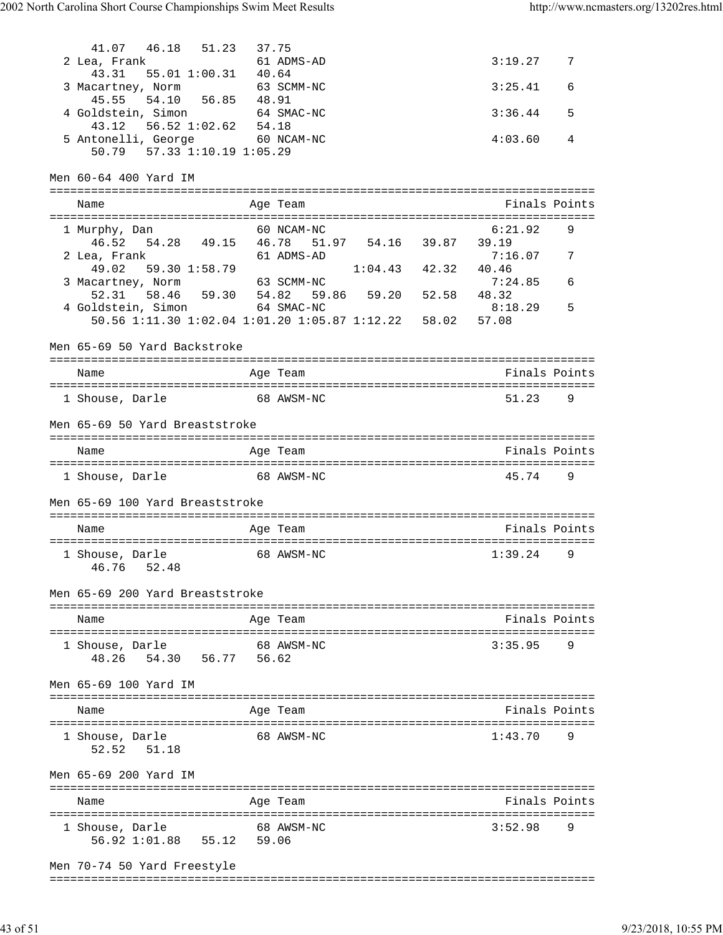41.07 46.18 51.23 37.75<br>2 Lea, Frank 61 ADMS-AD 2 Lea, Frank 61 ADMS-AD 3:19.27 7 43.31 55.01 1:00.31 40.64 3 Macartney, Norm 63 SCMM-NC 63 SCMM-NC 3:25.41 6 45.55 54.10 56.85 48.91 4 Goldstein, Simon 64 SMAC-NC 3:36.44 5 43.12 56.52 1:02.62 54.18 5 Antonelli, George 60 NCAM-NC 4:03.60 4 50.79 57.33 1:10.19 1:05.29 Men 60-64 400 Yard IM =============================================================================== Name Age Team Age Team Finals Points =============================================================================== 1 Murphy, Dan 60 NCAM-NC 6:21.92 9 46.52 54.28 49.15 46.78 51.97 54.16 39.87 39.19 2 Lea, Frank 61 ADMS-AD 7:16.07 7 49.02 59.30 1:58.79 1:04.43 42.32 40.46 3 Macartney, Norm 63 SCMM-NC 7:24.85 6 52.31 58.46 59.30 54.82 59.86 59.20 52.58 48.32 4 Goldstein, Simon 64 SMAC-NC 8:18.29 5 50.56 1:11.30 1:02.04 1:01.20 1:05.87 1:12.22 58.02 57.08 Men 65-69 50 Yard Backstroke =============================================================================== Name Age Team Finals Points =============================================================================== 1 Shouse, Darle 68 AWSM-NC 51.23 Men 65-69 50 Yard Breaststroke =============================================================================== Name Age Team Finals Points =============================================================================== 1 Shouse, Darle 68 AWSM-NC 45.74 9 Men 65-69 100 Yard Breaststroke =============================================================================== Name **Age Team** Age Team Finals Points =============================================================================== 1 Shouse, Darle 68 AWSM-NC 1:39.24 46.76 52.48 Men 65-69 200 Yard Breaststroke =============================================================================== Name Age Team Finals Points =============================================================================== 1 Shouse, Darle 68 AWSM-NC 3:35.95 9 48.26 54.30 56.77 56.62 Men 65-69 100 Yard IM =============================================================================== Name Age Team Age Team Finals Points =============================================================================== 1 Shouse, Darle 68 AWSM-NC 1:43.70 52.52 51.18 Men 65-69 200 Yard IM =============================================================================== Name Age Team Finals Points =============================================================================== 1 Shouse, Darle 68 AWSM-NC 56.92 1:01.88 55.12 59.06 Men 70-74 50 Yard Freestyle ===============================================================================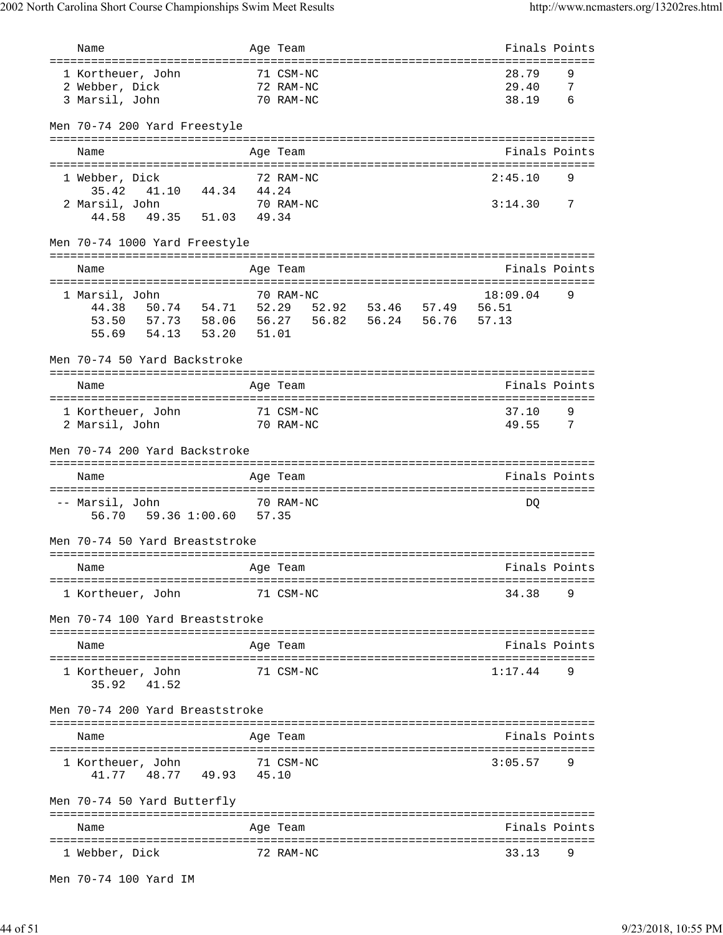| Name                                                          | Age Team                                                                                                        | Finals Points |                |
|---------------------------------------------------------------|-----------------------------------------------------------------------------------------------------------------|---------------|----------------|
| ===================================                           | ====================                                                                                            |               |                |
| 1 Kortheuer, John                                             | 71 CSM-NC                                                                                                       | 28.79         | 9              |
| 2 Webber, Dick                                                | 72 RAM-NC                                                                                                       | 29.40         | $\overline{7}$ |
| 3 Marsil, John                                                | 70 RAM-NC                                                                                                       | 38.19         | 6              |
| Men 70-74 200 Yard Freestyle                                  |                                                                                                                 |               |                |
|                                                               |                                                                                                                 |               |                |
| Name                                                          | Age Team                                                                                                        | Finals Points |                |
|                                                               |                                                                                                                 |               |                |
| 1 Webber, Dick                                                | 72 RAM-NC                                                                                                       | 2:45.10       | 9              |
| 35.42 41.10 44.34 44.24                                       |                                                                                                                 |               |                |
| 2 Marsil, John<br>rsil, John 70 RA<br>44.58 49.35 51.03 49.34 | 70 RAM-NC                                                                                                       | 3:14.30 7     |                |
|                                                               |                                                                                                                 |               |                |
| Men 70-74 1000 Yard Freestyle                                 |                                                                                                                 |               |                |
| Name                                                          | Age Team                                                                                                        | Finals Points |                |
|                                                               |                                                                                                                 |               |                |
| 1 Marsil, John                                                | 70 RAM-NC                                                                                                       | 18:09.04      | 9              |
|                                                               |                                                                                                                 |               |                |
| 53.50                                                         | 57.73  58.06  56.27  56.82  56.24  56.76  57.13                                                                 |               |                |
| 54.13  53.20  51.01<br>55.69                                  |                                                                                                                 |               |                |
|                                                               |                                                                                                                 |               |                |
| Men 70-74 50 Yard Backstroke                                  |                                                                                                                 |               |                |
| Name                                                          | Age Team                                                                                                        | Finals Points |                |
|                                                               |                                                                                                                 |               |                |
| 71 CSM-NC<br>1 Kortheuer, John                                |                                                                                                                 | 37.10         | 9              |
| 70 RAM-NC<br>2 Marsil, John                                   |                                                                                                                 | 49.55         | $\overline{7}$ |
|                                                               |                                                                                                                 |               |                |
| Men 70-74 200 Yard Backstroke                                 |                                                                                                                 |               |                |
| Name                                                          | Age Team                                                                                                        | Finals Points |                |
|                                                               |                                                                                                                 |               |                |
| -- Marsil, John                                               | 70 RAM-NC                                                                                                       | DQ            |                |
| 59.36 1:00.60 57.35<br>56.70                                  |                                                                                                                 |               |                |
|                                                               |                                                                                                                 |               |                |
| Men 70-74 50 Yard Breaststroke                                |                                                                                                                 |               |                |
|                                                               |                                                                                                                 |               |                |
| and the Magnetic Preasurer and the Team<br>Name               | mangang pandang panahalan sa Palawang Palawang Palawang Palawang Palawang Palawang Palawang Palawang Palawang P |               |                |
|                                                               |                                                                                                                 |               |                |
| 1 Kortheuer, John                                             | 71 CSM-NC                                                                                                       | 34.38 9       |                |
| Men 70-74 100 Yard Breaststroke                               |                                                                                                                 |               |                |
|                                                               |                                                                                                                 |               |                |
| Name                                                          | Age Team                                                                                                        | Finals Points |                |
|                                                               |                                                                                                                 |               |                |
| 1 Kortheuer, John<br>71 CSM-NC<br>35.92 41.52                 |                                                                                                                 | 1:17.44       | 9              |
| Men 70-74 200 Yard Breaststroke                               |                                                                                                                 |               |                |
|                                                               |                                                                                                                 |               |                |
| Name                                                          | Aqe Team                                                                                                        | Finals Points |                |
|                                                               |                                                                                                                 |               |                |
| 1 Kortheuer, John 71 CSM-NC<br>41.77 48.77 49.93 45.10        |                                                                                                                 | $3:05.57$ 9   |                |
|                                                               |                                                                                                                 |               |                |
| Men 70-74 50 Yard Butterfly                                   |                                                                                                                 |               |                |
|                                                               |                                                                                                                 |               |                |
| Name                                                          | Age Team                                                                                                        | Finals Points |                |
|                                                               |                                                                                                                 |               |                |
| 1 Webber, Dick                                                | 72 RAM-NC                                                                                                       | 33.13 9       |                |
| Men 70-74 100 Yard IM                                         |                                                                                                                 |               |                |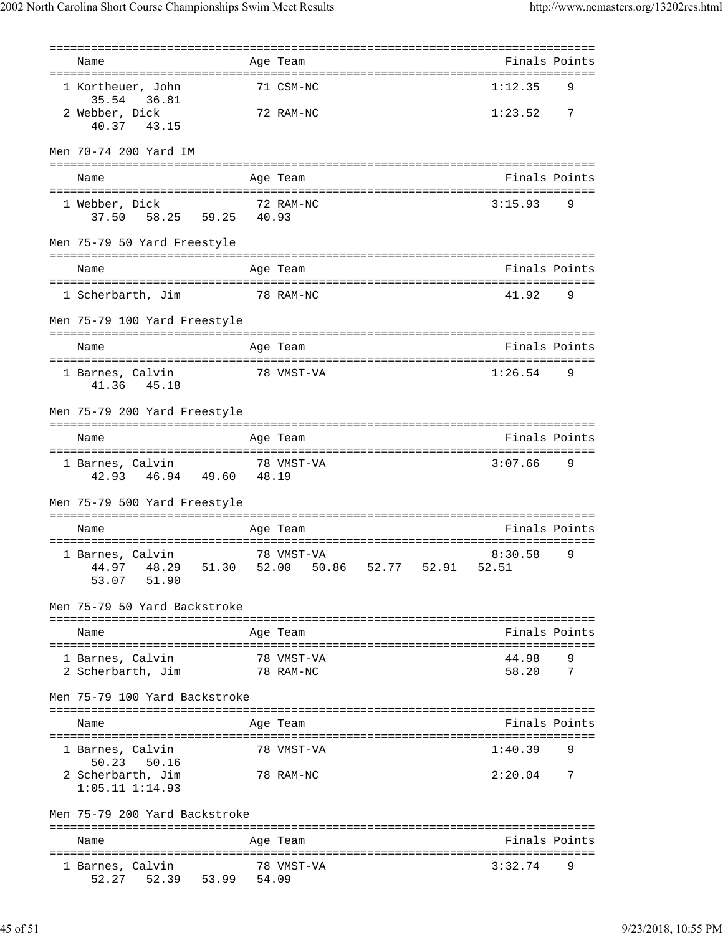| Name                                                      | Age Team                                                      | Finals Points  |                |
|-----------------------------------------------------------|---------------------------------------------------------------|----------------|----------------|
| 1 Kortheuer, John<br>35.54 36.81                          | 71 CSM-NC                                                     | 1:12.35        | 9              |
| 2 Webber, Dick<br>40.37<br>43.15                          | 72 RAM-NC                                                     | 1:23.52        | $\overline{7}$ |
| Men 70-74 200 Yard IM                                     |                                                               |                |                |
| Name                                                      | Age Team                                                      |                | Finals Points  |
| 1 Webber, Dick                                            | 72 RAM-NC                                                     | 3:15.93        | 9              |
| 37.50 58.25 59.25 40.93                                   |                                                               |                |                |
| Men 75-79 50 Yard Freestyle                               |                                                               |                |                |
| Name                                                      | Age Team                                                      |                | Finals Points  |
| 1 Scherbarth, Jim 78 RAM-NC                               |                                                               | 41.92          | - 9            |
|                                                           |                                                               |                |                |
| Men 75-79 100 Yard Freestyle                              |                                                               |                |                |
| Name                                                      | Age Team                                                      | Finals Points  |                |
| 1 Barnes, Calvin<br>41.36 45.18                           | 78 VMST-VA                                                    | 1:26.54        | 9              |
| Men 75-79 200 Yard Freestyle                              |                                                               |                |                |
| Name                                                      | Age Team                                                      | Finals Points  |                |
| 1 Barnes, Calvin 78 VMST-VA<br>42.93  46.94  49.60  48.19 |                                                               | $3:07.66$ 9    |                |
| Men 75-79 500 Yard Freestyle                              |                                                               |                |                |
| Name                                                      | Age Team                                                      | Finals Points  |                |
| 1 Barnes, Calvin<br>51.90<br>53.07                        | 78 VMST-VA<br>44.97 48.29 51.30 52.00 50.86 52.77 52.91 52.51 | 8:30.58        | 9              |
| Men 75-79 50 Yard Backstroke                              |                                                               |                |                |
| Name                                                      | Age Team                                                      |                | Finals Points  |
| 1 Barnes, Calvin<br>2 Scherbarth, Jim                     | 78 VMST-VA<br>78 RAM-NC                                       | 44.98<br>58.20 | 9<br>7         |
| Men 75-79 100 Yard Backstroke                             |                                                               |                |                |
| Name                                                      | Age Team                                                      |                | Finals Points  |
| 1 Barnes, Calvin<br>50.23 50.16                           | 78 VMST-VA                                                    | 1:40.39        |                |
| 2 Scherbarth, Jim<br>$1:05.11$ $1:14.93$                  | 78 RAM-NC                                                     | 2:20.04        | 7              |
| Men 75-79 200 Yard Backstroke                             |                                                               |                |                |
| Name                                                      | Age Team                                                      |                | Finals Points  |
| 1 Barnes, Calvin<br>52.27<br>52.39 53.99 54.09            | 78 VMST-VA                                                    | 3:32.74        | 9              |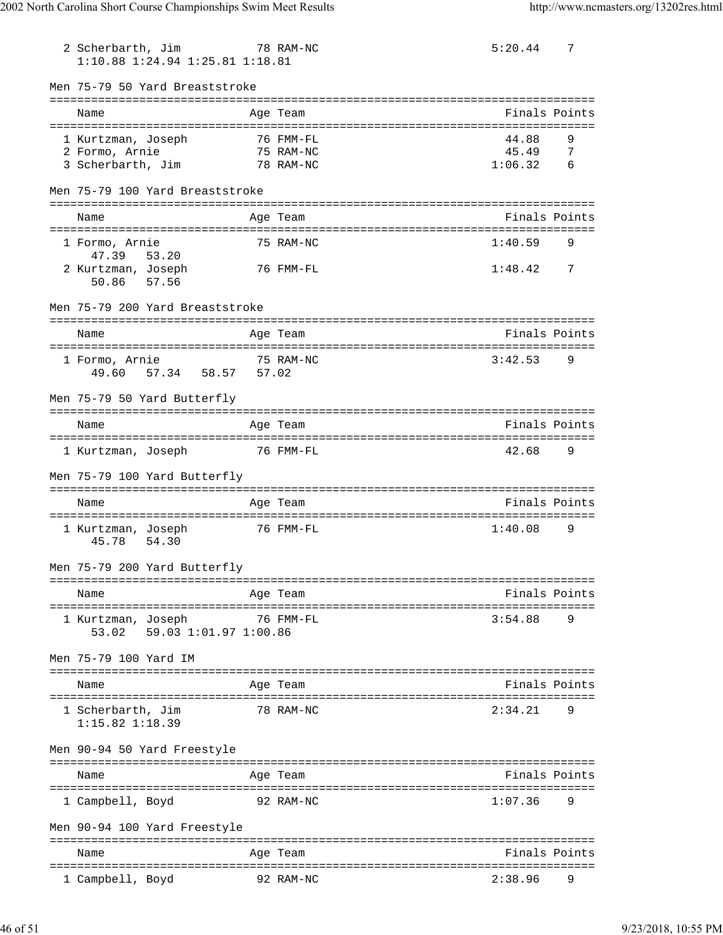| 2 Scherbarth, Jim                          | 1:10.88 1:24.94 1:25.81 1:18.81                                 | 78 RAM-NC    |                        |                                     | 5:20.44          | 7             |
|--------------------------------------------|-----------------------------------------------------------------|--------------|------------------------|-------------------------------------|------------------|---------------|
|                                            | Men 75-79 50 Yard Breaststroke                                  |              |                        |                                     |                  |               |
| Name                                       |                                                                 |              | Age Team               |                                     |                  | Finals Points |
|                                            |                                                                 |              |                        |                                     |                  |               |
| 1 Kurtzman, Joseph<br>2 Formo, Arnie       |                                                                 |              | 76 FMM-FL<br>75 RAM-NC |                                     | 44.88<br>45.49 7 | 9             |
|                                            | 3 Scherbarth, Jim                                               |              | 78 RAM-NC              |                                     | 1:06.32 6        |               |
|                                            | Men 75-79 100 Yard Breaststroke                                 |              |                        |                                     |                  |               |
| Name                                       |                                                                 |              | Age Team               |                                     |                  | Finals Points |
|                                            |                                                                 |              |                        |                                     |                  |               |
| 1 Formo, Arnie                             |                                                                 |              | 75 RAM-NC              |                                     | 1:40.59          | 9             |
| 47.39<br>2 Kurtzman, Joseph<br>50.86 57.56 | 53.20                                                           |              | 76 FMM-FL              |                                     | $1:48.42$ 7      |               |
|                                            | Men 75-79 200 Yard Breaststroke                                 |              |                        |                                     |                  |               |
| Name                                       |                                                                 |              | Age Team               |                                     |                  | Finals Points |
|                                            |                                                                 |              |                        |                                     |                  |               |
| 1 Formo, Arnie<br>49.60                    | 57.34 58.57 57.02                                               |              | 75 RAM-NC              |                                     | 3:42.53          | 9             |
|                                            | Men 75-79 50 Yard Butterfly                                     |              |                        |                                     |                  |               |
| Name                                       |                                                                 |              | Age Team               |                                     |                  | Finals Points |
|                                            | 1 Kurtzman, Joseph 76 FMM-FL                                    |              |                        |                                     | 42.68            | - 9           |
|                                            | Men 75-79 100 Yard Butterfly                                    |              |                        |                                     |                  |               |
| Name                                       |                                                                 |              | Age Team               |                                     |                  | Finals Points |
| 1 Kurtzman, Joseph<br>45.78                | 54.30                                                           |              | 76 FMM-FL              |                                     | 1:40.08          | 9             |
|                                            | Men 75-79 200 Yard Butterfly                                    |              |                        |                                     |                  |               |
| Name                                       |                                                                 |              | Age Team               |                                     |                  | Finals Points |
| 1 Kurtzman, Joseph<br>53.02                | ======================================<br>59.03 1:01.97 1:00.86 |              | 76 FMM-FL              | . ================================= | 3:54.88          | 9             |
| Men 75-79 100 Yard IM                      |                                                                 |              |                        |                                     |                  |               |
| Name                                       |                                                                 |              | Age Team               |                                     |                  | Finals Points |
| 1 Scherbarth, Jim<br>$1:15.82$ $1:18.39$   |                                                                 |              | 78 RAM-NC              |                                     | 2:34.21          | 9             |
|                                            | Men 90-94 50 Yard Freestyle                                     |              |                        |                                     |                  |               |
| Name                                       | ===========================                                     | ============ | Age Team               |                                     |                  | Finals Points |
| 1 Campbell, Boyd                           |                                                                 |              | 92 RAM-NC              |                                     | 1:07.36          | 9             |
|                                            | Men 90-94 100 Yard Freestyle                                    |              |                        |                                     |                  |               |
| Name                                       |                                                                 |              | Age Team               |                                     |                  | Finals Points |
| 1 Campbell, Boyd                           |                                                                 |              | 92 RAM-NC              |                                     | 2:38.96          |               |
|                                            |                                                                 |              |                        |                                     |                  |               |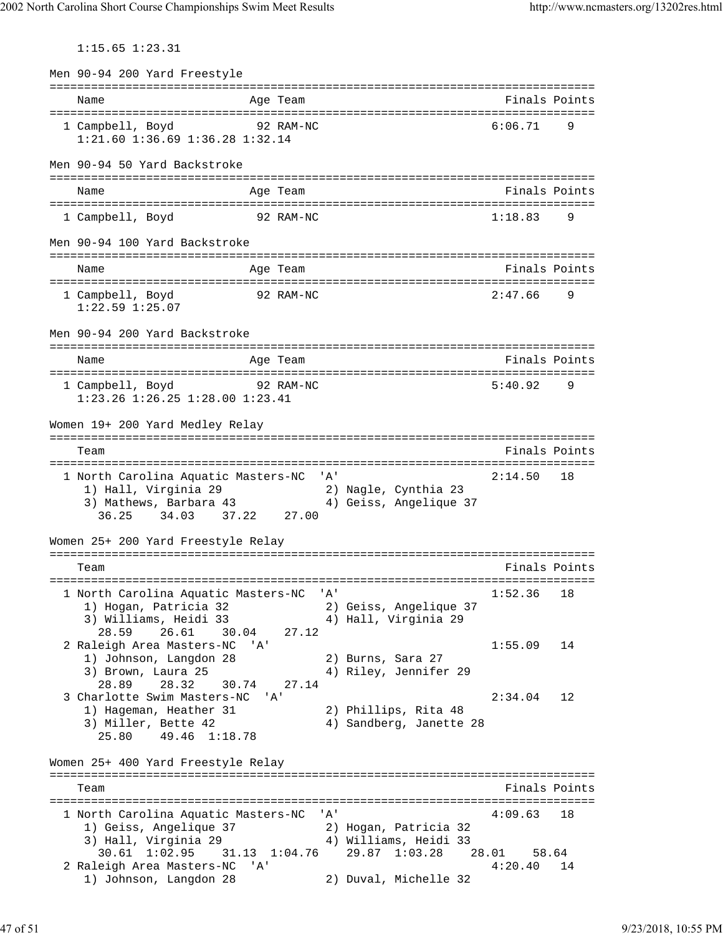1:15.65 1:23.31

Men 90-94 200 Yard Freestyle =============================================================================== Age Team  $\blacksquare$  The Books of the Books of the Books of the Books of the Books of the Books of the Books of the Books of the Books of the Books of the Books of the Books of the Books of the Books of the Books of the Books o =============================================================================== 1 Campbell, Boyd 92 RAM-NC 6:06.71 9 1:21.60 1:36.69 1:36.28 1:32.14 Men 90-94 50 Yard Backstroke =============================================================================== Name **Age Team** Age Team **Finals Points** =============================================================================== 1 Campbell, Boyd 92 RAM-NC Men 90-94 100 Yard Backstroke =============================================================================== Name Age Team Finals Points =============================================================================== 1 Campbell, Boyd 92 RAM-NC 2:47.66 9 1:22.59 1:25.07 Men 90-94 200 Yard Backstroke =============================================================================== Name Age Team Age Team Finals Points =============================================================================== 1 Campbell, Boyd 92 RAM-NC 5:40.92 9 1:23.26 1:26.25 1:28.00 1:23.41 Women 19+ 200 Yard Medley Relay =============================================================================== Team Finals Points =============================================================================== 1 North Carolina Aquatic Masters-NC 'A' 2:14.50 18 1) Hall, Virginia 29 2) Nagle, Cynthia 23 3) Mathews, Barbara 43 4) Geiss, Angelique 37 36.25 34.03 37.22 27.00 Women 25+ 200 Yard Freestyle Relay =============================================================================== Team Finals Points =============================================================================== 1 North Carolina Aquatic Masters-NC 'A' 1:52.36 18 1) Hogan, Patricia 32 2) Geiss, Angelique 37 3) Williams, Heidi 33  $\,$   $\,$  4) Hall, Virginia 29  $\,$  28.59 26.61 30.04 27.12 2 Raleigh Area Masters-NC 'A' 1:55.09 14<br>1) Johnson, Langdon 28 2) Burns, Sara 27<br>2) Pressent 1:55.09 1) Johnson, Langdon 28<br>3) Brown, Laura 25 3) Brown, Laura 25 4) Riley, Jennifer 29 28.89 28.32 30.74 27.14 3 Charlotte Swim Masters-NC 'A' 2:34.04 12 1) Hageman, Heather 31 2) Phillips, Rita 48 3) Miller, Bette 42 4) Sandberg, Janette 28 25.80 49.46 1:18.78 Women 25+ 400 Yard Freestyle Relay =============================================================================== Team Finals Points =============================================================================== 1 North Carolina Aquatic Masters-NC 'A' 1) Geiss, Angelique 37 2) Hogan, Patricia 32 3) Hall, Virginia 29 4) Williams, Heidi 33 30.61 1:02.95 31.13 1:04.76 29.87 1:03.28 28.01 58.64<br>eigh Area Masters-NC 'A' 4:20.40 14 2 Raleigh Area Masters-NC 'A'<br>1) Johnson, Langdon 28 2) Duval, Michelle 32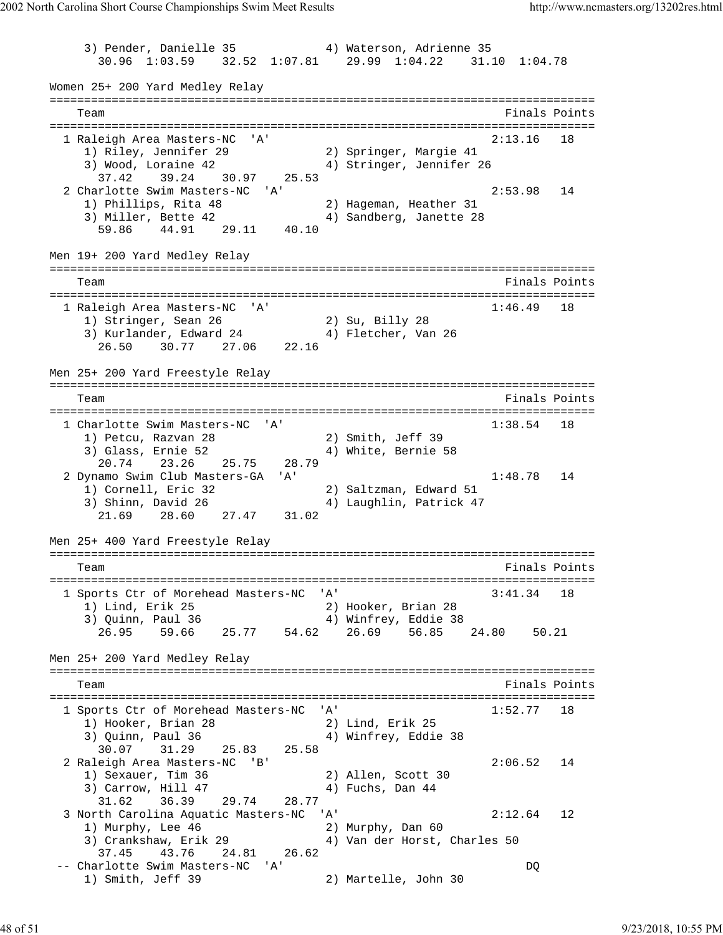3) Pender, Danielle 35 4) Waterson, Adrienne 35 30.96 1:03.59 32.52 1:07.81 29.99 1:04.22 31.10 1:04.78 Women 25+ 200 Yard Medley Relay =============================================================================== Team Finals Points =============================================================================== 1 Raleigh Area Masters-NC 'A' 2:13.16 18 1) Riley, Jennifer 29 2) Springer, Margie 41 3) Wood, Loraine 42 4) Stringer, Jennifer 26 37.42 39.24 30.97 25.53 2 Charlotte Swim Masters-NC 'A' 2:53.98 14 1) Phillips, Rita 48 2) Hageman, Heather 31 3) Miller, Bette 42 4) Sandberg, Janette 28 59.86 44.91 29.11 40.10 Men 19+ 200 Yard Medley Relay =============================================================================== Team Finals Points and the Community of the Community of the Points Points of the Points of the Community of the Community of the Community of the Community of the Community of the Community of the Community of the Communi =============================================================================== 1 Raleigh Area Masters-NC 'A' 1:46.49 18 1) Stringer, Sean 26 2) Su, Billy 28 3) Kurlander, Edward 24 (4) Fletcher, Van 26 26.50 30.77 27.06 22.16 Men 25+ 200 Yard Freestyle Relay =============================================================================== Team Finals Points =============================================================================== 1 Charlotte Swim Masters-NC 'A' 1:38.54 18 1) Petcu, Razvan 28 2) Smith, Jeff 39 3) Glass, Ernie 52 (4) White, Bernie 58 20.74 23.26 25.75 28.79 2 Dynamo Swim Club Masters-GA 'A' 1:48.78 14 1) Cornell, Eric 32 2) Saltzman, Edward 51 3) Shinn, David 26 4) Laughlin, Patrick 47 21.69 28.60 27.47 31.02 Men 25+ 400 Yard Freestyle Relay =============================================================================== Team Finals Points Points Points Points Points Points Points Points Points Points Points Points Points Points Points Points Points Points Points Points Points Points Points Points Points Points Points Points Points Points =============================================================================== 1 Sports Ctr of Morehead Masters-NC 'A' 3:41.34 18 1) Lind, Erik 25 2) Hooker, Brian 28 3) Quinn, Paul 36 4) Winfrey, Eddie 38 26.95 59.66 25.77 54.62 26.69 56.85 24.80 50.21 Men 25+ 200 Yard Medley Relay =============================================================================== Team Finals Points =============================================================================== 1 Sports Ctr of Morehead Masters-NC 'A' 1:52.77 18 1) Hooker, Brian 28 2) Lind, Erik 25 3) Quinn, Paul 36 4) Winfrey, Eddie 38 30.07 31.29 25.83 25.58 2 Raleigh Area Masters-NC 'B' 2:06.52 14 1) Sexauer, Tim 36 2) Allen, Scott 30 3) Carrow, Hill 47 4) Fuchs, Dan 44  $31.62$  36.39 29.74 28.77 3 North Carolina Aquatic Masters-NC 'A' 2:12.64 12 1) Murphy, Lee 46 2) Murphy, Dan 60 3) Crankshaw, Erik 29 4) Van der Horst, Charles 50 37.45 43.76 24.81 26.62 -- Charlotte Swim Masters-NC 'A' DQ 1) Smith, Jeff 39 2) Martelle, John 30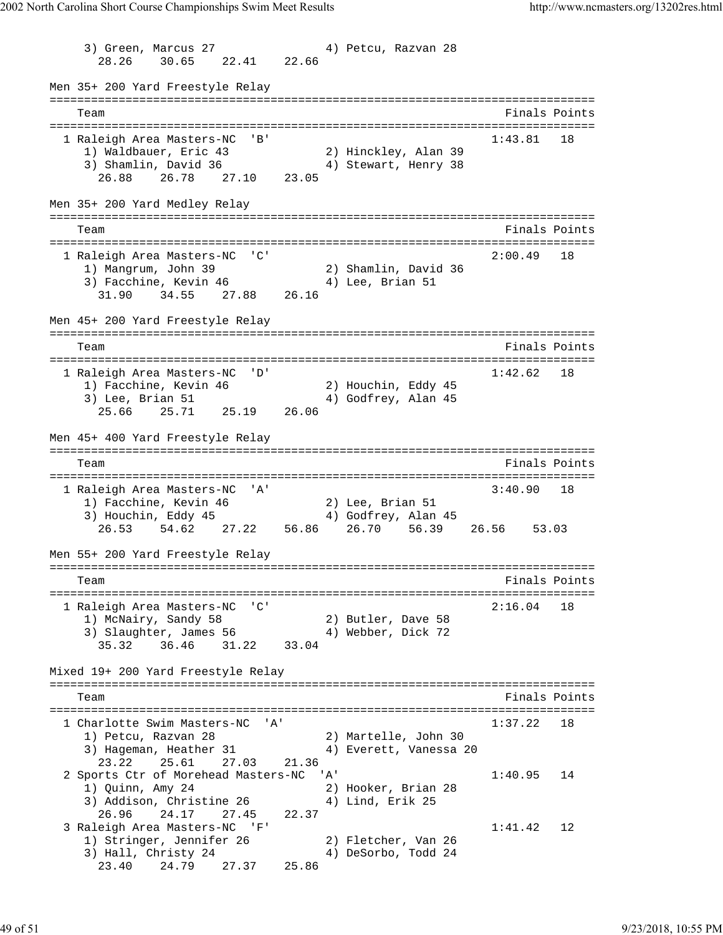3) Green, Marcus 27 (4) Petcu, Razvan 28 28.26 30.65 22.41 22.66 Men 35+ 200 Yard Freestyle Relay =============================================================================== Team Finals Points =============================================================================== 1 Raleigh Area Masters-NC 'B' 1:43.81 18 1) Waldbauer, Eric 43 2) Hinckley, Alan 39 3) Shamlin, David 36 (4) Stewart, Henry 38 26.88 26.78 27.10 23.05 Men 35+ 200 Yard Medley Relay =============================================================================== Team Finals Points =============================================================================== 1 Raleigh Area Masters-NC 'C' 1) Mangrum, John 39 2) Shamlin, David 36 3) Facchine, Kevin 46  $\hskip1cm 4)$  Lee, Brian 51 31.90 34.55 27.88 26.16 Men 45+ 200 Yard Freestyle Relay =============================================================================== Team Finals Points Points and the Community of the Community of the Points Points Points Points Points Points Points and the Community of the Community of the Community of the Community of the Community of the Community of =============================================================================== 1 Raleigh Area Masters-NC 'D' 1:42.62 18 1) Facchine, Kevin 46 2) Houchin, Eddy 45 3) Lee, Brian 51 (4) Godfrey, Alan 45 25.66 25.71 25.19 26.06 Men 45+ 400 Yard Freestyle Relay =============================================================================== Team Finals Points =============================================================================== 1 Raleigh Area Masters-NC 'A' 3:40.90 18 1) Facchine, Kevin 46 2) Lee, Brian 51 3) Houchin, Eddy 45 (4) Godfrey, Alan 45 26.53 54.62 27.22 56.86 26.70 56.39 26.56 53.03 Men 55+ 200 Yard Freestyle Relay =============================================================================== Team Finals Points =============================================================================== 1 Raleigh Area Masters-NC 'C' 2:16.04 18 1) McNairy, Sandy 58 2) Butler, Dave 58 3) Slaughter, James 56  $\hspace{1cm}$  4) Webber, Dick 72 35.32 36.46 31.22 33.04 Mixed 19+ 200 Yard Freestyle Relay =============================================================================== Team Finals Points =============================================================================== 1 Charlotte Swim Masters-NC 'A' 1:37.22 18 1) Petcu, Razvan 28 2) Martelle, John 30 3) Hageman, Heather 31 4) Everett, Vanessa 20 23.22 25.61 27.03 21.36 2 Sports Ctr of Morehead Masters-NC 'A' 1:40.95 14 1) Quinn, Amy 24 2) Hooker, Brian 28 3) Addison, Christine 26 (4) Lind, Erik 25 26.96 24.17 27.45 22.37 3 Raleigh Area Masters-NC 'F' 1:41.42 12 1) Stringer, Jennifer 26 2) Fletcher, Van 26 3) Hall, Christy 24 (4) DeSorbo, Todd 24 23.40 24.79 27.37 25.86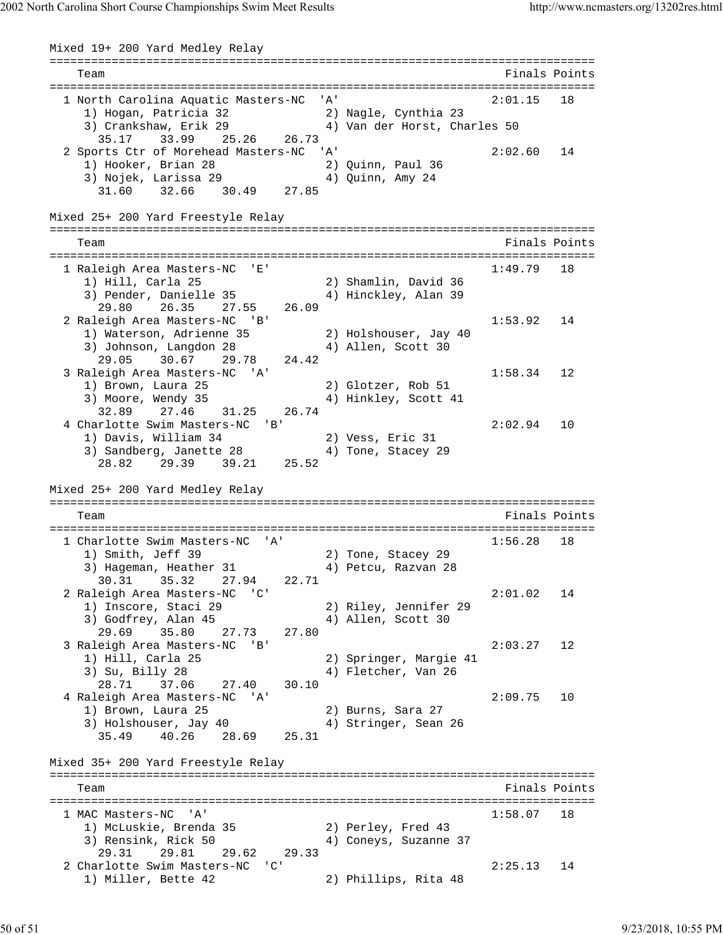Mixed 19+ 200 Yard Medley Relay =============================================================================== Team Finals Points =============================================================================== 1 North Carolina Aquatic Masters-NC 'A' 2:01.15 18 1) Hogan, Patricia 32 2) Nagle, Cynthia 23 3) Crankshaw, Erik 29 4) Van der Horst, Charles 50 35.17 33.99 25.26 26.73 2 Sports Ctr of Morehead Masters-NC 'A' 2:02.60 14 1) Hooker, Brian 28 2) Quinn, Paul 36 3) Nojek, Larissa 29  $\hspace{1cm}$  4) Quinn, Amy 24 31.60 32.66 30.49 27.85 Mixed 25+ 200 Yard Freestyle Relay =============================================================================== Team Finals Points =============================================================================== 1 Raleigh Area Masters-NC 'E' 1:49.79 18 1) Hill, Carla 25 2) Shamlin, David 36 3) Pender, Danielle 35 (4) Hinckley, Alan 39 29.80 26.35 27.55 26.09 2 Raleigh Area Masters-NC 'B' 1:53.92 14 1) Waterson, Adrienne 35 2) Holshouser, Jay 40 3) Johnson, Langdon 28 (4) Allen, Scott 30 29.05 30.67 29.78 24.42 3 Raleigh Area Masters-NC 'A' 1:58.34 12<br>19 1:58.34 12<br>2) Glotzer, Rob 51 1) Brown, Laura 25 2) Glotzer, Rob 51 3) Moore, Wendy 35 4) Hinkley, Scott 41 32.89 27.46 31.25 26.74 4 Charlotte Swim Masters-NC 'B' 2:02.94 10 1) Davis, William 34 2) Vess, Eric 31 3) Sandberg, Janette 28 (4) Tone, Stacey 29 28.82 29.39 39.21 25.52 Mixed 25+ 200 Yard Medley Relay =============================================================================== Team Finals Points =============================================================================== 1 Charlotte Swim Masters-NC 'A' 1:56.28 18 1) Smith, Jeff 39 2) Tone, Stacey 29 3) Hageman, Heather 31 (4) Petcu, Razvan 28 30.31 35.32 27.94 22.71 2 Raleigh Area Masters-NC 'C' 2:01.02 14 1) Inscore, Staci 29 2) Riley, Jennifer 29 3) Godfrey, Alan 45 4) Allen, Scott 30 29.69 35.80 27.73 27.80 3 Raleigh Area Masters-NC 'B' 2:03.27 12 1) Hill, Carla 25 2) Springer, Margie 41 3) Su, Billy 28 4) Fletcher, Van 26 28.71 37.06 27.40 30.10 4 Raleigh Area Masters-NC 'A' 2:09.75 10 1) Brown, Laura 25 2) Burns, Sara 27 3) Holshouser, Jay 40  $\hskip1cm$  4) Stringer, Sean 26 35.49 40.26 28.69 25.31 Mixed 35+ 200 Yard Freestyle Relay =============================================================================== Team Finals Points Points All the Second Second Second Second Second Second Second Second Second Second Second Second Second Second Second Second Second Second Second Second Second Second Second Second Second Second Second =============================================================================== 1 MAC Masters-NC 'A' 1:58.07 18 1) McLuskie, Brenda 35 2) Perley, Fred 43 3) Rensink, Rick 50 4) Coneys, Suzanne 37 29.31 29.81 29.62 29.33 2 Charlotte Swim Masters-NC 'C' 2:25.13 14<br>
1) Miller, Bette 42 2) Phillips, Rita 48 1) Miller, Bette 42